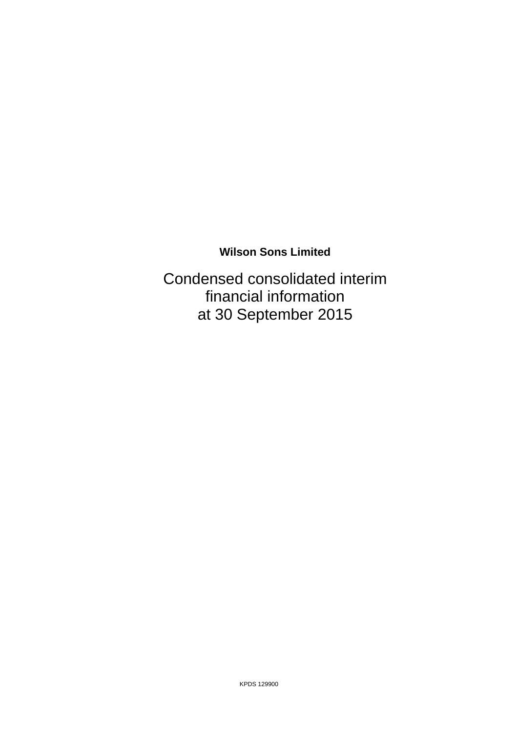Condensed consolidated interim financial information at 30 September 2015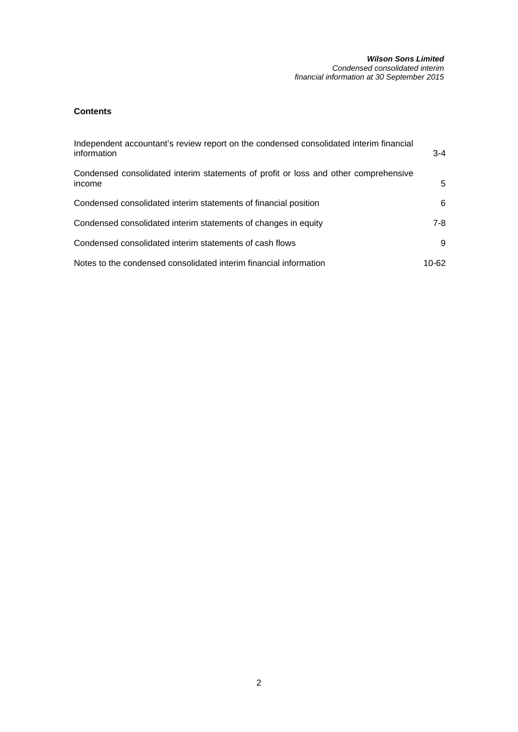### *Wilson Sons Limited Condensed consolidated interim financial information at 30 September 2015*

# **Contents**

| Independent accountant's review report on the condensed consolidated interim financial<br>information | $3 - 4$ |
|-------------------------------------------------------------------------------------------------------|---------|
| Condensed consolidated interim statements of profit or loss and other comprehensive<br>income         | 5       |
| Condensed consolidated interim statements of financial position                                       | 6.      |
| Condensed consolidated interim statements of changes in equity                                        | 7-8     |
| Condensed consolidated interim statements of cash flows                                               | 9       |
| Notes to the condensed consolidated interim financial information                                     | 10-62   |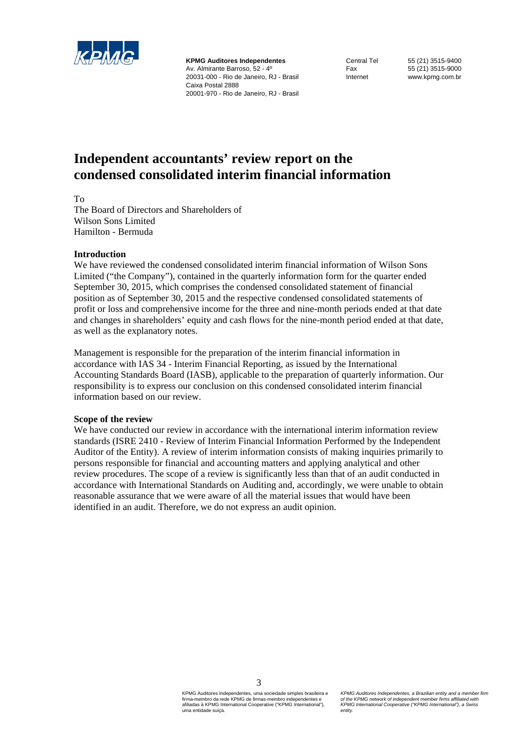

**KPMG Auditores Independentes**  Av. Almirante Barroso, 52 - 4º 20031-000 - Rio de Janeiro, RJ - Brasil Caixa Postal 2888 20001-970 - Rio de Janeiro, RJ - Brasil

Central Tel 55 (21) 3515-9400 Fax 55 (21) 3515-9000 Internet www.kpmg.com.br

# **Independent accountants' review report on the condensed consolidated interim financial information**

To

The Board of Directors and Shareholders of Wilson Sons Limited Hamilton - Bermuda

# **Introduction**

We have reviewed the condensed consolidated interim financial information of Wilson Sons Limited ("the Company"), contained in the quarterly information form for the quarter ended September 30, 2015, which comprises the condensed consolidated statement of financial position as of September 30, 2015 and the respective condensed consolidated statements of profit or loss and comprehensive income for the three and nine-month periods ended at that date and changes in shareholders' equity and cash flows for the nine-month period ended at that date, as well as the explanatory notes.

Management is responsible for the preparation of the interim financial information in accordance with IAS 34 - Interim Financial Reporting, as issued by the International Accounting Standards Board (IASB), applicable to the preparation of quarterly information. Our responsibility is to express our conclusion on this condensed consolidated interim financial information based on our review.

# **Scope of the review**

We have conducted our review in accordance with the international interim information review standards (ISRE 2410 - Review of Interim Financial Information Performed by the Independent Auditor of the Entity). A review of interim information consists of making inquiries primarily to persons responsible for financial and accounting matters and applying analytical and other review procedures. The scope of a review is significantly less than that of an audit conducted in accordance with International Standards on Auditing and, accordingly, we were unable to obtain reasonable assurance that we were aware of all the material issues that would have been identified in an audit. Therefore, we do not express an audit opinion.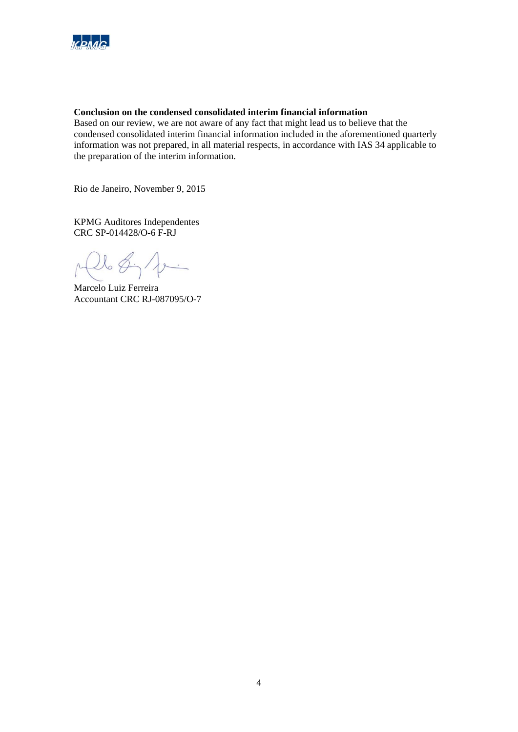

# **Conclusion on the condensed consolidated interim financial information**

Based on our review, we are not aware of any fact that might lead us to believe that the condensed consolidated interim financial information included in the aforementioned quarterly information was not prepared, in all material respects, in accordance with IAS 34 applicable to the preparation of the interim information.

Rio de Janeiro, November 9, 2015

KPMG Auditores Independentes CRC SP-014428/O-6 F-RJ

 $l_{0}\notin\gamma'$  $\lambda$ 

Marcelo Luiz Ferreira Accountant CRC RJ-087095/O-7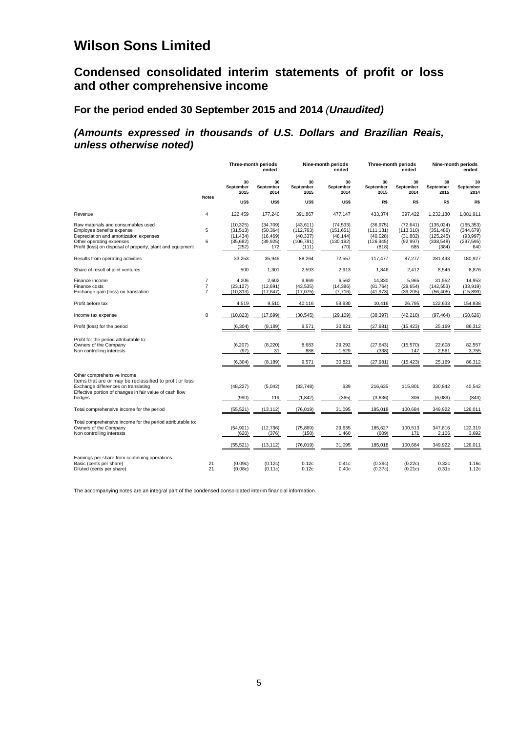# **Condensed consolidated interim statements of profit or loss and other comprehensive income**

# **For the period ended 30 September 2015 and 2014** *(Unaudited)*

# *(Amounts expressed in thousands of U.S. Dollars and Brazilian Reais, unless otherwise noted)*

|                                                                                                                                                                                                     |                                                    |                                                           | Three-month periods<br>ended                            |                                                             | Nine-month periods<br>ended                                |                                                             | Three-month periods<br>ended                             |                                                               | Nine-month periods<br>ended                                |
|-----------------------------------------------------------------------------------------------------------------------------------------------------------------------------------------------------|----------------------------------------------------|-----------------------------------------------------------|---------------------------------------------------------|-------------------------------------------------------------|------------------------------------------------------------|-------------------------------------------------------------|----------------------------------------------------------|---------------------------------------------------------------|------------------------------------------------------------|
|                                                                                                                                                                                                     | <b>Notes</b>                                       | 30<br>September<br>2015                                   | 30<br>September<br>2014                                 | 30<br>September<br>2015                                     | 30<br>September<br>2014                                    | 30<br>September<br>2015                                     | 30<br>September<br>2014                                  | 30<br>September<br>2015                                       | 30<br>September<br>2014                                    |
|                                                                                                                                                                                                     |                                                    | US\$                                                      | US\$                                                    | US\$                                                        | US\$                                                       | R\$                                                         | R\$                                                      | R\$                                                           | R\$                                                        |
| Revenue                                                                                                                                                                                             | 4                                                  | 122,459                                                   | 177,240                                                 | 391,867                                                     | 477,147                                                    | 433,374                                                     | 397,422                                                  | 1,232,180                                                     | 1,081,911                                                  |
| Raw materials and consumables used<br>Employee benefits expense<br>Depreciation and amortization expenses<br>Other operating expenses<br>Profit (loss) on disposal of property, plant and equipment | 5<br>6                                             | (10, 325)<br>(31, 513)<br>(11, 434)<br>(35, 682)<br>(252) | (34, 709)<br>(50, 364)<br>(16, 469)<br>(39, 925)<br>172 | (43, 611)<br>(112, 763)<br>(40, 337)<br>(106, 781)<br>(111) | (74, 533)<br>(151, 651)<br>(48, 144)<br>(130, 192)<br>(70) | (36, 975)<br>(111, 131)<br>(40, 028)<br>(126, 945)<br>(818) | (72, 641)<br>(113, 310)<br>(31, 882)<br>(92, 997)<br>685 | (135, 024)<br>(351, 486)<br>(125, 245)<br>(338, 548)<br>(384) | (165, 353)<br>(344, 679)<br>(93, 997)<br>(297, 595)<br>640 |
| Results from operating activities                                                                                                                                                                   |                                                    | 33,253                                                    | 35,945                                                  | 88,264                                                      | 72,557                                                     | 117,477                                                     | 87,277                                                   | 281,493                                                       | 180,927                                                    |
| Share of result of joint ventures                                                                                                                                                                   |                                                    | 500                                                       | 1,301                                                   | 2,593                                                       | 2,913                                                      | 1,846                                                       | 2,412                                                    | 8,546                                                         | 8,876                                                      |
| Finance income<br>Finance costs<br>Exchange gain (loss) on translation                                                                                                                              | $\overline{7}$<br>$\overline{7}$<br>$\overline{7}$ | 4,206<br>(23, 127)<br>(10, 313)                           | 2,602<br>(12, 691)<br>(17, 647)                         | 9,869<br>(43, 535)<br>(17, 075)                             | 6,562<br>(14, 386)<br>(7, 716)                             | 14,830<br>(81, 764)<br>(41, 973)                            | 5,965<br>(29, 654)<br>(39, 205)                          | 31,552<br>(142, 553)<br>(56, 405)                             | 14,953<br>(33, 919)<br>(15, 899)                           |
| Profit before tax                                                                                                                                                                                   |                                                    | 4,519                                                     | 9,510                                                   | 40,116                                                      | 59,930                                                     | 10,416                                                      | 26,795                                                   | 122,633                                                       | 154,938                                                    |
| Income tax expense                                                                                                                                                                                  | 8                                                  | (10, 823)                                                 | (17, 699)                                               | (30, 545)                                                   | (29, 109)                                                  | (38, 397)                                                   | (42, 218)                                                | (97, 464)                                                     | (68, 626)                                                  |
| Profit (loss) for the period                                                                                                                                                                        |                                                    | (6, 304)                                                  | (8, 189)                                                | 9,571                                                       | 30,821                                                     | (27, 981)                                                   | (15, 423)                                                | 25,169                                                        | 86,312                                                     |
| Profit for the period attributable to:<br>Owners of the Company<br>Non controlling interests                                                                                                        |                                                    | (6, 207)<br>(97)                                          | (8,220)<br>31                                           | 8,683<br>888                                                | 29,292<br>1,529                                            | (27, 643)<br>(338)                                          | (15, 570)<br>147                                         | 22,608<br>2,561                                               | 82,557<br>3,755                                            |
|                                                                                                                                                                                                     |                                                    | (6, 304)                                                  | (8, 189)                                                | 9,571                                                       | 30,821                                                     | (27, 981)                                                   | (15, 423)                                                | 25,169                                                        | 86,312                                                     |
| Other comprehensive income<br>Items that are or may be reclassified to profit or loss<br>Exchange differences on translating<br>Effective portion of changes in fair value of cash flow             |                                                    | (48, 227)                                                 | (5,042)                                                 | (83, 748)                                                   | 639                                                        | 216,635                                                     | 115,801                                                  | 330,842                                                       | 40,542                                                     |
| hedges                                                                                                                                                                                              |                                                    | (990)                                                     | 119                                                     | (1, 842)                                                    | (365)                                                      | (3,636)                                                     | 306                                                      | (6,089)                                                       | (843)                                                      |
| Total comprehensive income for the period                                                                                                                                                           |                                                    | (55, 521)                                                 | (13, 112)                                               | (76, 019)                                                   | 31,095                                                     | 185,018                                                     | 100,684                                                  | 349,922                                                       | 126,011                                                    |
| Total comprehensive income for the period attributable to:<br>Owners of the Company<br>Non controlling interests                                                                                    |                                                    | (54, 901)<br>(620)                                        | (12, 736)<br>(376)                                      | (75, 869)<br>(150)                                          | 29,635<br>1,460                                            | 185,627<br>(609)                                            | 100,513<br>171                                           | 347,816<br>2,106                                              | 122,319<br>3,692                                           |
|                                                                                                                                                                                                     |                                                    | (55, 521)                                                 | (13, 112)                                               | (76, 019)                                                   | 31,095                                                     | 185,018                                                     | 100,684                                                  | 349,922                                                       | 126,011                                                    |
| Earnings per share from continuing operations<br>Basic (cents per share)<br>Diluted (cents per share)                                                                                               | 21<br>21                                           | (0.09c)<br>(0.08c)                                        | (0.12c)<br>(0.11c)                                      | 0.12c<br>0.12c                                              | 0.41c<br>0.40c                                             | (0.39c)<br>(0.37c)                                          | (0.22c)<br>(0.21c)                                       | 0.32c<br>0.31c                                                | 1.16c<br>1.12c                                             |

The accompanying notes are an integral part of the condensed consolidated interim financial information.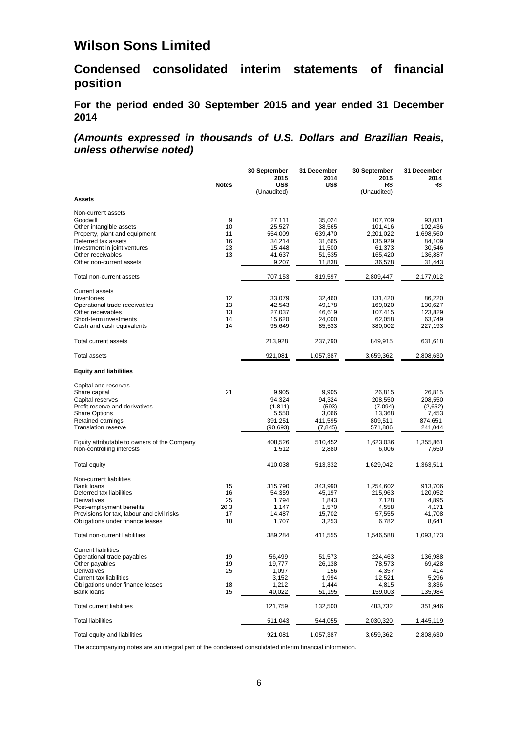**Condensed consolidated interim statements of financial position** 

**For the period ended 30 September 2015 and year ended 31 December 2014** 

*(Amounts expressed in thousands of U.S. Dollars and Brazilian Reais, unless otherwise noted)* 

|                                                                           |              | 30 September      | 31 December       | 30 September         | 31 December        |
|---------------------------------------------------------------------------|--------------|-------------------|-------------------|----------------------|--------------------|
|                                                                           | <b>Notes</b> | 2015<br>US\$      | 2014<br>US\$      | 2015                 | 2014               |
|                                                                           |              | (Unaudited)       |                   | R\$<br>(Unaudited)   | R\$                |
| Assets                                                                    |              |                   |                   |                      |                    |
|                                                                           |              |                   |                   |                      |                    |
| Non-current assets<br>Goodwill                                            | 9            | 27,111            | 35,024            | 107,709              | 93,031             |
| Other intangible assets                                                   | 10           | 25,527            | 38,565            | 101,416              | 102,436            |
| Property, plant and equipment                                             | 11           | 554,009           | 639,470           | 2,201,022            | 1,698,560          |
| Deferred tax assets                                                       | 16           | 34,214            | 31,665            | 135,929              | 84,109             |
| Investment in joint ventures                                              | 23           | 15,448            | 11,500            | 61,373               | 30,546             |
| Other receivables                                                         | 13           | 41,637            | 51,535            | 165,420              | 136,887            |
| Other non-current assets                                                  |              | 9,207             | 11,838            | 36,578               | 31.443             |
| Total non-current assets                                                  |              | 707,153           | 819,597           | 2,809,447            | 2,177,012          |
| <b>Current assets</b>                                                     |              |                   |                   |                      |                    |
| Inventories                                                               | 12           | 33,079            | 32,460            | 131,420              | 86,220             |
| Operational trade receivables                                             | 13           | 42,543            | 49,178            | 169,020              | 130,627            |
| Other receivables                                                         | 13           | 27,037            | 46,619            | 107,415              | 123,829            |
| Short-term investments                                                    | 14           | 15,620            | 24,000            | 62,058               | 63,749             |
| Cash and cash equivalents                                                 | 14           | 95,649            | 85,533            | 380,002              | 227,193            |
| Total current assets                                                      |              | 213,928           | 237,790           | 849,915              | 631,618            |
| Total assets                                                              |              | 921,081           | 1,057,387         | 3,659,362            | 2,808,630          |
| <b>Equity and liabilities</b>                                             |              |                   |                   |                      |                    |
|                                                                           |              |                   |                   |                      |                    |
| Capital and reserves                                                      |              |                   |                   |                      |                    |
| Share capital<br>Capital reserves                                         | 21           | 9,905<br>94,324   | 9,905<br>94,324   | 26,815<br>208,550    | 26,815<br>208,550  |
| Profit reserve and derivatives                                            |              | (1, 811)          | (593)             | (7,094)              | (2,652)            |
| <b>Share Options</b>                                                      |              | 5,550             | 3,066             | 13,368               | 7,453              |
| Retained earnings                                                         |              | 391,251           | 411,595           | 809,511              | 874,651            |
| <b>Translation reserve</b>                                                |              | (90, 693)         | (7, 845)          | 571,886              | 241,044            |
|                                                                           |              | 408,526           | 510,452           | 1,623,036            | 1,355,861          |
| Equity attributable to owners of the Company<br>Non-controlling interests |              | 1,512             | 2,880             | 6,006                | 7,650              |
| <b>Total equity</b>                                                       |              | 410,038           | 513,332           | 1,629,042            | 1,363,511          |
|                                                                           |              |                   |                   |                      |                    |
| Non-current liabilities<br>Bank loans                                     | 15           |                   |                   |                      |                    |
| Deferred tax liabilities                                                  | 16           | 315,790<br>54,359 | 343,990<br>45,197 | 1,254,602<br>215,963 | 913,706<br>120,052 |
| Derivatives                                                               | 25           | 1,794             | 1,843             | 7,128                | 4,895              |
| Post-employment benefits                                                  | 20.3         | 1,147             | 1,570             | 4,558                | 4,171              |
| Provisions for tax, labour and civil risks                                | 17           | 14,487            | 15,702            | 57,555               | 41,708             |
| Obligations under finance leases                                          | 18           | 1,707             | 3,253             | 6,782                | 8,641              |
| Total non-current liabilities                                             |              | 389,284           | 411,555           | 1,546,588            | 1,093,173          |
| <b>Current liabilities</b>                                                |              |                   |                   |                      |                    |
| Operational trade payables                                                | 19           | 56,499            | 51,573            | 224,463              | 136,988            |
| Other payables                                                            | 19           | 19,777            | 26,138            | 78,573               | 69,428             |
| <b>Derivatives</b>                                                        | 25           | 1,097             | 156               | 4,357                | 414                |
| <b>Current tax liabilities</b>                                            |              | 3,152             | 1,994             | 12,521               | 5,296              |
| Obligations under finance leases                                          | 18           | 1,212             | 1,444             | 4,815                | 3,836              |
| <b>Bank loans</b>                                                         | 15           | 40,022            | 51,195            | 159,003              | 135,984            |
| Total current liabilities                                                 |              | 121,759           | 132,500           | 483,732              | 351,946            |
| <b>Total liabilities</b>                                                  |              | 511,043           | 544,055           | 2,030,320            | 1,445,119          |
| Total equity and liabilities                                              |              | 921,081           | 1,057,387         | 3,659,362            | 2,808,630          |

The accompanying notes are an integral part of the condensed consolidated interim financial information.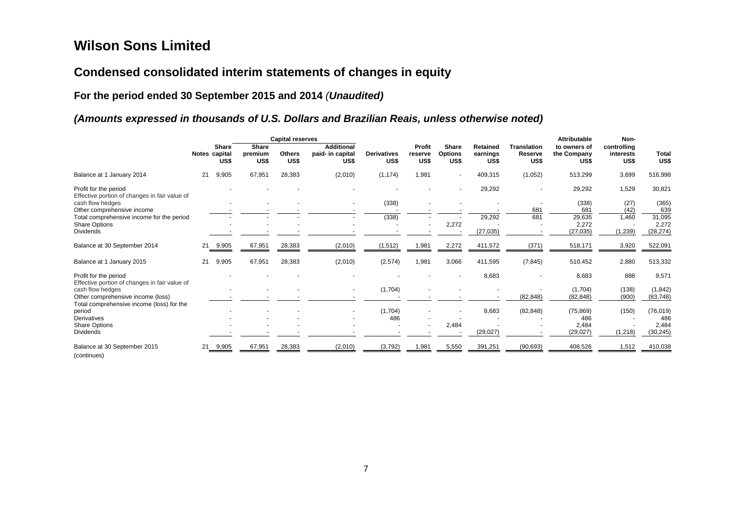# **Condensed consolidated interim statements of changes in equity**

# **For the period ended 30 September 2015 and 2014** *(Unaudited)*

# *(Amounts expressed in thousands of U.S. Dollars and Brazilian Reais, unless otherwise noted)*

|                                                                        |    |                                       |                                 | <b>Capital reserves</b> |                                               |                            |                           |                                        |                              |                                       | Attributable                        | Non-                             |                      |
|------------------------------------------------------------------------|----|---------------------------------------|---------------------------------|-------------------------|-----------------------------------------------|----------------------------|---------------------------|----------------------------------------|------------------------------|---------------------------------------|-------------------------------------|----------------------------------|----------------------|
|                                                                        |    | <b>Share</b><br>Notes capital<br>US\$ | <b>Share</b><br>premium<br>US\$ | <b>Others</b><br>US\$   | <b>Additional</b><br>paid- in capital<br>US\$ | <b>Derivatives</b><br>US\$ | Profit<br>reserve<br>US\$ | <b>Share</b><br><b>Options</b><br>US\$ | Retained<br>earnings<br>US\$ | <b>Translation</b><br>Reserve<br>US\$ | to owners of<br>the Company<br>US\$ | controlling<br>interests<br>US\$ | <b>Total</b><br>US\$ |
| Balance at 1 January 2014                                              | 21 | 9,905                                 | 67,951                          | 28,383                  | (2,010)                                       | (1, 174)                   | 1,981                     | $\sim$                                 | 409,315                      | (1,052)                               | 513,299                             | 3,699                            | 516,998              |
| Profit for the period<br>Effective portion of changes in fair value of |    |                                       |                                 |                         |                                               |                            |                           | $\blacksquare$                         | 29,292                       | $\overline{\phantom{a}}$              | 29,292                              | 1,529                            | 30,821               |
| cash flow hedges<br>Other comprehensive income                         |    |                                       |                                 |                         |                                               | (338)                      |                           |                                        |                              | 681                                   | (338)<br>681                        | (27)<br>(42)                     | (365)<br>639         |
| Total comprehensive income for the period                              |    |                                       |                                 |                         |                                               | (338)                      |                           |                                        | 29,292                       | 681                                   | 29,635                              | 1,460                            | 31,095               |
| <b>Share Options</b>                                                   |    |                                       |                                 |                         |                                               |                            |                           | 2,272                                  |                              |                                       | 2,272                               |                                  | 2,272                |
| <b>Dividends</b>                                                       |    |                                       |                                 |                         |                                               |                            |                           |                                        | (27, 035)                    |                                       | (27, 035)                           | (1,239)                          | (28, 274)            |
| Balance at 30 September 2014                                           |    | 21 9,905                              | 67,951                          | 28,383                  | (2,010)                                       | 1,512)                     | 1,981                     | 2,272                                  | 411,572                      | (371)                                 | 518,171                             | 3,920                            | 522,091              |
| Balance at 1 January 2015                                              | 21 | 9,905                                 | 67,951                          | 28,383                  | (2,010)                                       | (2,574)                    | 1,981                     | 3,066                                  | 411,595                      | (7, 845)                              | 510,452                             | 2,880                            | 513,332              |
| Profit for the period<br>Effective portion of changes in fair value of |    |                                       |                                 |                         |                                               |                            |                           |                                        | 8,683                        | ٠                                     | 8,683                               | 888                              | 9,571                |
| cash flow hedges                                                       |    |                                       |                                 |                         |                                               | (1,704)                    |                           |                                        |                              |                                       | (1,704)                             | (138)                            | (1, 842)             |
| Other comprehensive income (loss)                                      |    |                                       |                                 |                         |                                               |                            |                           |                                        |                              | (82, 848)                             | (82, 848)                           | (900)                            | (83, 748)            |
| Total comprehensive income (loss) for the                              |    |                                       |                                 |                         |                                               |                            |                           |                                        |                              |                                       |                                     |                                  |                      |
| period                                                                 |    |                                       |                                 |                         |                                               | (1,704)                    |                           |                                        | 8,683                        | (82, 848)                             | (75, 869)                           | (150)                            | (76, 019)            |
| <b>Derivatives</b>                                                     |    |                                       |                                 |                         |                                               | 486                        |                           |                                        |                              |                                       | 486                                 |                                  | 486                  |
| Share Options                                                          |    |                                       |                                 |                         |                                               |                            |                           | 2,484                                  |                              |                                       | 2,484                               |                                  | 2,484                |
| <b>Dividends</b>                                                       |    |                                       |                                 |                         |                                               |                            |                           |                                        | (29, 027)                    |                                       | (29, 027)                           | (1, 218)                         | (30, 245)            |
| Balance at 30 September 2015<br>(continues)                            |    | 21 9,905                              | 67,951                          | 28,383                  | (2,010)                                       | (3,792)                    | 1,98'                     | 5,550                                  | 391,251                      | (90, 693)                             | 408,526                             | 1,512                            | 410,038              |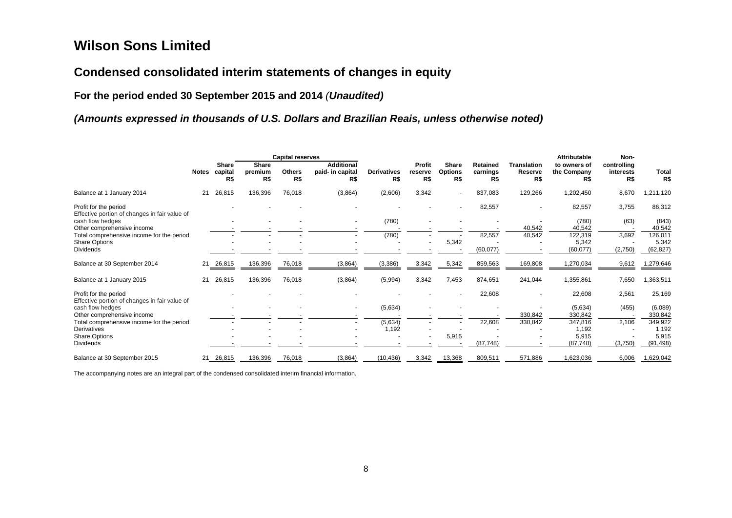# **Condensed consolidated interim statements of changes in equity**

**For the period ended 30 September 2015 and 2014** *(Unaudited)*

# *(Amounts expressed in thousands of U.S. Dollars and Brazilian Reais, unless otherwise noted)*

|                                                                        |              | <b>Capital reserves</b>        |                                |                      |                                              |                           | <b>Attributable</b>      |                                       |                             |                                      |                                    | Non-                            |              |
|------------------------------------------------------------------------|--------------|--------------------------------|--------------------------------|----------------------|----------------------------------------------|---------------------------|--------------------------|---------------------------------------|-----------------------------|--------------------------------------|------------------------------------|---------------------------------|--------------|
|                                                                        | <b>Notes</b> | <b>Share</b><br>capital<br>R\$ | <b>Share</b><br>premium<br>R\$ | <b>Others</b><br>R\$ | <b>Additional</b><br>paid- in capital<br>R\$ | <b>Derivatives</b><br>R\$ | Profit<br>reserve<br>R\$ | <b>Share</b><br><b>Options</b><br>R\$ | Retained<br>earnings<br>R\$ | <b>Translation</b><br>Reserve<br>R\$ | to owners of<br>the Company<br>R\$ | controlling<br>interests<br>R\$ | Total<br>R\$ |
| Balance at 1 January 2014                                              | 21           | 26,815                         | 136,396                        | 76,018               | (3,864)                                      | (2,606)                   | 3,342                    | $\sim$                                | 837,083                     | 129,266                              | 1,202,450                          | 8,670                           | 1,211,120    |
| Profit for the period<br>Effective portion of changes in fair value of |              |                                |                                |                      |                                              |                           |                          |                                       | 82,557                      |                                      | 82,557                             | 3,755                           | 86,312       |
| cash flow hedges                                                       |              |                                |                                |                      |                                              | (780)                     |                          |                                       |                             |                                      | (780)                              | (63)                            | (843)        |
| Other comprehensive income                                             |              |                                |                                |                      |                                              |                           |                          |                                       |                             | 40,542                               | 40,542                             |                                 | 40,542       |
| Total comprehensive income for the period                              |              |                                |                                |                      |                                              | (780)                     |                          |                                       | 82,557                      | 40,542                               | 122,319                            | 3,692                           | 126,011      |
| <b>Share Options</b>                                                   |              |                                |                                |                      |                                              |                           |                          | 5,342                                 |                             |                                      | 5,342                              |                                 | 5,342        |
| <b>Dividends</b>                                                       |              |                                |                                |                      |                                              |                           |                          |                                       | (60, 077)                   |                                      | (60, 077)                          | (2,750)                         | (62, 827)    |
| Balance at 30 September 2014                                           | 21           | 26,815                         | 136,396                        | 76,018               | (3,864)                                      | (3,386)                   | 3,342                    | 5,342                                 | 859,563                     | 169,808                              | 1,270,034                          | 9,612                           | 1,279,646    |
| Balance at 1 January 2015                                              | 21           | 26,815                         | 136,396                        | 76,018               | (3,864)                                      | (5,994)                   | 3,342                    | 7,453                                 | 874,651                     | 241,044                              | 1,355,861                          | 7,650                           | 1,363,511    |
| Profit for the period                                                  |              |                                |                                |                      |                                              |                           |                          | $\overline{\phantom{a}}$              | 22,608                      | ٠                                    | 22,608                             | 2,561                           | 25,169       |
| Effective portion of changes in fair value of<br>cash flow hedges      |              |                                |                                |                      |                                              | (5,634)                   |                          |                                       |                             |                                      | (5,634)                            | (455)                           | (6,089)      |
| Other comprehensive income                                             |              |                                |                                |                      |                                              |                           |                          |                                       |                             | 330,842                              | 330,842                            |                                 | 330,842      |
| Total comprehensive income for the period                              |              |                                |                                |                      |                                              | (5,634)                   |                          |                                       | 22,608                      | 330,842                              | 347,816                            | 2,106                           | 349,922      |
| <b>Derivatives</b>                                                     |              |                                |                                |                      |                                              | 1,192                     |                          |                                       |                             |                                      | 1,192                              |                                 | 1,192        |
| <b>Share Options</b>                                                   |              |                                |                                |                      |                                              |                           |                          | 5,915                                 |                             |                                      | 5,915                              |                                 | 5,915        |
| <b>Dividends</b>                                                       |              |                                |                                |                      |                                              |                           |                          |                                       | (87, 748)                   |                                      | (87, 748)                          | (3,750)                         | (91, 498)    |
| Balance at 30 September 2015                                           | 21           | 26,815                         | 136,396                        | 76,018               | (3,864)                                      | (10, 436)                 | 3,342                    | 13,368                                | 809,511                     | 571,886                              | 1,623,036                          | 6,006                           | 1,629,042    |

The accompanying notes are an integral part of the condensed consolidated interim financial information.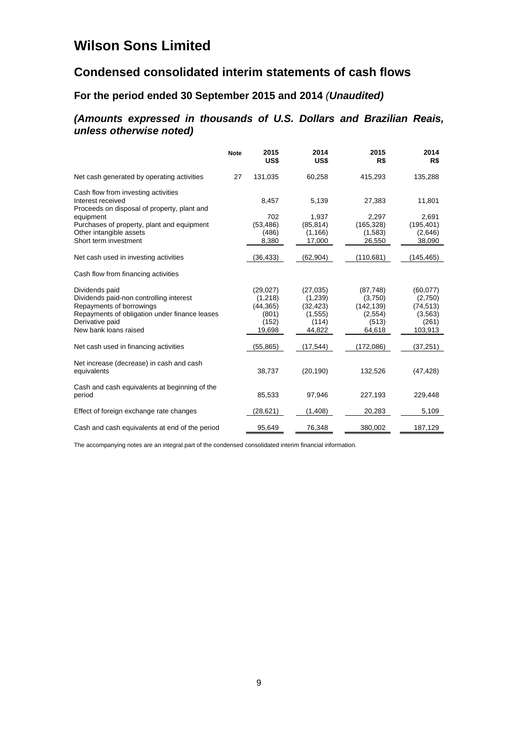# **Condensed consolidated interim statements of cash flows**

# **For the period ended 30 September 2015 and 2014** *(Unaudited)*

# *(Amounts expressed in thousands of U.S. Dollars and Brazilian Reais, unless otherwise noted)*

|                                                                  | <b>Note</b> | 2015<br>US\$ | 2014<br>US\$ | 2015<br>R\$ | 2014<br>R\$ |
|------------------------------------------------------------------|-------------|--------------|--------------|-------------|-------------|
| Net cash generated by operating activities                       | 27          | 131,035      | 60,258       | 415,293     | 135,288     |
| Cash flow from investing activities                              |             |              |              |             |             |
| Interest received<br>Proceeds on disposal of property, plant and |             | 8,457        | 5,139        | 27,383      | 11,801      |
| equipment                                                        |             | 702          | 1,937        | 2,297       | 2,691       |
| Purchases of property, plant and equipment                       |             | (53, 486)    | (85, 814)    | (165, 328)  | (195, 401)  |
| Other intangible assets                                          |             | (486)        | (1, 166)     | (1,583)     | (2,646)     |
| Short term investment                                            |             | 8,380        | 17,000       | 26,550      | 38,090      |
| Net cash used in investing activities                            |             | (36, 433)    | (62,904)     | (110,681)   | (145, 465)  |
| Cash flow from financing activities                              |             |              |              |             |             |
| Dividends paid                                                   |             | (29, 027)    | (27, 035)    | (87, 748)   | (60,077)    |
| Dividends paid-non controlling interest                          |             | (1,218)      | (1,239)      | (3,750)     | (2,750)     |
| Repayments of borrowings                                         |             | (44, 365)    | (32, 423)    | (142, 139)  | (74, 513)   |
| Repayments of obligation under finance leases                    |             | (801)        | (1, 555)     | (2,554)     | (3, 563)    |
| Derivative paid                                                  |             | (152)        | (114)        | (513)       | (261)       |
| New bank loans raised                                            |             | 19,698       | 44,822       | 64,618      | 103,913     |
| Net cash used in financing activities                            |             | (55,865)     | (17,544)     | (172,086)   | (37, 251)   |
| Net increase (decrease) in cash and cash<br>equivalents          |             | 38,737       | (20, 190)    | 132,526     | (47, 428)   |
| Cash and cash equivalents at beginning of the<br>period          |             | 85,533       | 97,946       | 227,193     | 229,448     |
| Effect of foreign exchange rate changes                          |             | (28,621)     | (1,408)      | 20,283      | 5,109       |
| Cash and cash equivalents at end of the period                   |             | 95,649       | 76,348       | 380,002     | 187,129     |

The accompanying notes are an integral part of the condensed consolidated interim financial information.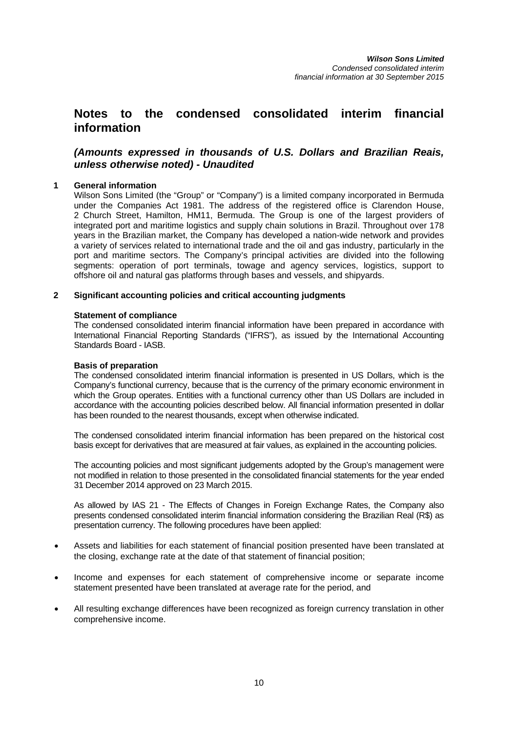# **Notes to the condensed consolidated interim financial information**

# *(Amounts expressed in thousands of U.S. Dollars and Brazilian Reais, unless otherwise noted) - Unaudited*

# **1 General information**

Wilson Sons Limited (the "Group" or "Company") is a limited company incorporated in Bermuda under the Companies Act 1981. The address of the registered office is Clarendon House, 2 Church Street, Hamilton, HM11, Bermuda. The Group is one of the largest providers of integrated port and maritime logistics and supply chain solutions in Brazil. Throughout over 178 years in the Brazilian market, the Company has developed a nation-wide network and provides a variety of services related to international trade and the oil and gas industry, particularly in the port and maritime sectors. The Company's principal activities are divided into the following segments: operation of port terminals, towage and agency services, logistics, support to offshore oil and natural gas platforms through bases and vessels, and shipyards.

# **2 Significant accounting policies and critical accounting judgments**

# **Statement of compliance**

The condensed consolidated interim financial information have been prepared in accordance with International Financial Reporting Standards ("IFRS"), as issued by the International Accounting Standards Board - IASB.

# **Basis of preparation**

The condensed consolidated interim financial information is presented in US Dollars, which is the Company's functional currency, because that is the currency of the primary economic environment in which the Group operates. Entities with a functional currency other than US Dollars are included in accordance with the accounting policies described below. All financial information presented in dollar has been rounded to the nearest thousands, except when otherwise indicated.

The condensed consolidated interim financial information has been prepared on the historical cost basis except for derivatives that are measured at fair values, as explained in the accounting policies.

The accounting policies and most significant judgements adopted by the Group's management were not modified in relation to those presented in the consolidated financial statements for the year ended 31 December 2014 approved on 23 March 2015.

As allowed by IAS 21 - The Effects of Changes in Foreign Exchange Rates, the Company also presents condensed consolidated interim financial information considering the Brazilian Real (R\$) as presentation currency. The following procedures have been applied:

- Assets and liabilities for each statement of financial position presented have been translated at the closing, exchange rate at the date of that statement of financial position;
- Income and expenses for each statement of comprehensive income or separate income statement presented have been translated at average rate for the period, and
- All resulting exchange differences have been recognized as foreign currency translation in other comprehensive income.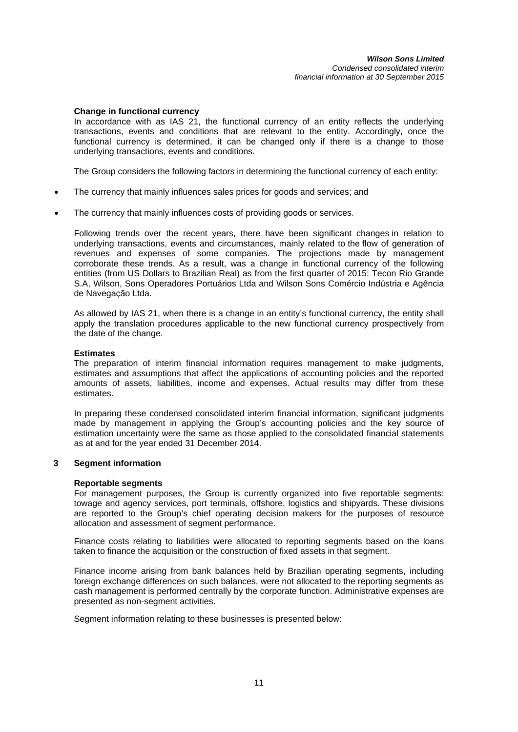## **Change in functional currency**

In accordance with as IAS 21, the functional currency of an entity reflects the underlying transactions, events and conditions that are relevant to the entity. Accordingly, once the functional currency is determined, it can be changed only if there is a change to those underlying transactions, events and conditions.

The Group considers the following factors in determining the functional currency of each entity:

- The currency that mainly influences sales prices for goods and services; and
- The currency that mainly influences costs of providing goods or services.

Following trends over the recent years, there have been significant changes in relation to underlying transactions, events and circumstances, mainly related to the flow of generation of revenues and expenses of some companies. The projections made by management corroborate these trends. As a result, was a change in functional currency of the following entities (from US Dollars to Brazilian Real) as from the first quarter of 2015: Tecon Rio Grande S.A, Wilson, Sons Operadores Portuários Ltda and Wilson Sons Comércio Indústria e Agência de Navegação Ltda.

As allowed by IAS 21, when there is a change in an entity's functional currency, the entity shall apply the translation procedures applicable to the new functional currency prospectively from the date of the change.

### **Estimates**

The preparation of interim financial information requires management to make judgments, estimates and assumptions that affect the applications of accounting policies and the reported amounts of assets, liabilities, income and expenses. Actual results may differ from these estimates.

In preparing these condensed consolidated interim financial information, significant judgments made by management in applying the Group's accounting policies and the key source of estimation uncertainty were the same as those applied to the consolidated financial statements as at and for the year ended 31 December 2014.

# **3 Segment information**

## **Reportable segments**

For management purposes, the Group is currently organized into five reportable segments: towage and agency services, port terminals, offshore, logistics and shipyards. These divisions are reported to the Group's chief operating decision makers for the purposes of resource allocation and assessment of segment performance.

Finance costs relating to liabilities were allocated to reporting segments based on the loans taken to finance the acquisition or the construction of fixed assets in that segment.

Finance income arising from bank balances held by Brazilian operating segments, including foreign exchange differences on such balances, were not allocated to the reporting segments as cash management is performed centrally by the corporate function. Administrative expenses are presented as non-segment activities.

Segment information relating to these businesses is presented below: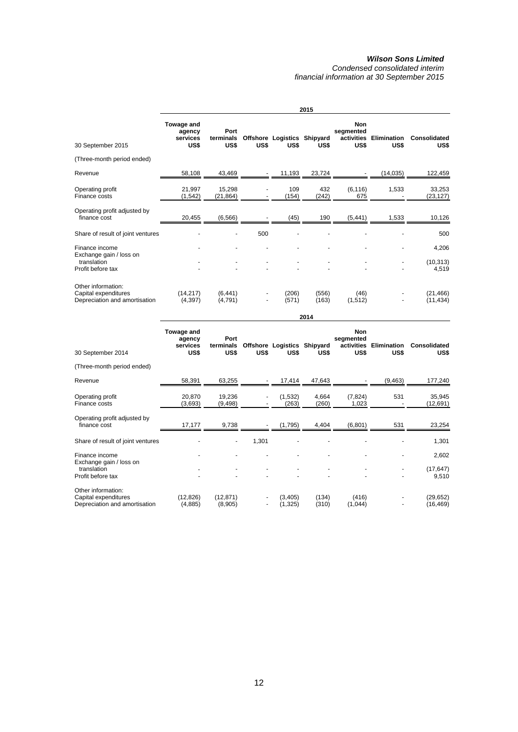*Condensed consolidated interim financial information at 30 September 2015* 

|                                                                             |                                          |                           |      |                                     | 2015           |                                               |                            |                        |
|-----------------------------------------------------------------------------|------------------------------------------|---------------------------|------|-------------------------------------|----------------|-----------------------------------------------|----------------------------|------------------------|
| 30 September 2015                                                           | Towage and<br>agency<br>services<br>US\$ | Port<br>terminals<br>US\$ | US\$ | Offshore Logistics Shipyard<br>US\$ | US\$           | <b>Non</b><br>segmented<br>activities<br>US\$ | <b>Elimination</b><br>US\$ | Consolidated<br>US\$   |
| (Three-month period ended)                                                  |                                          |                           |      |                                     |                |                                               |                            |                        |
| Revenue                                                                     | 58,108                                   | 43,469                    |      | 11,193                              | 23,724         |                                               | (14, 035)                  | 122,459                |
| Operating profit<br>Finance costs                                           | 21,997<br>(1, 542)                       | 15,298<br>(21, 864)       |      | 109<br>(154)                        | 432<br>(242)   | (6, 116)<br>675                               | 1,533                      | 33,253<br>(23, 127)    |
| Operating profit adjusted by<br>finance cost                                | 20,455                                   | (6, 566)                  |      | (45)                                | 190            | (5, 441)                                      | 1,533                      | 10,126                 |
| Share of result of joint ventures                                           |                                          |                           | 500  |                                     |                |                                               |                            | 500                    |
| Finance income<br>Exchange gain / loss on                                   |                                          |                           |      |                                     |                |                                               |                            | 4,206                  |
| translation<br>Profit before tax                                            |                                          |                           |      |                                     |                |                                               |                            | (10, 313)<br>4,519     |
| Other information:<br>Capital expenditures<br>Depreciation and amortisation | (14, 217)<br>(4,397)                     | (6, 441)<br>(4,791)       |      | (206)<br>(571)                      | (556)<br>(163) | (46)<br>(1,512)                               |                            | (21, 466)<br>(11, 434) |

| 30 September 2014                                                           | Towage and<br>agency<br>services<br>US\$ | Port<br>terminals<br>US\$ | US\$                     | Offshore Logistics Shipyard<br>US\$ | US\$           | Non<br>segmented<br>activities<br>US\$ | <b>Elimination</b><br>US\$ | Consolidated<br>US\$   |
|-----------------------------------------------------------------------------|------------------------------------------|---------------------------|--------------------------|-------------------------------------|----------------|----------------------------------------|----------------------------|------------------------|
| (Three-month period ended)                                                  |                                          |                           |                          |                                     |                |                                        |                            |                        |
| Revenue                                                                     | 58,391                                   | 63,255                    |                          | 17,414                              | 47,643         |                                        | (9, 463)                   | 177,240                |
| Operating profit<br>Finance costs                                           | 20,870<br>(3,693)                        | 19,236<br>(9,498)         |                          | (1,532)<br>(263)                    | 4,664<br>(260) | (7, 824)<br>1,023                      | 531                        | 35,945<br>(12,691)     |
| Operating profit adjusted by<br>finance cost                                | 17,177                                   | 9,738                     |                          | (1,795)                             | 4,404          | (6, 801)                               | 531                        | 23,254                 |
| Share of result of joint ventures                                           |                                          |                           | 1,301                    |                                     |                |                                        |                            | 1,301                  |
| Finance income                                                              |                                          |                           |                          |                                     |                |                                        |                            | 2,602                  |
| Exchange gain / loss on<br>translation<br>Profit before tax                 |                                          |                           |                          |                                     |                |                                        |                            | (17, 647)<br>9,510     |
| Other information:<br>Capital expenditures<br>Depreciation and amortisation | (12, 826)<br>(4,885)                     | (12, 871)<br>(8,905)      | $\overline{\phantom{a}}$ | (3,405)<br>(1,325)                  | (134)<br>(310) | (416)<br>(1,044)                       |                            | (29, 652)<br>(16, 469) |

 **2014**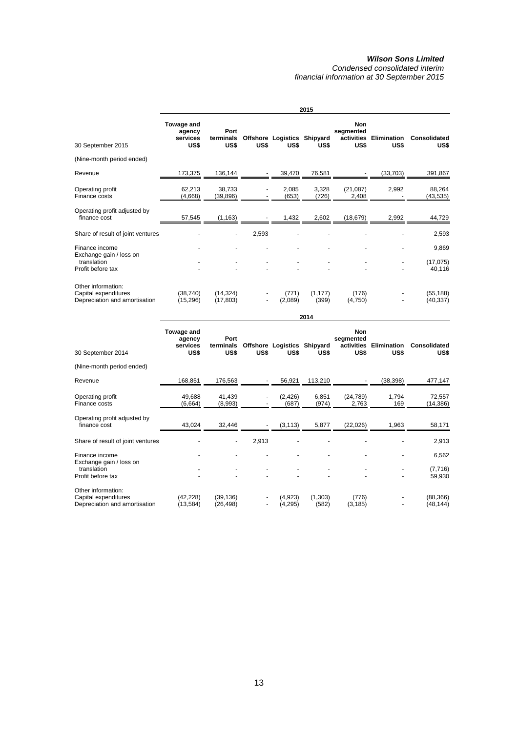*Condensed consolidated interim financial information at 30 September 2015* 

|                                                                             |                                          |                           |       |                                     | 2015              |                                 |                                |                        |
|-----------------------------------------------------------------------------|------------------------------------------|---------------------------|-------|-------------------------------------|-------------------|---------------------------------|--------------------------------|------------------------|
| 30 September 2015                                                           | Towage and<br>agency<br>services<br>US\$ | Port<br>terminals<br>US\$ | US\$  | Offshore Logistics Shipyard<br>US\$ | US\$              | <b>Non</b><br>segmented<br>US\$ | activities Elimination<br>US\$ | Consolidated<br>US\$   |
| (Nine-month period ended)                                                   |                                          |                           |       |                                     |                   |                                 |                                |                        |
| Revenue                                                                     | 173,375                                  | 136,144                   |       | 39,470                              | 76,581            |                                 | (33, 703)                      | 391,867                |
| Operating profit<br>Finance costs                                           | 62,213<br>(4,668)                        | 38,733<br>(39,896)        |       | 2,085<br>(653)                      | 3,328<br>(726)    | (21,087)<br>2,408               | 2,992                          | 88,264<br>(43, 535)    |
| Operating profit adjusted by<br>finance cost                                | 57,545                                   | (1, 163)                  |       | 1,432                               | 2,602             | (18, 679)                       | 2,992                          | 44,729                 |
| Share of result of joint ventures                                           |                                          |                           | 2,593 |                                     |                   |                                 |                                | 2,593                  |
| Finance income<br>Exchange gain / loss on                                   |                                          |                           |       |                                     |                   |                                 |                                | 9,869                  |
| translation<br>Profit before tax                                            |                                          |                           |       |                                     |                   |                                 |                                | (17, 075)<br>40,116    |
| Other information:<br>Capital expenditures<br>Depreciation and amortisation | (38, 740)<br>(15, 296)                   | (14, 324)<br>(17, 803)    | ۰     | (771)<br>(2,089)                    | (1, 177)<br>(399) | (176)<br>(4,750)                |                                | (55, 188)<br>(40, 337) |

| 30 September 2014                                                           | Towage and<br>agency<br>services<br>US\$ | Port<br>terminals<br>US\$ | US\$  | Offshore Logistics Shipyard<br>US\$ | US\$             | <b>Non</b><br>segmented<br>activities<br>US\$ | <b>Elimination</b><br>US\$ | Consolidated<br>US\$   |
|-----------------------------------------------------------------------------|------------------------------------------|---------------------------|-------|-------------------------------------|------------------|-----------------------------------------------|----------------------------|------------------------|
| (Nine-month period ended)                                                   |                                          |                           |       |                                     |                  |                                               |                            |                        |
| Revenue                                                                     | 168,851                                  | 176,563                   |       | 56,921                              | 113,210          |                                               | (38, 398)                  | 477,147                |
| Operating profit<br>Finance costs                                           | 49,688<br>(6,664)                        | 41,439<br>(8,993)         |       | (2, 426)<br>(687)                   | 6,851<br>(974)   | (24, 789)<br>2,763                            | 1,794<br>169               | 72,557<br>(14,386)     |
| Operating profit adjusted by<br>finance cost                                | 43,024                                   | 32,446                    |       | (3, 113)                            | 5,877            | (22,026)                                      | 1,963                      | 58,171                 |
| Share of result of joint ventures                                           |                                          |                           | 2,913 |                                     |                  |                                               |                            | 2,913                  |
| Finance income<br>Exchange gain / loss on                                   |                                          |                           |       |                                     |                  |                                               |                            | 6,562                  |
| translation<br>Profit before tax                                            |                                          |                           |       |                                     |                  |                                               |                            | (7, 716)<br>59,930     |
| Other information:<br>Capital expenditures<br>Depreciation and amortisation | (42, 228)<br>(13, 584)                   | (39, 136)<br>(26, 498)    | ۰     | (4,923)<br>(4,295)                  | (1,303)<br>(582) | (776)<br>(3, 185)                             |                            | (88, 366)<br>(48, 144) |

 **2014**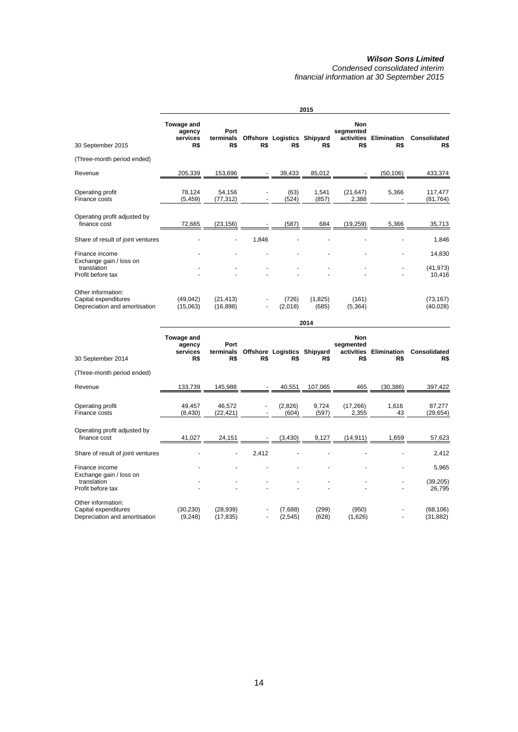*Condensed consolidated interim financial information at 30 September 2015* 

|                                                                             |                                         |                          |       |                                    | 2015             |                                              |                           |                        |
|-----------------------------------------------------------------------------|-----------------------------------------|--------------------------|-------|------------------------------------|------------------|----------------------------------------------|---------------------------|------------------------|
| 30 September 2015                                                           | Towage and<br>agency<br>services<br>R\$ | Port<br>terminals<br>R\$ | R\$   | Offshore Logistics Shipyard<br>R\$ | R\$              | <b>Non</b><br>segmented<br>activities<br>R\$ | <b>Elimination</b><br>R\$ | Consolidated<br>R\$    |
| (Three-month period ended)                                                  |                                         |                          |       |                                    |                  |                                              |                           |                        |
| Revenue                                                                     | 205,339                                 | 153,696                  |       | 39,433                             | 85,012           |                                              | (50,106)                  | 433,374                |
| Operating profit<br>Finance costs                                           | 78,124<br>(5, 459)                      | 54,156<br>(77, 312)      |       | (63)<br>(524)                      | 1,541<br>(857)   | (21, 647)<br>2,388                           | 5,366                     | 117,477<br>(81, 764)   |
| Operating profit adjusted by<br>finance cost                                | 72,665                                  | (23, 156)                |       | (587)                              | 684              | (19, 259)                                    | 5,366                     | 35,713                 |
| Share of result of joint ventures                                           |                                         |                          | 1,846 |                                    |                  |                                              |                           | 1,846                  |
| Finance income<br>Exchange gain / loss on                                   |                                         |                          |       |                                    |                  |                                              |                           | 14,830                 |
| translation<br>Profit before tax                                            |                                         |                          |       |                                    |                  |                                              |                           | (41, 973)<br>10,416    |
| Other information:<br>Capital expenditures<br>Depreciation and amortisation | (49, 042)<br>(15,063)                   | (21, 413)<br>(16, 898)   |       | (726)<br>(2,018)                   | (1,825)<br>(685) | (161)<br>(5, 364)                            |                           | (73, 167)<br>(40, 028) |

| 30 September 2014                                                           | Towage and<br>agency<br>services<br>R\$ | Port<br>terminals<br>R\$ | R\$   | Offshore Logistics Shipyard<br>R\$ | R\$            | <b>Non</b><br>segmented<br>activities<br>R\$ | Elimination<br>R\$ | Consolidated<br>R\$    |
|-----------------------------------------------------------------------------|-----------------------------------------|--------------------------|-------|------------------------------------|----------------|----------------------------------------------|--------------------|------------------------|
| (Three-month period ended)                                                  |                                         |                          |       |                                    |                |                                              |                    |                        |
| Revenue                                                                     | 133,739                                 | 145,988                  |       | 40,551                             | 107,065        | 465                                          | (30, 386)          | 397,422                |
| Operating profit<br>Finance costs                                           | 49,457<br>(8,430)                       | 46,572<br>(22, 421)      |       | (2,826)<br>(604)                   | 9,724<br>(597) | (17,266)<br>2,355                            | 1,616<br>43        | 87,277<br>(29,654)     |
| Operating profit adjusted by<br>finance cost                                | 41,027                                  | 24,151                   |       | (3,430)                            | 9,127          | (14,911)                                     | 1,659              | 57,623                 |
| Share of result of joint ventures                                           |                                         |                          | 2,412 |                                    |                |                                              |                    | 2,412                  |
| Finance income                                                              |                                         |                          |       |                                    |                |                                              |                    | 5,965                  |
| Exchange gain / loss on<br>translation<br>Profit before tax                 |                                         |                          |       |                                    |                |                                              |                    | (39,205)<br>26,795     |
| Other information:<br>Capital expenditures<br>Depreciation and amortisation | (30, 230)<br>(9, 248)                   | (28, 939)<br>(17, 835)   |       | (7,688)<br>(2, 545)                | (299)<br>(628) | (950)<br>(1,626)                             |                    | (68, 106)<br>(31, 882) |

 **2014**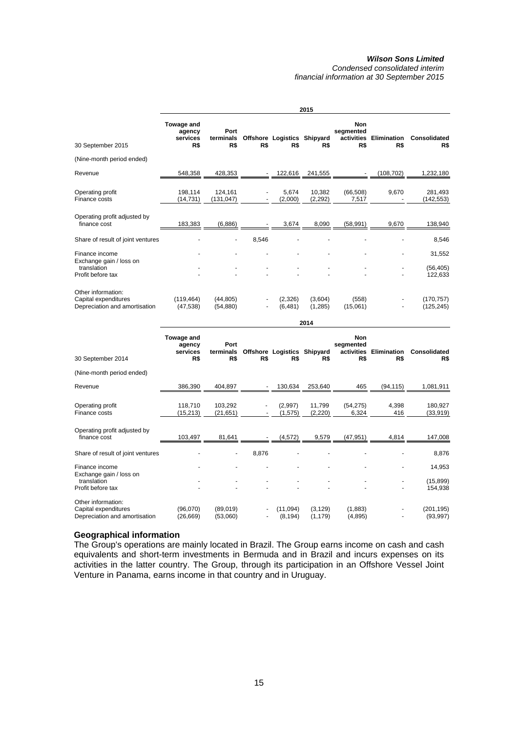*Condensed consolidated interim financial information at 30 September 2015* 

|                                                                             | 2015                                    |                              |       |                                    |                    |                                              |                           |                          |
|-----------------------------------------------------------------------------|-----------------------------------------|------------------------------|-------|------------------------------------|--------------------|----------------------------------------------|---------------------------|--------------------------|
| 30 September 2015                                                           | Towage and<br>agency<br>services<br>R\$ | Port<br>terminals<br>R\$     | R\$   | Offshore Logistics Shipyard<br>R\$ | R\$                | <b>Non</b><br>segmented<br>activities<br>R\$ | <b>Elimination</b><br>R\$ | Consolidated<br>R\$      |
| (Nine-month period ended)                                                   |                                         |                              |       |                                    |                    |                                              |                           |                          |
| Revenue                                                                     | 548,358                                 | 428,353                      |       | 122,616                            | 241,555            |                                              | (108, 702)                | 1,232,180                |
| Operating profit<br>Finance costs                                           | 198,114<br>(14, 731)                    | 124,161<br>(131, 047)        |       | 5,674<br>(2,000)                   | 10,382<br>(2,292)  | (66, 508)<br>7,517                           | 9,670                     | 281,493<br>(142, 553)    |
| Operating profit adjusted by<br>finance cost                                | 183,383                                 | (6,886)                      |       | 3,674                              | 8,090              | (58, 991)                                    | 9,670                     | 138,940                  |
| Share of result of joint ventures                                           |                                         | $\qquad \qquad \blacksquare$ | 8,546 |                                    |                    |                                              |                           | 8,546                    |
| Finance income                                                              |                                         |                              |       |                                    |                    |                                              |                           | 31,552                   |
| Exchange gain / loss on<br>translation<br>Profit before tax                 |                                         |                              |       |                                    |                    |                                              |                           | (56, 405)<br>122,633     |
| Other information:<br>Capital expenditures<br>Depreciation and amortisation | (119, 464)<br>(47, 538)                 | (44, 805)<br>(54, 880)       |       | (2,326)<br>(6, 481)                | (3,604)<br>(1,285) | (558)<br>(15,061)                            |                           | (170, 757)<br>(125, 245) |
|                                                                             |                                         |                              |       |                                    | 2014               |                                              |                           |                          |

|                                                                             | Towage and<br>agency<br>services | Port<br>terminals    |                          | Offshore Logistics Shipyard |                      | Non<br>segmented<br>activities | <b>Elimination</b> | <b>Consolidated</b>     |
|-----------------------------------------------------------------------------|----------------------------------|----------------------|--------------------------|-----------------------------|----------------------|--------------------------------|--------------------|-------------------------|
| 30 September 2014                                                           | R\$                              | R\$                  | R\$                      | R\$                         | R\$                  | R\$                            | R\$                | R\$                     |
| (Nine-month period ended)                                                   |                                  |                      |                          |                             |                      |                                |                    |                         |
| Revenue                                                                     | 386,390                          | 404,897              |                          | 130,634                     | 253,640              | 465                            | (94,115)           | 1,081,911               |
| Operating profit<br>Finance costs                                           | 118,710<br>(15,213)              | 103,292<br>(21, 651) |                          | (2,997)<br>(1, 575)         | 11,799<br>(2,220)    | (54, 275)<br>6,324             | 4,398<br>416       | 180,927<br>(33, 919)    |
| Operating profit adjusted by<br>finance cost                                | 103,497                          | 81,641               |                          | (4,572)                     | 9,579                | (47, 951)                      | 4,814              | 147,008                 |
| Share of result of joint ventures                                           |                                  |                      | 8,876                    |                             |                      |                                |                    | 8,876                   |
| Finance income<br>Exchange gain / loss on                                   |                                  |                      |                          |                             |                      |                                |                    | 14,953                  |
| translation<br>Profit before tax                                            |                                  |                      |                          |                             |                      |                                |                    | (15, 899)<br>154,938    |
| Other information:<br>Capital expenditures<br>Depreciation and amortisation | (96,070)<br>(26, 669)            | (89,019)<br>(53,060) | $\overline{\phantom{a}}$ | (11,094)<br>(8, 194)        | (3, 129)<br>(1, 179) | (1,883)<br>(4,895)             |                    | (201, 195)<br>(93, 997) |

# **Geographical information**

The Group's operations are mainly located in Brazil. The Group earns income on cash and cash equivalents and short-term investments in Bermuda and in Brazil and incurs expenses on its activities in the latter country. The Group, through its participation in an Offshore Vessel Joint Venture in Panama, earns income in that country and in Uruguay.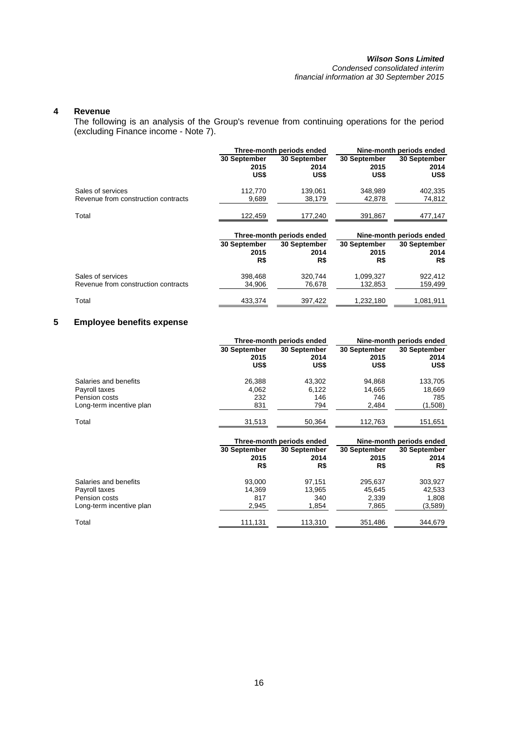*Condensed consolidated interim financial information at 30 September 2015* 

# **4 Revenue**

The following is an analysis of the Group's revenue from continuing operations for the period (excluding Finance income - Note 7).

|              |              | Nine-month periods ended                               |              |  |
|--------------|--------------|--------------------------------------------------------|--------------|--|
| 30 September | 30 September | 30 September                                           | 30 September |  |
| 2015         | 2014         | 2015                                                   | 2014         |  |
| US\$         | US\$         | US\$                                                   | US\$         |  |
| 112,770      | 139,061      | 348,989                                                | 402,335      |  |
| 9,689        | 38,179       | 42,878                                                 | 74,812       |  |
| 122,459      | 177,240      | 391.867                                                | 477,147      |  |
|              |              | Nine-month periods ended                               |              |  |
| 30 September | 30 September | 30 September                                           | 30 September |  |
| 2015         | 2014         | 2015                                                   | 2014         |  |
| R\$          | R\$          | R\$                                                    | R\$          |  |
| 398,468      | 320,744      | 1,099,327                                              | 922,412      |  |
| 34,906       | 76,678       | 132,853                                                | 159,499      |  |
|              |              | Three-month periods ended<br>Three-month periods ended |              |  |

Total Total 433,374 397,422 1,232,180 1,081,911

Total

# **5 Employee benefits expense**

|                          |              | Three-month periods ended | Nine-month periods ended |                          |  |
|--------------------------|--------------|---------------------------|--------------------------|--------------------------|--|
|                          | 30 September | 30 September              | 30 September             | 30 September             |  |
|                          | 2015         | 2014                      | 2015                     | 2014                     |  |
|                          | US\$         | US\$                      | US\$                     | US\$                     |  |
| Salaries and benefits    | 26,388       | 43,302                    | 94,868                   | 133,705                  |  |
| Payroll taxes            | 4,062        | 6,122                     | 14,665                   | 18,669                   |  |
| Pension costs            | 232          | 146                       | 746                      | 785                      |  |
| Long-term incentive plan | 831          | 794                       | 2,484                    | (1,508)                  |  |
| Total                    | 31,513       | 50,364                    | 112,763                  | 151,651                  |  |
|                          |              | Three-month periods ended |                          | Nine-month periods ended |  |
|                          | 30 September | 30 September              | 30 September             | 30 September             |  |
|                          | 2015         | 2014                      | 2015                     | 2014                     |  |
|                          | R\$          | R\$                       | R\$                      | R\$                      |  |
| Salaries and benefits    | 93,000       | 97,151                    | 295,637                  | 303,927                  |  |
| Payroll taxes            | 14,369       | 13,965                    | 45,645                   | 42,533                   |  |
| Pension costs            | 817          | 340                       | 2,339                    | 1,808                    |  |
| Long-term incentive plan | 2,945        | 1,854                     | 7,865                    | (3,589)                  |  |

111,131 113,310 351,486 344,679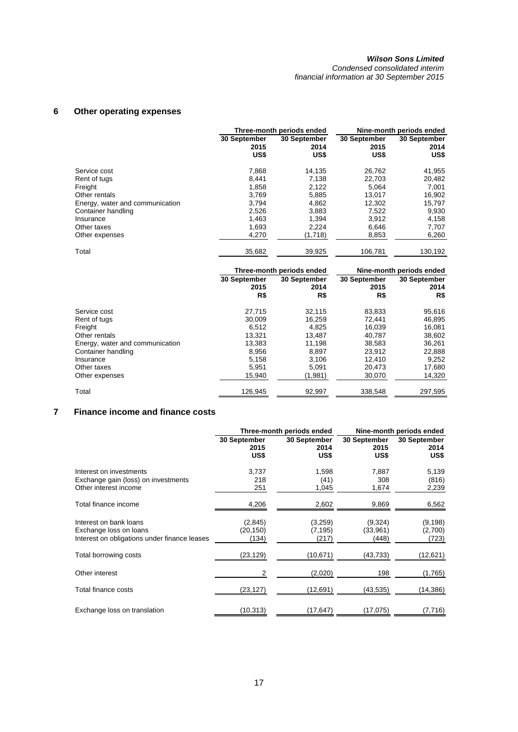*Condensed consolidated interim financial information at 30 September 2015* 

# **6 Other operating expenses**

|                                 |                              | Three-month periods ended    | Nine-month periods ended     |                              |  |
|---------------------------------|------------------------------|------------------------------|------------------------------|------------------------------|--|
|                                 | 30 September<br>2015<br>US\$ | 30 September<br>2014<br>US\$ | 30 September<br>2015<br>US\$ | 30 September<br>2014<br>US\$ |  |
| Service cost                    | 7,868                        | 14.135                       | 26,762                       | 41,955                       |  |
| Rent of tugs                    | 8,441                        | 7,138                        | 22,703                       | 20,482                       |  |
| Freight                         | 1,858                        | 2,122                        | 5,064                        | 7,001                        |  |
| Other rentals                   | 3.769                        | 5,885                        | 13.017                       | 16,902                       |  |
| Energy, water and communication | 3.794                        | 4,862                        | 12,302                       | 15,797                       |  |
| Container handling              | 2,526                        | 3,883                        | 7,522                        | 9,930                        |  |
| Insurance                       | 1.463                        | 1.394                        | 3.912                        | 4.158                        |  |
| Other taxes                     | 1,693                        | 2,224                        | 6,646                        | 7,707                        |  |
| Other expenses                  | 4,270                        | (1,718)                      | 8,853                        | 6,260                        |  |
| Total                           | 35.682                       | 39.925                       | 106.781                      | 130.192                      |  |

|                                 |                             | Three-month periods ended   | Nine-month periods ended    |                             |  |
|---------------------------------|-----------------------------|-----------------------------|-----------------------------|-----------------------------|--|
|                                 | 30 September<br>2015<br>R\$ | 30 September<br>2014<br>R\$ | 30 September<br>2015<br>R\$ | 30 September<br>2014<br>R\$ |  |
| Service cost                    | 27,715                      | 32,115                      | 83,833                      | 95,616                      |  |
| Rent of tugs                    | 30,009                      | 16.259                      | 72,441                      | 46,895                      |  |
| Freight                         | 6,512                       | 4,825                       | 16,039                      | 16,081                      |  |
| Other rentals                   | 13,321                      | 13,487                      | 40,787                      | 38,602                      |  |
| Energy, water and communication | 13.383                      | 11,198                      | 38,583                      | 36,261                      |  |
| Container handling              | 8,956                       | 8.897                       | 23,912                      | 22,888                      |  |
| Insurance                       | 5,158                       | 3.106                       | 12.410                      | 9,252                       |  |
| Other taxes                     | 5.951                       | 5.091                       | 20.473                      | 17,680                      |  |
| Other expenses                  | 15.940                      | (1,981)                     | 30,070                      | 14,320                      |  |
| Total                           | 126,945                     | 92,997                      | 338,548                     | 297,595                     |  |

# **7 Finance income and finance costs**

|                                                                                                  |                              | Three-month periods ended    | Nine-month periods ended     |                              |  |
|--------------------------------------------------------------------------------------------------|------------------------------|------------------------------|------------------------------|------------------------------|--|
|                                                                                                  | 30 September<br>2015<br>US\$ | 30 September<br>2014<br>US\$ | 30 September<br>2015<br>US\$ | 30 September<br>2014<br>US\$ |  |
| Interest on investments<br>Exchange gain (loss) on investments<br>Other interest income          | 3,737<br>218<br>251          | 1,598<br>(41)<br>1,045       | 7,887<br>308<br>1,674        | 5,139<br>(816)<br>2,239      |  |
| Total finance income                                                                             | 4,206                        | 2,602                        | 9,869                        | 6,562                        |  |
| Interest on bank loans<br>Exchange loss on loans<br>Interest on obligations under finance leases | (2,845)<br>(20,150)<br>(134) | (3,259)<br>(7,195)<br>(217)  | (9,324)<br>(33,961)<br>(448) | (9, 198)<br>(2,700)<br>(723) |  |
| Total borrowing costs                                                                            | (23,129)                     | (10,671)                     | (43,733)                     | (12,621)                     |  |
| Other interest                                                                                   | 2                            | (2,020)                      | 198                          | (1,765)                      |  |
| Total finance costs                                                                              | (23, 127)                    | (12, 691)                    | (43, 535)                    | (14, 386)                    |  |
| Exchange loss on translation                                                                     | (10, 313)                    | (17,647)                     | (17.075)                     | (7, 716)                     |  |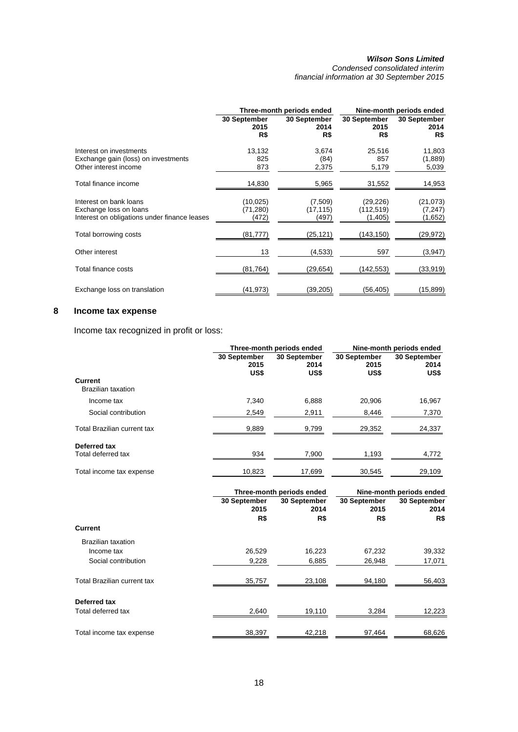*Condensed consolidated interim financial information at 30 September 2015* 

|                                                                                                  |                                 | Three-month periods ended     | Nine-month periods ended           |                                  |  |
|--------------------------------------------------------------------------------------------------|---------------------------------|-------------------------------|------------------------------------|----------------------------------|--|
|                                                                                                  | 30 September<br>2015<br>R\$     | 30 September<br>2014<br>R\$   | 30 September<br>2015<br>R\$        | 30 September<br>2014<br>R\$      |  |
| Interest on investments<br>Exchange gain (loss) on investments<br>Other interest income          | 13,132<br>825<br>873            | 3,674<br>(84)<br>2,375        | 25,516<br>857<br>5,179             | 11,803<br>(1,889)<br>5,039       |  |
| Total finance income                                                                             | 14,830                          | 5,965                         | 31,552                             | 14,953                           |  |
| Interest on bank loans<br>Exchange loss on loans<br>Interest on obligations under finance leases | (10, 025)<br>(71, 280)<br>(472) | (7,509)<br>(17, 115)<br>(497) | (29, 226)<br>(112, 519)<br>(1,405) | (21, 073)<br>(7, 247)<br>(1,652) |  |
| Total borrowing costs                                                                            | (81, 777)                       | (25,121)                      | (143,150)                          | (29,972)                         |  |
| Other interest                                                                                   | 13                              | (4,533)                       | 597                                | (3, 947)                         |  |
| Total finance costs                                                                              | (81, 764)                       | (29,654)                      | (142,553)                          | (33, 919)                        |  |
| Exchange loss on translation                                                                     | (41, 973)                       | (39,205)                      | (56,405)                           | (15, 899)                        |  |

# **8 Income tax expense**

Income tax recognized in profit or loss:

|                                      |                              | Three-month periods ended    | Nine-month periods ended     |                              |  |
|--------------------------------------|------------------------------|------------------------------|------------------------------|------------------------------|--|
| Current<br><b>Brazilian taxation</b> | 30 September<br>2015<br>US\$ | 30 September<br>2014<br>US\$ | 30 September<br>2015<br>US\$ | 30 September<br>2014<br>US\$ |  |
| Income tax                           | 7.340                        | 6,888                        | 20.906                       | 16,967                       |  |
| Social contribution                  | 2,549                        | 2,911                        | 8,446                        | 7,370                        |  |
| <b>Total Brazilian current tax</b>   | 9,889                        | 9,799                        | 29,352                       | 24,337                       |  |
| Deferred tax<br>Total deferred tax   | 934                          | 7,900                        | 1,193                        | 4,772                        |  |
| Total income tax expense             | 10,823                       | 17,699                       | 30.545                       | 29,109                       |  |

|                                    |                      | Three-month periods ended | Nine-month periods ended |                      |  |
|------------------------------------|----------------------|---------------------------|--------------------------|----------------------|--|
|                                    | 30 September<br>2015 | 30 September<br>2014      | 30 September<br>2015     | 30 September<br>2014 |  |
|                                    | R\$                  | R\$                       | R\$                      | R\$                  |  |
| <b>Current</b>                     |                      |                           |                          |                      |  |
| Brazilian taxation                 |                      |                           |                          |                      |  |
| Income tax                         | 26,529               | 16,223                    | 67,232                   | 39,332               |  |
| Social contribution                | 9,228                | 6,885                     | 26,948                   | 17,071               |  |
| <b>Total Brazilian current tax</b> | 35,757               | 23,108                    | 94,180                   | 56,403               |  |
| Deferred tax                       |                      |                           |                          |                      |  |
| Total deferred tax                 | 2,640                | 19,110                    | 3,284                    | 12,223               |  |
| Total income tax expense           | 38,397               | 42,218                    | 97,464                   | 68,626               |  |
|                                    |                      |                           |                          |                      |  |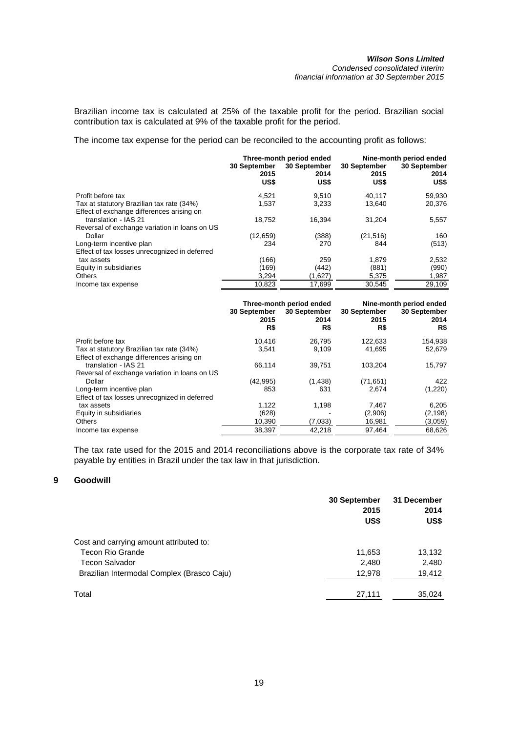Brazilian income tax is calculated at 25% of the taxable profit for the period. Brazilian social contribution tax is calculated at 9% of the taxable profit for the period.

The income tax expense for the period can be reconciled to the accounting profit as follows:

|                                               | 30 September | Three-month period ended<br>30 September | Nine-month period ended<br>30 September<br>30 September |              |  |
|-----------------------------------------------|--------------|------------------------------------------|---------------------------------------------------------|--------------|--|
|                                               | 2015<br>US\$ | 2014<br>US\$                             | 2015<br>US\$                                            | 2014<br>US\$ |  |
| Profit before tax                             | 4,521        | 9,510                                    | 40,117                                                  | 59,930       |  |
| Tax at statutory Brazilian tax rate (34%)     | 1,537        | 3,233                                    | 13.640                                                  | 20,376       |  |
| Effect of exchange differences arising on     |              |                                          |                                                         |              |  |
| translation - IAS 21                          | 18,752       | 16.394                                   | 31,204                                                  | 5,557        |  |
| Reversal of exchange variation in loans on US |              |                                          |                                                         |              |  |
| Dollar                                        | (12, 659)    | (388)                                    | (21, 516)                                               | 160          |  |
| Long-term incentive plan                      | 234          | 270                                      | 844                                                     | (513)        |  |
| Effect of tax losses unrecognized in deferred |              |                                          |                                                         |              |  |
| tax assets                                    | (166)        | 259                                      | 1,879                                                   | 2,532        |  |
| Equity in subsidiaries                        | (169)        | (442)                                    | (881)                                                   | (990)        |  |
| <b>Others</b>                                 | 3,294        | (1,627)                                  | 5,375                                                   | 1,987        |  |
| Income tax expense                            | 10,823       | 17,699                                   | 30,545                                                  | 29,109       |  |

|                                                                   | 30 September<br>2015 | Three-month period ended<br>30 September<br>2014 | Nine-month period ended<br>30 September<br>30 September<br>2015<br>2014 |          |
|-------------------------------------------------------------------|----------------------|--------------------------------------------------|-------------------------------------------------------------------------|----------|
|                                                                   | R\$                  | R\$                                              | R\$                                                                     | R\$      |
| Profit before tax                                                 | 10.416               | 26.795                                           | 122,633                                                                 | 154,938  |
| Tax at statutory Brazilian tax rate (34%)                         | 3.541                | 9.109                                            | 41.695                                                                  | 52,679   |
| Effect of exchange differences arising on<br>translation - IAS 21 | 66,114               | 39.751                                           | 103.204                                                                 | 15,797   |
| Reversal of exchange variation in loans on US                     |                      |                                                  |                                                                         |          |
| Dollar                                                            | (42, 995)            | (1,438)                                          | (71, 651)                                                               | 422      |
| Long-term incentive plan                                          | 853                  | 631                                              | 2.674                                                                   | (1,220)  |
| Effect of tax losses unrecognized in deferred                     |                      |                                                  |                                                                         |          |
| tax assets                                                        | 1.122                | 1,198                                            | 7,467                                                                   | 6,205    |
| Equity in subsidiaries                                            | (628)                |                                                  | (2,906)                                                                 | (2, 198) |
| <b>Others</b>                                                     | 10,390               | (7,033)                                          | 16,981                                                                  | (3,059)  |
| Income tax expense                                                | 38.397               | 42.218                                           | 97,464                                                                  | 68.626   |

The tax rate used for the 2015 and 2014 reconciliations above is the corporate tax rate of 34% payable by entities in Brazil under the tax law in that jurisdiction.

# **9 Goodwill**

|                                            | 30 September<br>2015<br>US\$ | 31 December<br>2014<br>US\$ |
|--------------------------------------------|------------------------------|-----------------------------|
| Cost and carrying amount attributed to:    |                              |                             |
| <b>Tecon Rio Grande</b>                    | 11,653                       | 13,132                      |
| <b>Tecon Salvador</b>                      | 2,480                        | 2,480                       |
| Brazilian Intermodal Complex (Brasco Caju) | 12,978                       | 19,412                      |
| Total                                      | 27,111                       | 35,024                      |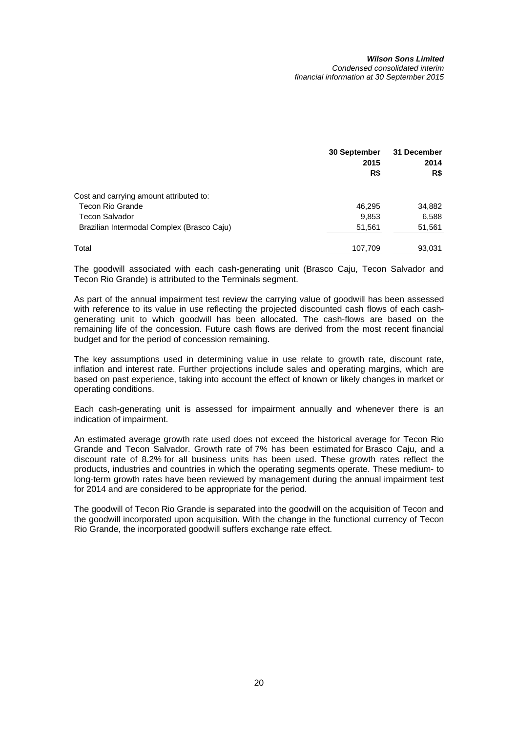## *Wilson Sons Limited Condensed consolidated interim*

*financial information at 30 September 2015* 

|                                            | 30 September<br>2015 | 31 December<br>2014 |
|--------------------------------------------|----------------------|---------------------|
|                                            | R\$                  | R\$                 |
| Cost and carrying amount attributed to:    |                      |                     |
| Tecon Rio Grande                           | 46.295               | 34,882              |
| <b>Tecon Salvador</b>                      | 9,853                | 6,588               |
| Brazilian Intermodal Complex (Brasco Caju) | 51,561               | 51,561              |
| Total                                      | 107,709              | 93,031              |

The goodwill associated with each cash-generating unit (Brasco Caju, Tecon Salvador and Tecon Rio Grande) is attributed to the Terminals segment.

As part of the annual impairment test review the carrying value of goodwill has been assessed with reference to its value in use reflecting the projected discounted cash flows of each cashgenerating unit to which goodwill has been allocated. The cash-flows are based on the remaining life of the concession. Future cash flows are derived from the most recent financial budget and for the period of concession remaining.

The key assumptions used in determining value in use relate to growth rate, discount rate, inflation and interest rate. Further projections include sales and operating margins, which are based on past experience, taking into account the effect of known or likely changes in market or operating conditions.

Each cash-generating unit is assessed for impairment annually and whenever there is an indication of impairment.

An estimated average growth rate used does not exceed the historical average for Tecon Rio Grande and Tecon Salvador. Growth rate of 7% has been estimated for Brasco Caju, and a discount rate of 8.2% for all business units has been used. These growth rates reflect the products, industries and countries in which the operating segments operate. These medium- to long-term growth rates have been reviewed by management during the annual impairment test for 2014 and are considered to be appropriate for the period.

The goodwill of Tecon Rio Grande is separated into the goodwill on the acquisition of Tecon and the goodwill incorporated upon acquisition. With the change in the functional currency of Tecon Rio Grande, the incorporated goodwill suffers exchange rate effect.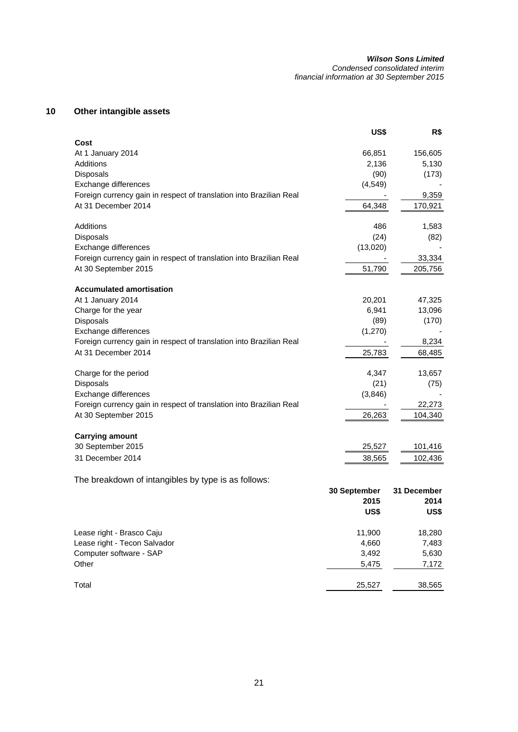#### *Wilson Sons Limited Condensed consolidated interim*

*financial information at 30 September 2015* 

# **10 Other intangible assets**

|                                                                     | US\$         | R\$         |
|---------------------------------------------------------------------|--------------|-------------|
| Cost<br>At 1 January 2014                                           | 66,851       | 156,605     |
| Additions                                                           | 2,136        | 5,130       |
| <b>Disposals</b>                                                    | (90)         | (173)       |
| Exchange differences                                                | (4, 549)     |             |
| Foreign currency gain in respect of translation into Brazilian Real |              | 9,359       |
| At 31 December 2014                                                 | 64,348       | 170,921     |
| Additions                                                           | 486          | 1,583       |
| Disposals                                                           | (24)         | (82)        |
| Exchange differences                                                | (13,020)     |             |
| Foreign currency gain in respect of translation into Brazilian Real |              | 33,334      |
| At 30 September 2015                                                | 51,790       | 205,756     |
| <b>Accumulated amortisation</b>                                     |              |             |
| At 1 January 2014                                                   | 20,201       | 47,325      |
| Charge for the year                                                 | 6,941        | 13,096      |
| Disposals                                                           | (89)         | (170)       |
| Exchange differences                                                | (1,270)      |             |
| Foreign currency gain in respect of translation into Brazilian Real |              | 8,234       |
| At 31 December 2014                                                 | 25,783       | 68,485      |
| Charge for the period                                               | 4,347        | 13,657      |
| Disposals                                                           | (21)         | (75)        |
| Exchange differences                                                | (3,846)      |             |
| Foreign currency gain in respect of translation into Brazilian Real |              | 22,273      |
| At 30 September 2015                                                | 26,263       | 104,340     |
| <b>Carrying amount</b>                                              |              |             |
| 30 September 2015                                                   | 25,527       | 101,416     |
| 31 December 2014                                                    | 38,565       | 102,436     |
| The breakdown of intangibles by type is as follows:                 |              |             |
|                                                                     | 30 September | 31 December |
|                                                                     | 2015         | 2014        |
|                                                                     | US\$         | US\$        |
| Lease right - Brasco Caju                                           | 11,900       | 18,280      |
| Lease right - Tecon Salvador                                        | 4,660        | 7,483       |
| Computer software - SAP                                             | 3,492        | 5,630       |
| Other                                                               | 5,475        | 7,172       |
| Total                                                               | 25,527       | 38,565      |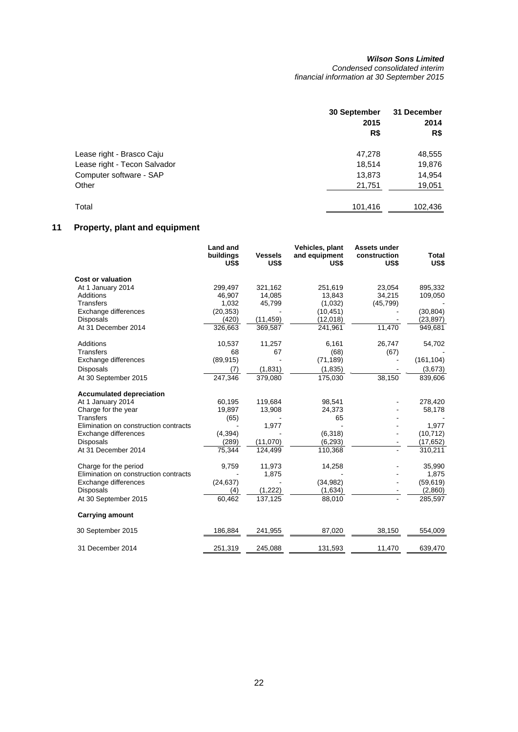*Condensed consolidated interim financial information at 30 September 2015* 

|                              | 30 September<br>2015<br>R\$ | 31 December<br>2014<br>R\$ |
|------------------------------|-----------------------------|----------------------------|
| Lease right - Brasco Caju    | 47,278                      | 48,555                     |
| Lease right - Tecon Salvador | 18.514                      | 19,876                     |
| Computer software - SAP      | 13,873                      | 14,954                     |
| Other                        | 21,751                      | 19,051                     |
| Total                        | 101,416                     | 102,436                    |

# **11 Property, plant and equipment**

|                                       | <b>Land and</b><br>buildings<br>US\$ | <b>Vessels</b><br>US\$ | Vehicles, plant<br>and equipment<br>US\$ | Assets under<br>construction<br>US\$ | Total<br>US\$ |
|---------------------------------------|--------------------------------------|------------------------|------------------------------------------|--------------------------------------|---------------|
| <b>Cost or valuation</b>              |                                      |                        |                                          |                                      |               |
| At 1 January 2014                     | 299,497                              | 321,162                | 251,619                                  | 23,054                               | 895,332       |
| Additions                             | 46,907                               | 14,085                 | 13,843                                   | 34,215                               | 109,050       |
| <b>Transfers</b>                      | 1,032                                | 45,799                 | (1,032)                                  | (45, 799)                            |               |
| Exchange differences                  | (20, 353)                            |                        | (10, 451)                                |                                      | (30, 804)     |
| <b>Disposals</b>                      | (420)                                | (11, 459)              | (12,018)                                 |                                      | (23, 897)     |
| At 31 December 2014                   | 326,663                              | 369,587                | 241,961                                  | 11,470                               | 949,681       |
| <b>Additions</b>                      | 10,537                               | 11,257                 | 6,161                                    | 26,747                               | 54,702        |
| <b>Transfers</b>                      | 68                                   | 67                     | (68)                                     | (67)                                 |               |
| Exchange differences                  | (89, 915)                            |                        | (71, 189)                                |                                      | (161, 104)    |
| <b>Disposals</b>                      | (7)                                  | (1,831)                | (1, 835)                                 |                                      | (3,673)       |
| At 30 September 2015                  | 247,346                              | 379,080                | 175,030                                  | 38,150                               | 839,606       |
| <b>Accumulated depreciation</b>       |                                      |                        |                                          |                                      |               |
| At 1 January 2014                     | 60,195                               | 119,684                | 98,541                                   |                                      | 278,420       |
| Charge for the year                   | 19,897                               | 13,908                 | 24,373                                   |                                      | 58,178        |
| <b>Transfers</b>                      | (65)                                 |                        | 65                                       |                                      |               |
| Elimination on construction contracts |                                      | 1,977                  |                                          |                                      | 1,977         |
| Exchange differences                  | (4, 394)                             |                        | (6,318)                                  |                                      | (10, 712)     |
| <b>Disposals</b>                      | (289)                                | (11,070)               | (6, 293)                                 |                                      | (17, 652)     |
| At 31 December 2014                   | 75,344                               | 124,499                | 110,368                                  |                                      | 310,211       |
| Charge for the period                 | 9,759                                | 11,973                 | 14,258                                   |                                      | 35,990        |
| Elimination on construction contracts |                                      | 1,875                  |                                          |                                      | 1,875         |
| Exchange differences                  | (24, 637)                            |                        | (34, 982)                                |                                      | (59, 619)     |
| <b>Disposals</b>                      | (4)                                  | (1,222)                | (1,634)                                  |                                      | (2,860)       |
| At 30 September 2015                  | 60,462                               | 137.125                | 88,010                                   |                                      | 285,597       |
| <b>Carrying amount</b>                |                                      |                        |                                          |                                      |               |
| 30 September 2015                     | 186,884                              | 241,955                | 87,020                                   | 38,150                               | 554,009       |
| 31 December 2014                      | 251,319                              | 245,088                | 131,593                                  | 11,470                               | 639,470       |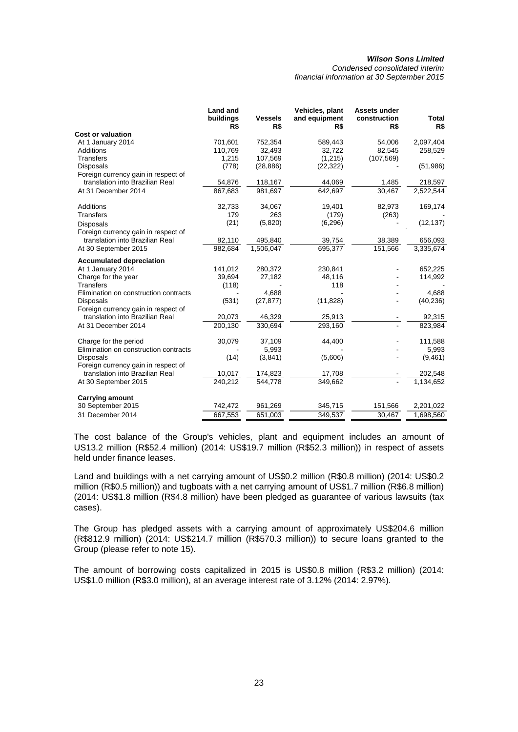*Condensed consolidated interim financial information at 30 September 2015* 

|                                       | <b>Land and</b><br>buildings<br>R\$ | <b>Vessels</b><br>R\$ | Vehicles, plant<br>and equipment<br>R\$ | Assets under<br>construction<br>R\$ | Total<br>R\$ |
|---------------------------------------|-------------------------------------|-----------------------|-----------------------------------------|-------------------------------------|--------------|
| <b>Cost or valuation</b>              |                                     |                       |                                         |                                     |              |
| At 1 January 2014                     | 701,601                             | 752,354               | 589,443                                 | 54,006                              | 2,097,404    |
| <b>Additions</b>                      | 110,769                             | 32,493                | 32,722                                  | 82,545                              | 258,529      |
| <b>Transfers</b>                      | 1,215                               | 107,569               | (1,215)                                 | (107, 569)                          |              |
| <b>Disposals</b>                      | (778)                               | (28, 886)             | (22, 322)                               |                                     | (51, 986)    |
| Foreign currency gain in respect of   |                                     |                       |                                         |                                     |              |
| translation into Brazilian Real       | 54,876                              | 118,167               | 44,069                                  | 1,485                               | 218,597      |
| At 31 December 2014                   | 867,683                             | 981,697               | 642,697                                 | 30,467                              | 2,522,544    |
| <b>Additions</b>                      | 32,733                              | 34,067                | 19,401                                  | 82,973                              | 169,174      |
| <b>Transfers</b>                      | 179                                 | 263                   | (179)                                   | (263)                               |              |
| <b>Disposals</b>                      | (21)                                | (5,820)               | (6, 296)                                |                                     | (12, 137)    |
| Foreign currency gain in respect of   |                                     |                       |                                         |                                     |              |
| translation into Brazilian Real       | 82,110                              | 495,840               | 39,754                                  | 38,389                              | 656,093      |
| At 30 September 2015                  | 982,684                             | 1,506,047             | 695,377                                 | 151,566                             | 3,335,674    |
| <b>Accumulated depreciation</b>       |                                     |                       |                                         |                                     |              |
| At 1 January 2014                     | 141,012                             | 280,372               | 230,841                                 |                                     | 652,225      |
| Charge for the year                   | 39,694                              | 27,182                | 48,116                                  |                                     | 114,992      |
| <b>Transfers</b>                      | (118)                               |                       | 118                                     |                                     |              |
| Elimination on construction contracts |                                     | 4,688                 |                                         |                                     | 4,688        |
| <b>Disposals</b>                      | (531)                               | (27, 877)             | (11, 828)                               |                                     | (40, 236)    |
| Foreign currency gain in respect of   |                                     |                       |                                         |                                     |              |
| translation into Brazilian Real       | 20,073                              | 46,329                | 25,913                                  |                                     | 92,315       |
| At 31 December 2014                   | 200,130                             | 330,694               | 293,160                                 |                                     | 823,984      |
| Charge for the period                 | 30,079                              | 37,109                | 44,400                                  |                                     | 111,588      |
| Elimination on construction contracts |                                     | 5,993                 |                                         |                                     | 5,993        |
| <b>Disposals</b>                      | (14)                                | (3,841)               | (5,606)                                 |                                     | (9,461)      |
| Foreign currency gain in respect of   |                                     |                       |                                         |                                     |              |
| translation into Brazilian Real       | 10,017                              | 174,823               | 17,708                                  |                                     | 202,548      |
| At 30 September 2015                  | 240,212                             | 544,778               | 349,662                                 |                                     | 1,134,652    |
| <b>Carrying amount</b>                |                                     |                       |                                         |                                     |              |
| 30 September 2015                     | 742,472                             | 961,269               | 345,715                                 | 151,566                             | 2,201,022    |
| 31 December 2014                      | 667,553                             | 651,003               | 349,537                                 | 30,467                              | 1,698,560    |

The cost balance of the Group's vehicles, plant and equipment includes an amount of US13.2 million (R\$52.4 million) (2014: US\$19.7 million (R\$52.3 million)) in respect of assets held under finance leases.

Land and buildings with a net carrying amount of US\$0.2 million (R\$0.8 million) (2014: US\$0.2 million (R\$0.5 million)) and tugboats with a net carrying amount of US\$1.7 million (R\$6.8 million) (2014: US\$1.8 million (R\$4.8 million) have been pledged as guarantee of various lawsuits (tax cases).

The Group has pledged assets with a carrying amount of approximately US\$204.6 million (R\$812.9 million) (2014: US\$214.7 million (R\$570.3 million)) to secure loans granted to the Group (please refer to note 15).

The amount of borrowing costs capitalized in 2015 is US\$0.8 million (R\$3.2 million) (2014: US\$1.0 million (R\$3.0 million), at an average interest rate of 3.12% (2014: 2.97%).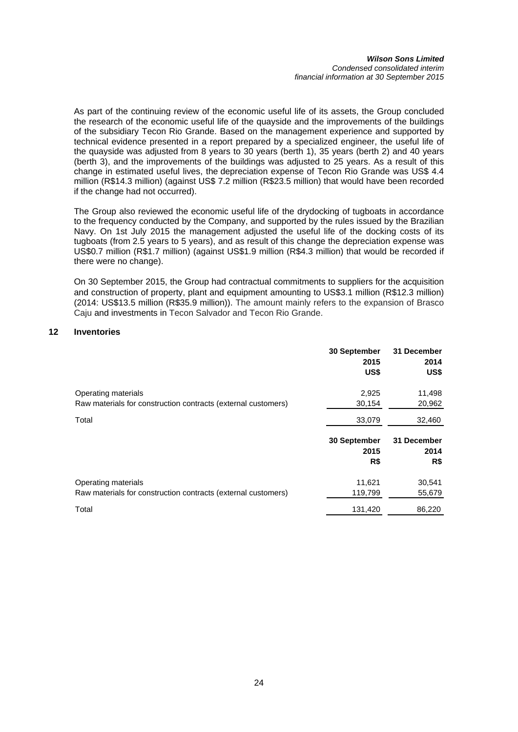#### *Wilson Sons Limited Condensed consolidated interim financial information at 30 September 2015*

As part of the continuing review of the economic useful life of its assets, the Group concluded the research of the economic useful life of the quayside and the improvements of the buildings of the subsidiary Tecon Rio Grande. Based on the management experience and supported by technical evidence presented in a report prepared by a specialized engineer, the useful life of the quayside was adjusted from 8 years to 30 years (berth 1), 35 years (berth 2) and 40 years (berth 3), and the improvements of the buildings was adjusted to 25 years. As a result of this change in estimated useful lives, the depreciation expense of Tecon Rio Grande was US\$ 4.4 million (R\$14.3 million) (against US\$ 7.2 million (R\$23.5 million) that would have been recorded if the change had not occurred).

The Group also reviewed the economic useful life of the drydocking of tugboats in accordance to the frequency conducted by the Company, and supported by the rules issued by the Brazilian Navy. On 1st July 2015 the management adjusted the useful life of the docking costs of its tugboats (from 2.5 years to 5 years), and as result of this change the depreciation expense was US\$0.7 million (R\$1.7 million) (against US\$1.9 million (R\$4.3 million) that would be recorded if there were no change).

On 30 September 2015, the Group had contractual commitments to suppliers for the acquisition and construction of property, plant and equipment amounting to US\$3.1 million (R\$12.3 million) (2014: US\$13.5 million (R\$35.9 million)). The amount mainly refers to the expansion of Brasco Caju and investments in Tecon Salvador and Tecon Rio Grande.

# **12 Inventories**

|                                                               | 30 September<br>2015<br>US\$ | 31 December<br>2014<br>US\$ |
|---------------------------------------------------------------|------------------------------|-----------------------------|
| Operating materials                                           | 2,925                        | 11,498                      |
| Raw materials for construction contracts (external customers) | 30,154                       | 20,962                      |
| Total                                                         | 33,079                       | 32,460                      |
|                                                               |                              |                             |
|                                                               | 30 September                 | 31 December                 |
|                                                               | 2015                         | 2014                        |
|                                                               | R\$                          | R\$                         |
| Operating materials                                           | 11,621                       | 30,541                      |
| Raw materials for construction contracts (external customers) | 119,799                      | 55,679                      |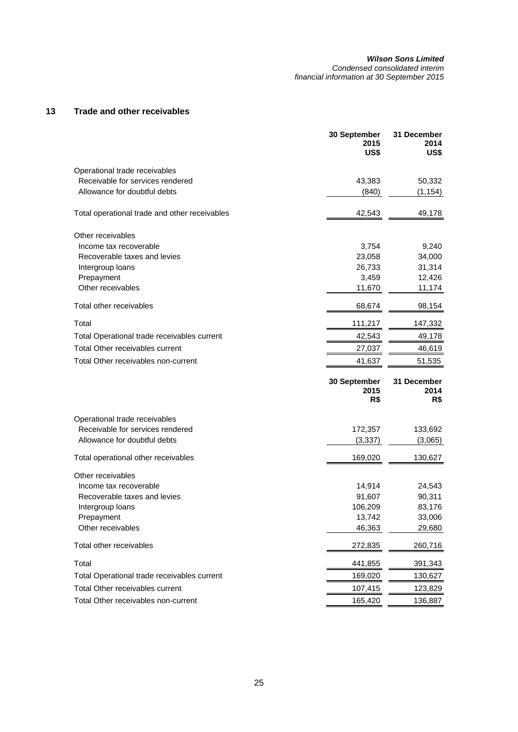*Condensed consolidated interim financial information at 30 September 2015* 

# **13 Trade and other receivables**

|                                               | 30 September<br>2015<br>US\$ | 31 December<br>2014<br>US\$ |
|-----------------------------------------------|------------------------------|-----------------------------|
| Operational trade receivables                 |                              |                             |
| Receivable for services rendered              | 43,383                       | 50,332                      |
| Allowance for doubtful debts                  | (840)                        | (1, 154)                    |
| Total operational trade and other receivables | 42,543                       | 49,178                      |
| Other receivables                             |                              |                             |
| Income tax recoverable                        | 3,754                        | 9,240                       |
| Recoverable taxes and levies                  | 23,058                       | 34,000                      |
| Intergroup loans                              | 26,733                       | 31,314                      |
| Prepayment                                    | 3,459                        | 12,426                      |
| Other receivables                             | 11,670                       | 11,174                      |
| Total other receivables                       | 68,674                       | 98,154                      |
| Total                                         | 111,217                      | 147,332                     |
| Total Operational trade receivables current   | 42,543                       | 49,178                      |
| <b>Total Other receivables current</b>        | 27,037                       | 46,619                      |
| Total Other receivables non-current           | 41,637                       | 51,535                      |
|                                               | 30 September<br>2015<br>R\$  | 31 December<br>2014<br>R\$  |
| Operational trade receivables                 |                              |                             |
| Receivable for services rendered              | 172,357                      | 133,692                     |
| Allowance for doubtful debts                  | (3, 337)                     | (3,065)                     |
| Total operational other receivables           | 169,020                      | 130,627                     |
| Other receivables                             |                              |                             |
| Income tax recoverable                        | 14,914                       | 24,543                      |
| Recoverable taxes and levies                  | 91,607                       | 90,311                      |
| Intergroup loans                              | 106,209                      | 83,176                      |
| Prepayment                                    | 13,742                       | 33,006                      |
| Other receivables                             | 46,363                       | 29,680                      |
| Total other receivables                       | 272,835                      | 260,716                     |
| Total                                         | 441,855                      | 391,343                     |
| Total Operational trade receivables current   | 169,020                      | 130,627                     |
| Total Other receivables current               | 107,415                      | 123,829                     |
| Total Other receivables non-current           | 165,420                      | 136,887                     |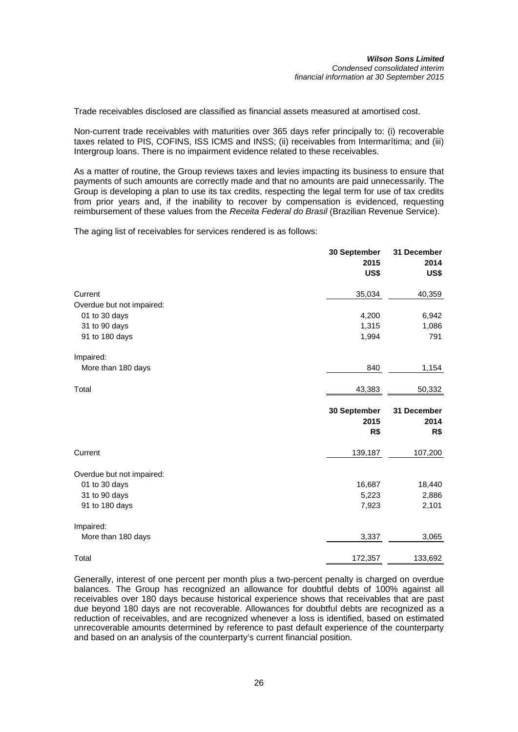Trade receivables disclosed are classified as financial assets measured at amortised cost.

Non-current trade receivables with maturities over 365 days refer principally to: (i) recoverable taxes related to PIS, COFINS, ISS ICMS and INSS; (ii) receivables from Intermarítima; and (iii) Intergroup loans. There is no impairment evidence related to these receivables.

As a matter of routine, the Group reviews taxes and levies impacting its business to ensure that payments of such amounts are correctly made and that no amounts are paid unnecessarily. The Group is developing a plan to use its tax credits, respecting the legal term for use of tax credits from prior years and, if the inability to recover by compensation is evidenced, requesting reimbursement of these values from the *Receita Federal do Brasil* (Brazilian Revenue Service).

The aging list of receivables for services rendered is as follows:

|                           | 30 September<br>2015<br><b>US\$</b> | 31 December<br>2014<br>US\$ |
|---------------------------|-------------------------------------|-----------------------------|
| Current                   | 35,034                              | 40,359                      |
| Overdue but not impaired: |                                     |                             |
| 01 to 30 days             | 4,200                               | 6,942                       |
| 31 to 90 days             | 1,315                               | 1,086                       |
| 91 to 180 days            | 1,994                               | 791                         |
| Impaired:                 |                                     |                             |
| More than 180 days        | 840                                 | 1,154                       |
| Total                     | 43,383                              | 50,332                      |
|                           | 30 September                        | 31 December                 |
|                           | 2015                                | 2014                        |
|                           | R\$                                 | R\$                         |
| Current                   | 139,187                             | 107,200                     |
| Overdue but not impaired: |                                     |                             |
| 01 to 30 days             | 16,687                              | 18,440                      |
| 31 to 90 days             | 5,223                               | 2,886                       |
| 91 to 180 days            | 7,923                               | 2,101                       |
| Impaired:                 |                                     |                             |
| More than 180 days        | 3,337                               | 3,065                       |
|                           |                                     |                             |

Generally, interest of one percent per month plus a two-percent penalty is charged on overdue balances. The Group has recognized an allowance for doubtful debts of 100% against all receivables over 180 days because historical experience shows that receivables that are past due beyond 180 days are not recoverable. Allowances for doubtful debts are recognized as a reduction of receivables, and are recognized whenever a loss is identified, based on estimated unrecoverable amounts determined by reference to past default experience of the counterparty and based on an analysis of the counterparty's current financial position.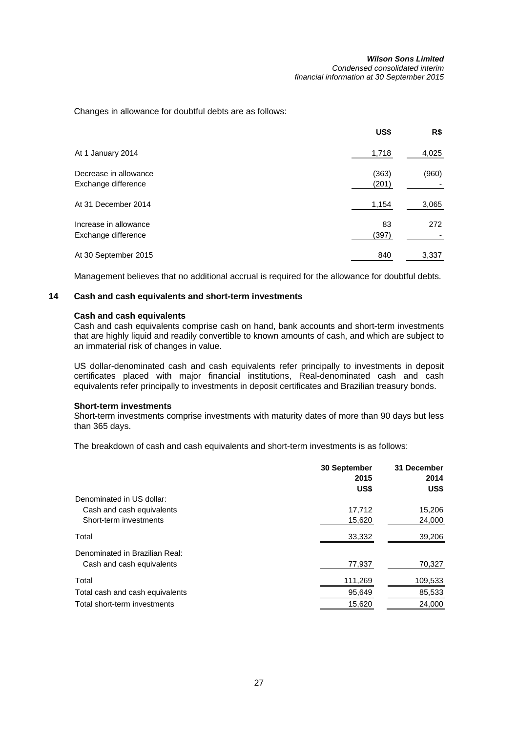Changes in allowance for doubtful debts are as follows:

|                                              | US\$           | R\$   |
|----------------------------------------------|----------------|-------|
| At 1 January 2014                            | 1,718          | 4,025 |
| Decrease in allowance<br>Exchange difference | (363)<br>(201) | (960) |
| At 31 December 2014                          | 1,154          | 3,065 |
| Increase in allowance<br>Exchange difference | 83<br>(397)    | 272   |
| At 30 September 2015                         | 840            | 3,337 |

Management believes that no additional accrual is required for the allowance for doubtful debts.

# **14 Cash and cash equivalents and short-term investments**

### **Cash and cash equivalents**

Cash and cash equivalents comprise cash on hand, bank accounts and short-term investments that are highly liquid and readily convertible to known amounts of cash, and which are subject to an immaterial risk of changes in value.

US dollar-denominated cash and cash equivalents refer principally to investments in deposit certificates placed with major financial institutions, Real-denominated cash and cash equivalents refer principally to investments in deposit certificates and Brazilian treasury bonds.

## **Short-term investments**

Short-term investments comprise investments with maturity dates of more than 90 days but less than 365 days.

The breakdown of cash and cash equivalents and short-term investments is as follows:

|                                 | 30 September<br>2015<br>US\$ | 31 December<br>2014<br>US\$ |
|---------------------------------|------------------------------|-----------------------------|
| Denominated in US dollar:       |                              |                             |
| Cash and cash equivalents       | 17,712                       | 15,206                      |
| Short-term investments          | 15,620                       | 24,000                      |
| Total                           | 33,332                       | 39,206                      |
| Denominated in Brazilian Real:  |                              |                             |
| Cash and cash equivalents       | 77,937                       | 70,327                      |
| Total                           | 111,269                      | 109,533                     |
| Total cash and cash equivalents | 95,649                       | 85,533                      |
| Total short-term investments    | 15,620                       | 24,000                      |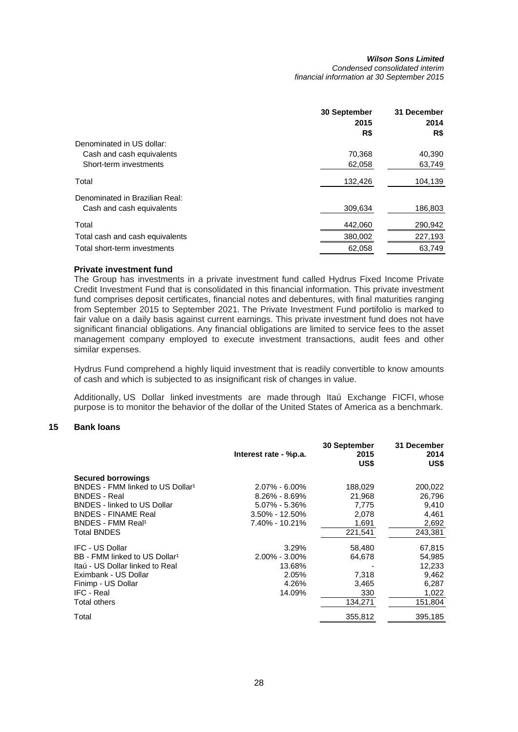|                                 | <b>30 September</b> | 31 December |
|---------------------------------|---------------------|-------------|
|                                 | 2015                | 2014        |
|                                 | R\$                 | R\$         |
| Denominated in US dollar:       |                     |             |
| Cash and cash equivalents       | 70,368              | 40,390      |
| Short-term investments          | 62,058              | 63,749      |
| Total                           | 132,426             | 104,139     |
| Denominated in Brazilian Real:  |                     |             |
| Cash and cash equivalents       | 309.634             | 186,803     |
| Total                           | 442,060             | 290,942     |
| Total cash and cash equivalents | 380,002             | 227,193     |
| Total short-term investments    | 62.058              | 63.749      |

# **Private investment fund**

The Group has investments in a private investment fund called Hydrus Fixed Income Private Credit Investment Fund that is consolidated in this financial information. This private investment fund comprises deposit certificates, financial notes and debentures, with final maturities ranging from September 2015 to September 2021. The Private Investment Fund portifolio is marked to fair value on a daily basis against current earnings. This private investment fund does not have significant financial obligations. Any financial obligations are limited to service fees to the asset management company employed to execute investment transactions, audit fees and other similar expenses.

Hydrus Fund comprehend a highly liquid investment that is readily convertible to know amounts of cash and which is subjected to as insignificant risk of changes in value.

Additionally, US Dollar linked investments are made through Itaú Exchange FICFI, whose purpose is to monitor the behavior of the dollar of the United States of America as a benchmark.

# **15 Bank loans**

|                                              | Interest rate - %p.a. | 30 September<br>2015<br>US\$ | 31 December<br>2014<br>US\$ |
|----------------------------------------------|-----------------------|------------------------------|-----------------------------|
| <b>Secured borrowings</b>                    |                       |                              |                             |
| BNDES - FMM linked to US Dollar <sup>1</sup> | $2.07\% - 6.00\%$     | 188,029                      | 200,022                     |
| <b>BNDES</b> - Real                          | $8.26\% - 8.69\%$     | 21,968                       | 26,796                      |
| <b>BNDES</b> - linked to US Dollar           | $5.07\% - 5.36\%$     | 7,775                        | 9,410                       |
| <b>BNDES - FINAME Real</b>                   | $3.50\% - 12.50\%$    | 2,078                        | 4,461                       |
| BNDES - FMM Real <sup>1</sup>                | 7.40% - 10.21%        | 1,691                        | 2,692                       |
| <b>Total BNDES</b>                           |                       | 221,541                      | 243,381                     |
| <b>IFC - US Dollar</b>                       | 3.29%                 | 58,480                       | 67,815                      |
| BB - FMM linked to US Dollar <sup>1</sup>    | $2.00\% - 3.00\%$     | 64,678                       | 54,985                      |
| Itaú - US Dollar linked to Real              | 13.68%                |                              | 12,233                      |
| Eximbank - US Dollar                         | 2.05%                 | 7,318                        | 9,462                       |
| Finimp - US Dollar                           | 4.26%                 | 3,465                        | 6,287                       |
| <b>IFC - Real</b>                            | 14.09%                | 330                          | 1,022                       |
| <b>Total others</b>                          |                       | 134,271                      | 151,804                     |
| Total                                        |                       | 355,812                      | 395,185                     |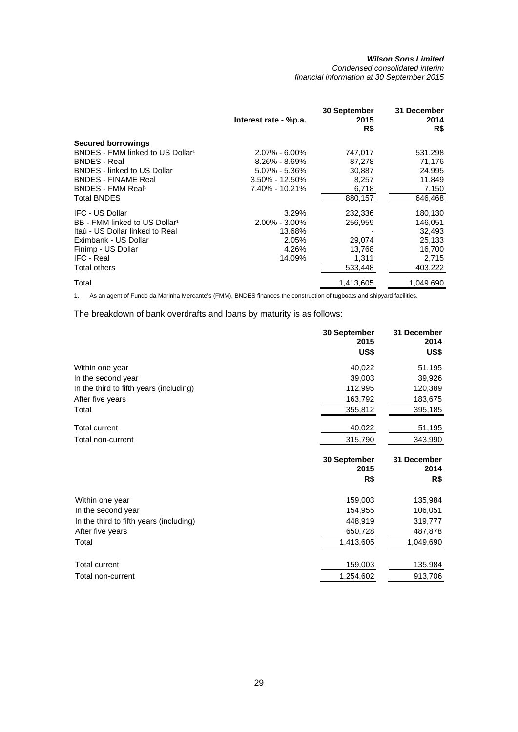*Condensed consolidated interim financial information at 30 September 2015* 

|                                              | Interest rate - %p.a. | 30 September<br>2015<br>R\$ | 31 December<br>2014<br>R\$ |
|----------------------------------------------|-----------------------|-----------------------------|----------------------------|
| <b>Secured borrowings</b>                    |                       |                             |                            |
| BNDES - FMM linked to US Dollar <sup>1</sup> | $2.07\% - 6.00\%$     | 747,017                     | 531,298                    |
| <b>BNDES</b> - Real                          | $8.26\% - 8.69\%$     | 87,278                      | 71,176                     |
| <b>BNDES</b> - linked to US Dollar           | $5.07\% - 5.36\%$     | 30,887                      | 24,995                     |
| <b>BNDES - FINAME Real</b>                   | $3.50\% - 12.50\%$    | 8,257                       | 11,849                     |
| BNDES - FMM Real <sup>1</sup>                | 7.40% - 10.21%        | 6,718                       | 7,150                      |
| <b>Total BNDES</b>                           |                       | 880,157                     | 646,468                    |
| <b>IFC - US Dollar</b>                       | 3.29%                 | 232,336                     | 180,130                    |
| BB - FMM linked to US Dollar <sup>1</sup>    | $2.00\% - 3.00\%$     | 256,959                     | 146,051                    |
| Itaú - US Dollar linked to Real              | 13.68%                |                             | 32,493                     |
| Eximbank - US Dollar                         | 2.05%                 | 29,074                      | 25,133                     |
| Finimp - US Dollar                           | 4.26%                 | 13,768                      | 16,700                     |
| IFC - Real                                   | 14.09%                | 1,311                       | 2,715                      |
| <b>Total others</b>                          |                       | 533,448                     | 403,222                    |
| Total                                        |                       | 1,413,605                   | 1.049.690                  |

1. As an agent of Fundo da Marinha Mercante's (FMM), BNDES finances the construction of tugboats and shipyard facilities.

The breakdown of bank overdrafts and loans by maturity is as follows:

|                                         | 30 September<br>2015<br>US\$ | 31 December<br>2014<br>US\$ |
|-----------------------------------------|------------------------------|-----------------------------|
| Within one year                         | 40,022                       | 51,195                      |
| In the second year                      | 39,003                       | 39,926                      |
| In the third to fifth years (including) | 112,995                      | 120,389                     |
| After five years                        | 163,792                      | 183,675                     |
| Total                                   | 355,812                      | 395,185                     |
| <b>Total current</b>                    | 40,022                       | 51,195                      |
| Total non-current                       | 315,790                      | 343,990                     |
|                                         |                              |                             |
|                                         | 30 September<br>2015<br>R\$  | 31 December<br>2014<br>R\$  |
| Within one year                         | 159,003                      | 135,984                     |
| In the second year                      | 154,955                      | 106,051                     |
| In the third to fifth years (including) | 448,919                      | 319,777                     |
| After five years                        | 650,728                      | 487,878                     |
| Total                                   | 1,413,605                    | 1,049,690                   |
| <b>Total current</b>                    | 159,003                      | 135,984                     |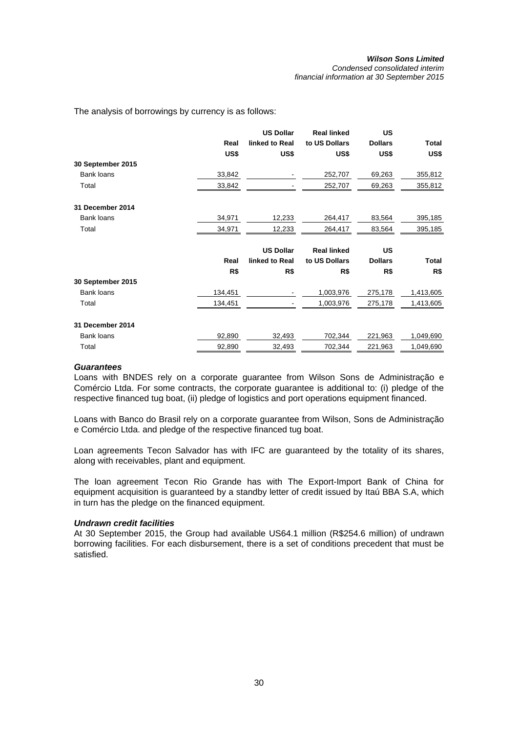*Condensed consolidated interim financial information at 30 September 2015* 

The analysis of borrowings by currency is as follows:

|                   |         | <b>US Dollar</b> | <b>Real linked</b> | US             |              |
|-------------------|---------|------------------|--------------------|----------------|--------------|
|                   | Real    | linked to Real   | to US Dollars      | <b>Dollars</b> | Total        |
|                   | US\$    | US\$             | US\$               | US\$           | US\$         |
| 30 September 2015 |         |                  |                    |                |              |
| <b>Bank loans</b> | 33,842  |                  | 252,707            | 69,263         | 355,812      |
| Total             | 33,842  |                  | 252,707            | 69,263         | 355,812      |
| 31 December 2014  |         |                  |                    |                |              |
| <b>Bank loans</b> | 34,971  | 12,233           | 264,417            | 83,564         | 395,185      |
| Total             | 34,971  | 12,233           | 264,417            | 83,564         | 395,185      |
|                   |         | <b>US Dollar</b> | <b>Real linked</b> | <b>US</b>      |              |
|                   | Real    | linked to Real   | to US Dollars      | <b>Dollars</b> | <b>Total</b> |
|                   | R\$     | R\$              | R\$                | R\$            | R\$          |
| 30 September 2015 |         |                  |                    |                |              |
| <b>Bank loans</b> | 134,451 |                  | 1,003,976          | 275,178        | 1,413,605    |
| Total             | 134,451 |                  | 1,003,976          | 275,178        | 1,413,605    |
| 31 December 2014  |         |                  |                    |                |              |
| Bank loans        | 92,890  | 32,493           | 702,344            | 221,963        | 1,049,690    |
| Total             |         |                  |                    |                |              |

# *Guarantees*

Loans with BNDES rely on a corporate guarantee from Wilson Sons de Administração e Comércio Ltda. For some contracts, the corporate guarantee is additional to: (i) pledge of the respective financed tug boat, (ii) pledge of logistics and port operations equipment financed.

Loans with Banco do Brasil rely on a corporate guarantee from Wilson, Sons de Administração e Comércio Ltda. and pledge of the respective financed tug boat.

Loan agreements Tecon Salvador has with IFC are guaranteed by the totality of its shares, along with receivables, plant and equipment.

The loan agreement Tecon Rio Grande has with The Export-Import Bank of China for equipment acquisition is guaranteed by a standby letter of credit issued by Itaú BBA S.A, which in turn has the pledge on the financed equipment.

#### *Undrawn credit facilities*

At 30 September 2015, the Group had available US64.1 million (R\$254.6 million) of undrawn borrowing facilities. For each disbursement, there is a set of conditions precedent that must be satisfied.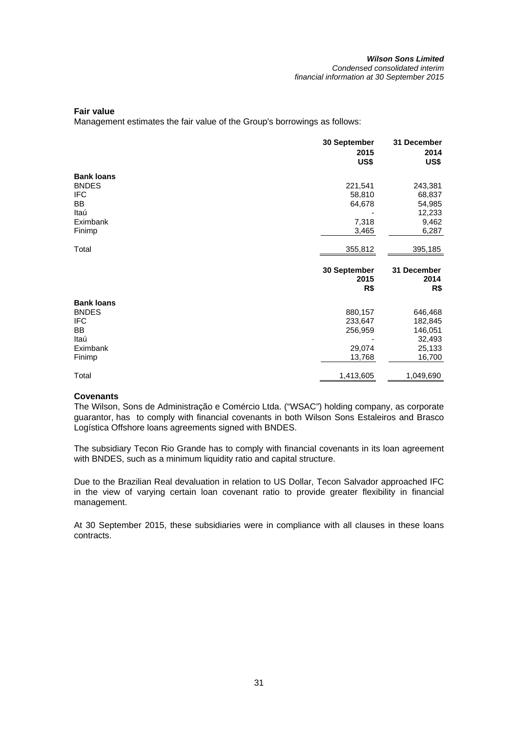## **Fair value**

Management estimates the fair value of the Group's borrowings as follows:

|                   | 30 September<br>2015<br>US\$ | 31 December<br>2014<br>US\$ |
|-------------------|------------------------------|-----------------------------|
| <b>Bank loans</b> |                              |                             |
| <b>BNDES</b>      | 221,541                      | 243,381                     |
| <b>IFC</b>        | 58,810                       | 68,837                      |
| BB                | 64,678                       | 54,985                      |
| Itaú              |                              | 12,233                      |
| Eximbank          | 7,318                        | 9,462                       |
| Finimp            | 3,465                        | 6,287                       |
| Total             | 355,812                      | 395,185                     |
|                   | 30 September<br>2015<br>R\$  | 31 December<br>2014<br>R\$  |
| <b>Bank loans</b> |                              |                             |
| <b>BNDES</b>      | 880,157                      | 646,468                     |
| IFC               | 233,647                      | 182,845                     |
| ВB                | 256,959                      | 146,051                     |
| Itaú              |                              | 32,493                      |
| Eximbank          | 29,074                       | 25,133                      |
| Finimp            | 13,768                       | 16,700                      |
| Total             | 1,413,605                    | 1,049,690                   |

# **Covenants**

The Wilson, Sons de Administração e Comércio Ltda. ("WSAC") holding company, as corporate guarantor, has to comply with financial covenants in both Wilson Sons Estaleiros and Brasco Logística Offshore loans agreements signed with BNDES.

The subsidiary Tecon Rio Grande has to comply with financial covenants in its loan agreement with BNDES, such as a minimum liquidity ratio and capital structure.

Due to the Brazilian Real devaluation in relation to US Dollar, Tecon Salvador approached IFC in the view of varying certain loan covenant ratio to provide greater flexibility in financial management.

At 30 September 2015, these subsidiaries were in compliance with all clauses in these loans contracts.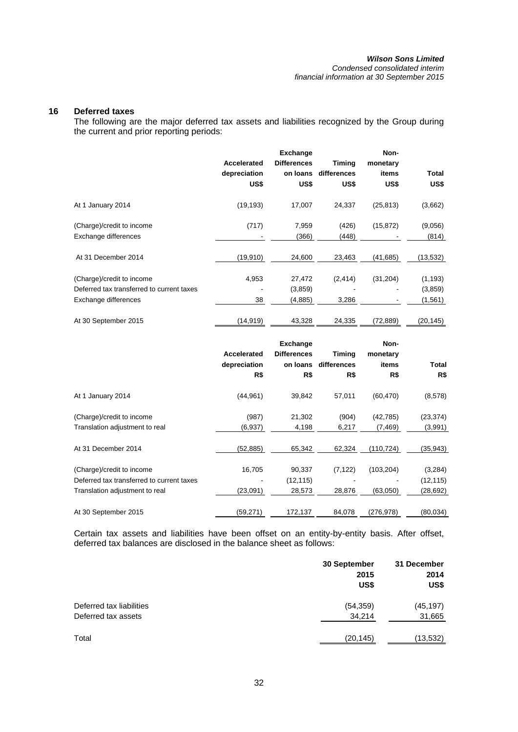#### *Wilson Sons Limited Condensed consolidated interim*

*financial information at 30 September 2015* 

# **16 Deferred taxes**

The following are the major deferred tax assets and liabilities recognized by the Group during the current and prior reporting periods:

|                                                                                                | Accelerated<br>depreciation<br>US\$ | <b>Exchange</b><br><b>Differences</b><br>on loans<br>US\$ | Timing<br>differences<br>US\$ | Non-<br>monetary<br>items<br>US\$ | Total<br>US\$                    |
|------------------------------------------------------------------------------------------------|-------------------------------------|-----------------------------------------------------------|-------------------------------|-----------------------------------|----------------------------------|
| At 1 January 2014                                                                              | (19, 193)                           | 17,007                                                    | 24,337                        | (25, 813)                         | (3,662)                          |
| (Charge)/credit to income<br>Exchange differences                                              | (717)                               | 7,959<br>(366)                                            | (426)<br>(448)                | (15, 872)                         | (9,056)<br>(814)                 |
| At 31 December 2014                                                                            | (19,910)                            | 24,600                                                    | 23,463                        | (41,685)                          | (13,532)                         |
| (Charge)/credit to income<br>Deferred tax transferred to current taxes<br>Exchange differences | 4,953<br>38                         | 27,472<br>(3,859)<br>(4,885)                              | (2, 414)<br>3,286             | (31, 204)                         | (1, 193)<br>(3, 859)<br>(1, 561) |
| At 30 September 2015                                                                           | (14,919)                            | 43,328                                                    | 24,335                        | (72,889)                          | (20,145)                         |

|                                                                                                          | Accelerated<br>depreciation<br>R\$ | <b>Exchange</b><br><b>Differences</b><br>on loans<br>R\$ | Timing<br>differences<br>R\$ | Non-<br>monetary<br>items<br>R\$ | Total<br>R\$                     |
|----------------------------------------------------------------------------------------------------------|------------------------------------|----------------------------------------------------------|------------------------------|----------------------------------|----------------------------------|
| At 1 January 2014                                                                                        | (44, 961)                          | 39,842                                                   | 57,011                       | (60, 470)                        | (8,578)                          |
| (Charge)/credit to income<br>Translation adjustment to real                                              | (987)<br>(6,937)                   | 21,302<br>4,198                                          | (904)<br>6,217               | (42,785)<br>(7, 469)             | (23, 374)<br>(3,991)             |
| At 31 December 2014                                                                                      | (52, 885)                          | 65,342                                                   | 62,324                       | (110, 724)                       | (35,943)                         |
| (Charge)/credit to income<br>Deferred tax transferred to current taxes<br>Translation adjustment to real | 16,705<br>(23,091)                 | 90,337<br>(12, 115)<br>28,573                            | (7, 122)<br>28,876           | (103, 204)<br>(63,050)           | (3,284)<br>(12, 115)<br>(28,692) |
| At 30 September 2015                                                                                     | (59,271)                           | 172,137                                                  | 84,078                       | (276, 978)                       | (80,034)                         |

Certain tax assets and liabilities have been offset on an entity-by-entity basis. After offset, deferred tax balances are disclosed in the balance sheet as follows:

|                          | 30 September<br>2015<br>US\$ | 31 December<br>2014<br>US\$ |
|--------------------------|------------------------------|-----------------------------|
| Deferred tax liabilities | (54, 359)                    | (45, 197)                   |
| Deferred tax assets      | 34,214                       | 31,665                      |
| Total                    | (20,145)                     | (13,532)                    |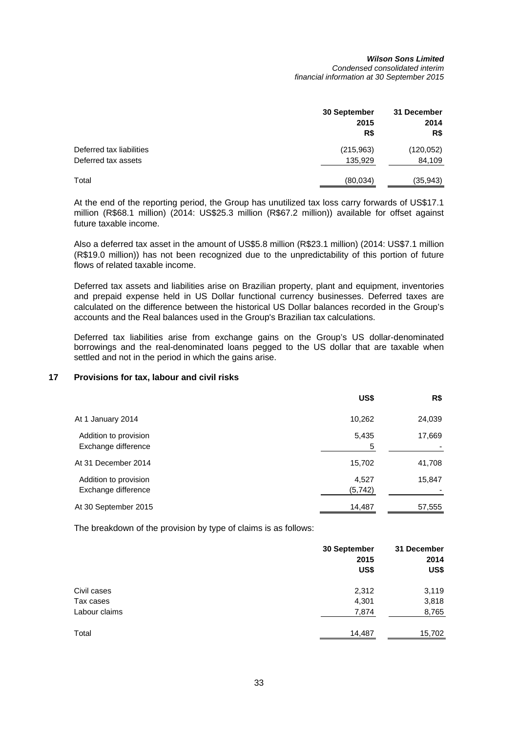#### *Wilson Sons Limited Condensed consolidated interim financial information at 30 September 2015*

|                          | 30 September<br>2015<br>R\$ | 31 December<br>2014<br>R\$ |
|--------------------------|-----------------------------|----------------------------|
| Deferred tax liabilities | (215,963)                   | (120, 052)                 |
| Deferred tax assets      | 135,929                     | 84,109                     |
| Total                    | (80,034)                    | (35,943)                   |

At the end of the reporting period, the Group has unutilized tax loss carry forwards of US\$17.1 million (R\$68.1 million) (2014: US\$25.3 million (R\$67.2 million)) available for offset against future taxable income.

Also a deferred tax asset in the amount of US\$5.8 million (R\$23.1 million) (2014: US\$7.1 million (R\$19.0 million)) has not been recognized due to the unpredictability of this portion of future flows of related taxable income.

Deferred tax assets and liabilities arise on Brazilian property, plant and equipment, inventories and prepaid expense held in US Dollar functional currency businesses. Deferred taxes are calculated on the difference between the historical US Dollar balances recorded in the Group's accounts and the Real balances used in the Group's Brazilian tax calculations.

Deferred tax liabilities arise from exchange gains on the Group's US dollar-denominated borrowings and the real-denominated loans pegged to the US dollar that are taxable when settled and not in the period in which the gains arise.

# **17 Provisions for tax, labour and civil risks**

|                                              | US\$              | R\$    |
|----------------------------------------------|-------------------|--------|
| At 1 January 2014                            | 10,262            | 24,039 |
| Addition to provision<br>Exchange difference | 5,435<br>5        | 17,669 |
| At 31 December 2014                          | 15,702            | 41,708 |
| Addition to provision<br>Exchange difference | 4,527<br>(5, 742) | 15,847 |
| At 30 September 2015                         | 14,487            | 57,555 |

The breakdown of the provision by type of claims is as follows:

|               | 30 September<br>2015<br>US\$ | 31 December<br>2014<br>US\$ |
|---------------|------------------------------|-----------------------------|
| Civil cases   | 2,312                        | 3,119                       |
| Tax cases     | 4,301                        | 3,818                       |
| Labour claims | 7,874                        | 8,765                       |
| Total         | 14,487                       | 15,702                      |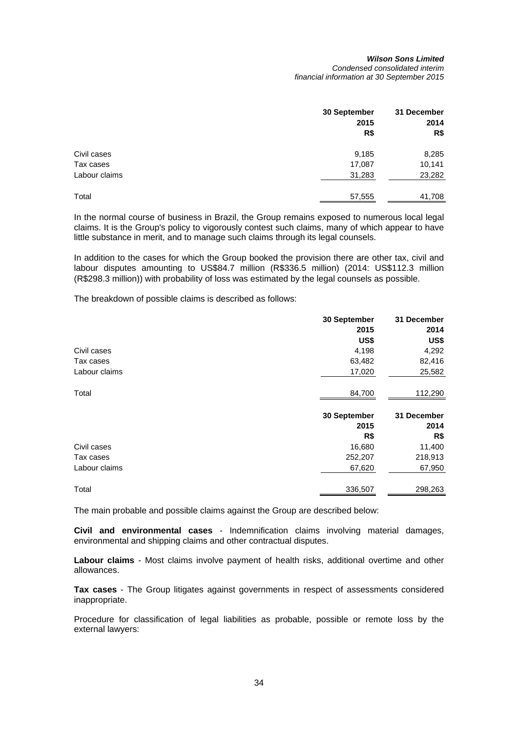#### *Wilson Sons Limited Condensed consolidated interim financial information at 30 September 2015*

|               | 30 September | 31 December |  |
|---------------|--------------|-------------|--|
|               | 2015         | 2014        |  |
|               | R\$          | R\$         |  |
| Civil cases   | 9,185        | 8,285       |  |
| Tax cases     | 17,087       | 10,141      |  |
| Labour claims | 31,283       | 23,282      |  |
| Total         | 57,555       | 41,708      |  |

In the normal course of business in Brazil, the Group remains exposed to numerous local legal claims. It is the Group's policy to vigorously contest such claims, many of which appear to have little substance in merit, and to manage such claims through its legal counsels.

In addition to the cases for which the Group booked the provision there are other tax, civil and labour disputes amounting to US\$84.7 million (R\$336.5 million) (2014: US\$112.3 million (R\$298.3 million)) with probability of loss was estimated by the legal counsels as possible.

The breakdown of possible claims is described as follows:

|               | 30 September | 31 December |
|---------------|--------------|-------------|
|               | 2015         | 2014        |
|               | US\$         | US\$        |
| Civil cases   | 4,198        | 4,292       |
| Tax cases     | 63,482       | 82,416      |
| Labour claims | 17,020       | 25,582      |
| Total         | 84,700       | 112,290     |
|               |              |             |
|               | 30 September | 31 December |
|               | 2015         | 2014        |
|               | R\$          | R\$         |
| Civil cases   | 16,680       | 11,400      |
| Tax cases     | 252,207      | 218,913     |
| Labour claims | 67,620       | 67,950      |

The main probable and possible claims against the Group are described below:

**Civil and environmental cases** - Indemnification claims involving material damages, environmental and shipping claims and other contractual disputes.

**Labour claims** - Most claims involve payment of health risks, additional overtime and other allowances.

**Tax cases** - The Group litigates against governments in respect of assessments considered inappropriate.

Procedure for classification of legal liabilities as probable, possible or remote loss by the external lawyers: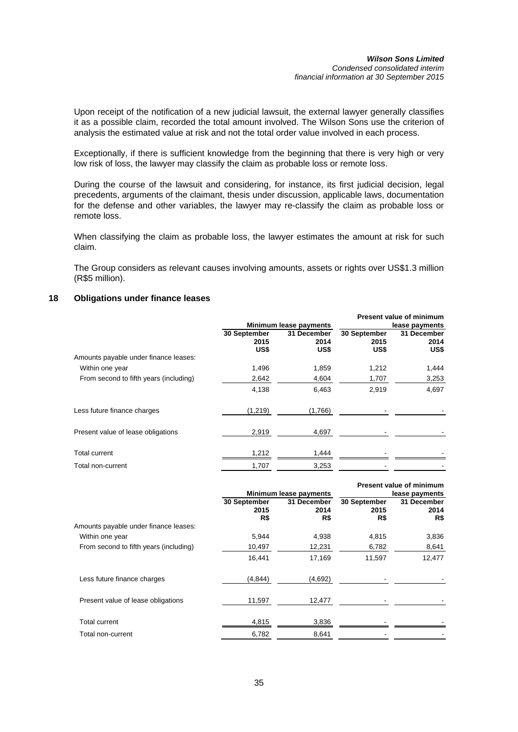Upon receipt of the notification of a new judicial lawsuit, the external lawyer generally classifies it as a possible claim, recorded the total amount involved. The Wilson Sons use the criterion of analysis the estimated value at risk and not the total order value involved in each process.

Exceptionally, if there is sufficient knowledge from the beginning that there is very high or very low risk of loss, the lawyer may classify the claim as probable loss or remote loss.

During the course of the lawsuit and considering, for instance, its first judicial decision, legal precedents, arguments of the claimant, thesis under discussion, applicable laws, documentation for the defense and other variables, the lawyer may re-classify the claim as probable loss or remote loss.

When classifying the claim as probable loss, the lawyer estimates the amount at risk for such claim.

The Group considers as relevant causes involving amounts, assets or rights over US\$1.3 million (R\$5 million).

# **18 Obligations under finance leases**

|                                        |                              |                             |                              | <b>Present value of minimum</b> |
|----------------------------------------|------------------------------|-----------------------------|------------------------------|---------------------------------|
|                                        | Minimum lease payments       |                             |                              | lease payments                  |
|                                        | 30 September<br>2015<br>US\$ | 31 December<br>2014<br>US\$ | 30 September<br>2015<br>US\$ | 31 December<br>2014<br>US\$     |
| Amounts payable under finance leases:  |                              |                             |                              |                                 |
| Within one year                        | 1,496                        | 1,859                       | 1,212                        | 1,444                           |
| From second to fifth years (including) | 2,642                        | 4,604                       | 1,707                        | 3,253                           |
|                                        | 4,138                        | 6,463                       | 2,919                        | 4,697                           |
| Less future finance charges            | (1,219)                      | (1,766)                     |                              |                                 |
| Present value of lease obligations     | 2,919                        | 4,697                       |                              |                                 |
| <b>Total current</b>                   | 1,212                        | 1,444                       |                              |                                 |
| Total non-current                      | 1,707                        | 3,253                       |                              |                                 |

|                                        |                             | Minimum lease payments     |                             | <b>Present value of minimum</b><br>lease payments |
|----------------------------------------|-----------------------------|----------------------------|-----------------------------|---------------------------------------------------|
|                                        | 30 September<br>2015<br>R\$ | 31 December<br>2014<br>R\$ | 30 September<br>2015<br>R\$ | 31 December<br>2014<br>R\$                        |
| Amounts payable under finance leases:  |                             |                            |                             |                                                   |
| Within one year                        | 5.944                       | 4,938                      | 4,815                       | 3,836                                             |
| From second to fifth years (including) | 10,497                      | 12,231                     | 6,782                       | 8,641                                             |
|                                        | 16,441                      | 17,169                     | 11,597                      | 12,477                                            |
| Less future finance charges            | (4, 844)                    | (4,692)                    |                             |                                                   |
| Present value of lease obligations     | 11,597                      | 12,477                     |                             |                                                   |
| <b>Total current</b>                   | 4,815                       | 3,836                      |                             |                                                   |
| Total non-current                      | 6,782                       | 8,641                      |                             |                                                   |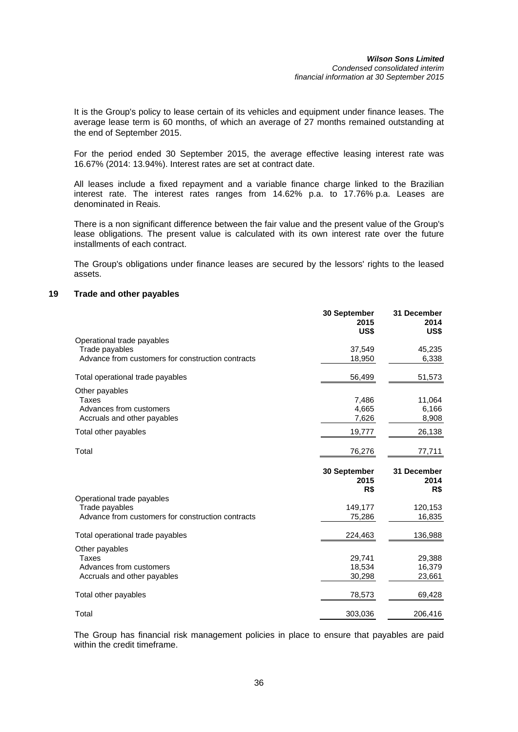It is the Group's policy to lease certain of its vehicles and equipment under finance leases. The average lease term is 60 months, of which an average of 27 months remained outstanding at the end of September 2015.

For the period ended 30 September 2015, the average effective leasing interest rate was 16.67% (2014: 13.94%). Interest rates are set at contract date.

All leases include a fixed repayment and a variable finance charge linked to the Brazilian interest rate. The interest rates ranges from 14.62% p.a. to 17.76% p.a. Leases are denominated in Reais.

There is a non significant difference between the fair value and the present value of the Group's lease obligations. The present value is calculated with its own interest rate over the future installments of each contract.

The Group's obligations under finance leases are secured by the lessors' rights to the leased assets.

# **19 Trade and other payables**

|                                                   | 30 September<br>2015<br>US\$ | 31 December<br>2014<br>US\$ |
|---------------------------------------------------|------------------------------|-----------------------------|
| Operational trade payables                        |                              |                             |
| Trade payables                                    | 37,549                       | 45,235                      |
| Advance from customers for construction contracts | 18,950                       | 6,338                       |
| Total operational trade payables                  | 56,499                       | 51,573                      |
| Other payables                                    |                              |                             |
| Taxes                                             | 7,486                        | 11,064                      |
| Advances from customers                           | 4,665                        | 6,166                       |
| Accruals and other payables                       | 7,626                        | 8,908                       |
| Total other payables                              | 19,777                       | 26,138                      |
| Total                                             | 76,276                       | 77,711                      |
|                                                   |                              |                             |
|                                                   | 30 September<br>2015<br>R\$  | 31 December<br>2014<br>R\$  |
| Operational trade payables                        |                              |                             |
| Trade payables                                    | 149,177                      | 120,153                     |
| Advance from customers for construction contracts | 75,286                       | 16,835                      |
| Total operational trade payables                  | 224,463                      | 136,988                     |
|                                                   |                              |                             |
| Other payables<br>Taxes                           |                              | 29,388                      |
| Advances from customers                           | 29,741<br>18,534             | 16,379                      |
| Accruals and other payables                       | 30,298                       | 23,661                      |
| Total other payables                              | 78,573                       | 69,428                      |

The Group has financial risk management policies in place to ensure that payables are paid within the credit timeframe.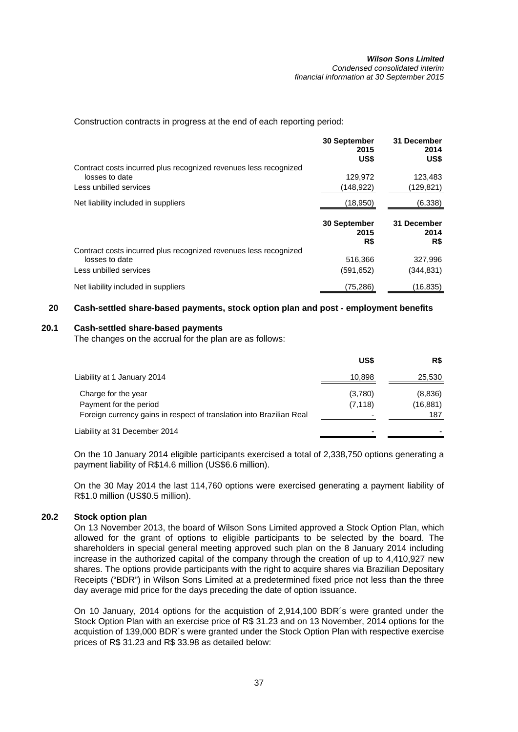Construction contracts in progress at the end of each reporting period:

|                                                                  | 30 September<br>2015<br>US\$ | 31 December<br>2014<br>US\$ |
|------------------------------------------------------------------|------------------------------|-----------------------------|
| Contract costs incurred plus recognized revenues less recognized |                              |                             |
| losses to date                                                   | 129,972                      | 123,483                     |
| Less unbilled services                                           | (148,922)                    | (129,821)                   |
| Net liability included in suppliers                              | (18,950)                     | (6,338)                     |
|                                                                  | <b>30 September</b>          | 31 December                 |
|                                                                  | 2015                         | 2014                        |
| Contract costs incurred plus recognized revenues less recognized | R\$                          | R\$                         |
| losses to date                                                   | 516,366                      | 327,996                     |
| Less unbilled services                                           | (591,652)                    | (344,831)                   |

# **20 Cash-settled share-based payments, stock option plan and post - employment benefits**

# **20.1 Cash-settled share-based payments**

The changes on the accrual for the plan are as follows:

|                                                                                                                       | US\$                | R\$                        |
|-----------------------------------------------------------------------------------------------------------------------|---------------------|----------------------------|
| Liability at 1 January 2014                                                                                           | 10,898              | 25,530                     |
| Charge for the year<br>Payment for the period<br>Foreign currency gains in respect of translation into Brazilian Real | (3,780)<br>(7, 118) | (8,836)<br>(16,881)<br>187 |
| Liability at 31 December 2014                                                                                         | -                   |                            |

On the 10 January 2014 eligible participants exercised a total of 2,338,750 options generating a payment liability of R\$14.6 million (US\$6.6 million).

On the 30 May 2014 the last 114,760 options were exercised generating a payment liability of R\$1.0 million (US\$0.5 million).

# **20.2 Stock option plan**

On 13 November 2013, the board of Wilson Sons Limited approved a Stock Option Plan, which allowed for the grant of options to eligible participants to be selected by the board. The shareholders in special general meeting approved such plan on the 8 January 2014 including increase in the authorized capital of the company through the creation of up to 4,410,927 new shares. The options provide participants with the right to acquire shares via Brazilian Depositary Receipts ("BDR") in Wilson Sons Limited at a predetermined fixed price not less than the three day average mid price for the days preceding the date of option issuance.

On 10 January, 2014 options for the acquistion of 2,914,100 BDR´s were granted under the Stock Option Plan with an exercise price of R\$ 31.23 and on 13 November, 2014 options for the acquistion of 139,000 BDR´s were granted under the Stock Option Plan with respective exercise prices of R\$ 31.23 and R\$ 33.98 as detailed below: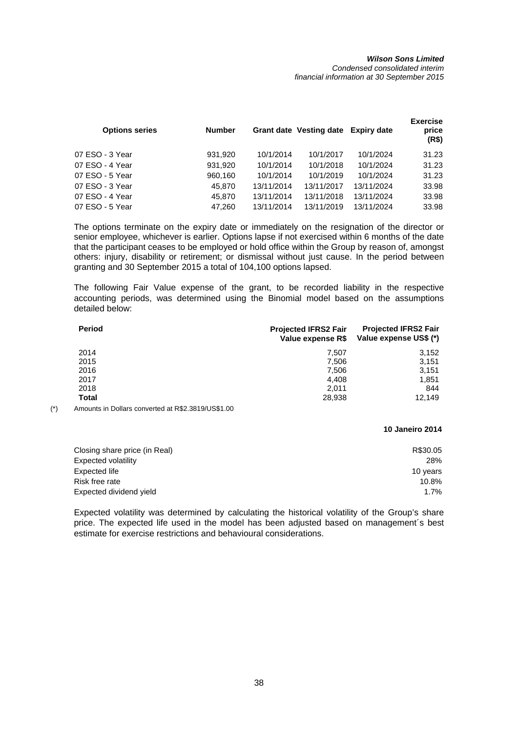#### *Wilson Sons Limited Condensed consolidated interim financial information at 30 September 2015*

| <b>Options series</b> | <b>Number</b> |            | Grant date Vesting date Expiry date |            | <b>Exercise</b><br>price<br>(R\$) |
|-----------------------|---------------|------------|-------------------------------------|------------|-----------------------------------|
| 07 ESO - 3 Year       | 931,920       | 10/1/2014  | 10/1/2017                           | 10/1/2024  | 31.23                             |
| 07 ESO - 4 Year       | 931,920       | 10/1/2014  | 10/1/2018                           | 10/1/2024  | 31.23                             |
| 07 ESO - 5 Year       | 960.160       | 10/1/2014  | 10/1/2019                           | 10/1/2024  | 31.23                             |
| 07 ESO - 3 Year       | 45.870        | 13/11/2014 | 13/11/2017                          | 13/11/2024 | 33.98                             |
| 07 ESO - 4 Year       | 45,870        | 13/11/2014 | 13/11/2018                          | 13/11/2024 | 33.98                             |
| 07 ESO - 5 Year       | 47.260        | 13/11/2014 | 13/11/2019                          | 13/11/2024 | 33.98                             |
|                       |               |            |                                     |            |                                   |

The options terminate on the expiry date or immediately on the resignation of the director or senior employee, whichever is earlier. Options lapse if not exercised within 6 months of the date that the participant ceases to be employed or hold office within the Group by reason of, amongst others: injury, disability or retirement; or dismissal without just cause. In the period between granting and 30 September 2015 a total of 104,100 options lapsed.

The following Fair Value expense of the grant, to be recorded liability in the respective accounting periods, was determined using the Binomial model based on the assumptions detailed below:

| Period | <b>Projected IFRS2 Fair</b><br>Value expense R\$ | <b>Projected IFRS2 Fair</b><br>Value expense US\$ (*) |
|--------|--------------------------------------------------|-------------------------------------------------------|
| 2014   | 7.507                                            | 3,152                                                 |
| 2015   | 7.506                                            | 3,151                                                 |
| 2016   | 7,506                                            | 3,151                                                 |
| 2017   | 4.408                                            | 1,851                                                 |
| 2018   | 2.011                                            | 844                                                   |
| Total  | 28,938                                           | 12.149                                                |

(\*) Amounts in Dollars converted at R\$2.3819/US\$1.00

**10 Janeiro 2014**

| Closing share price (in Real) | R\$30.05 |
|-------------------------------|----------|
| Expected volatility           | 28%      |
| Expected life                 | 10 years |
| Risk free rate                | 10.8%    |
| Expected dividend yield       | 1.7%     |
|                               |          |

Expected volatility was determined by calculating the historical volatility of the Group's share price. The expected life used in the model has been adjusted based on management´s best estimate for exercise restrictions and behavioural considerations.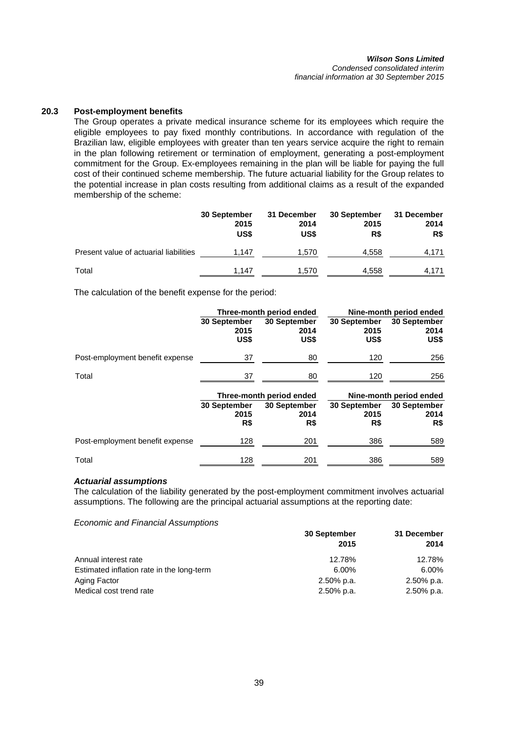#### *Wilson Sons Limited Condensed consolidated interim financial information at 30 September 2015*

# **20.3 Post-employment benefits**

The Group operates a private medical insurance scheme for its employees which require the eligible employees to pay fixed monthly contributions. In accordance with regulation of the Brazilian law, eligible employees with greater than ten years service acquire the right to remain in the plan following retirement or termination of employment, generating a post-employment commitment for the Group. Ex-employees remaining in the plan will be liable for paying the full cost of their continued scheme membership. The future actuarial liability for the Group relates to the potential increase in plan costs resulting from additional claims as a result of the expanded membership of the scheme:

|                                        | 30 September<br>2015<br>US\$ | 31 December<br>2014<br>US\$ | 30 September<br>2015<br>R\$ | 31 December<br>2014<br>R\$ |
|----------------------------------------|------------------------------|-----------------------------|-----------------------------|----------------------------|
| Present value of actuarial liabilities | 1.147                        | 1.570                       | 4,558                       | 4,171                      |
| Total                                  | 1.147                        | 1.570                       | 4.558                       | 4,171                      |

The calculation of the benefit expense for the period:

|                                 | Three-month period ended     |                              |                              | Nine-month period ended      |
|---------------------------------|------------------------------|------------------------------|------------------------------|------------------------------|
|                                 | 30 September<br>2015<br>US\$ | 30 September<br>2014<br>US\$ | 30 September<br>2015<br>US\$ | 30 September<br>2014<br>US\$ |
| Post-employment benefit expense | 37                           | 80                           | 120                          | 256                          |
| Total                           | 37                           | 80                           | 120                          | 256                          |
|                                 |                              | Three-month period ended     |                              | Nine-month period ended      |
|                                 | 30 September<br>2015         | 30 September<br>2014         | 30 September<br>2015         | 30 September<br>2014         |
|                                 | R\$                          | R\$                          | R\$                          | R\$                          |
| Post-employment benefit expense | 128                          | 201                          | 386                          | 589                          |

# *Actuarial assumptions*

The calculation of the liability generated by the post-employment commitment involves actuarial assumptions. The following are the principal actuarial assumptions at the reporting date:

*Economic and Financial Assumptions*

|                                           | 30 September  | 31 December |  |
|-------------------------------------------|---------------|-------------|--|
|                                           | 2015          | 2014        |  |
| Annual interest rate                      | 12.78%        | 12.78%      |  |
| Estimated inflation rate in the long-term | 6.00%         | 6.00%       |  |
| Aging Factor                              | 2.50% p.a.    | 2.50% p.a.  |  |
| Medical cost trend rate                   | $2.50\%$ p.a. | 2.50% p.a.  |  |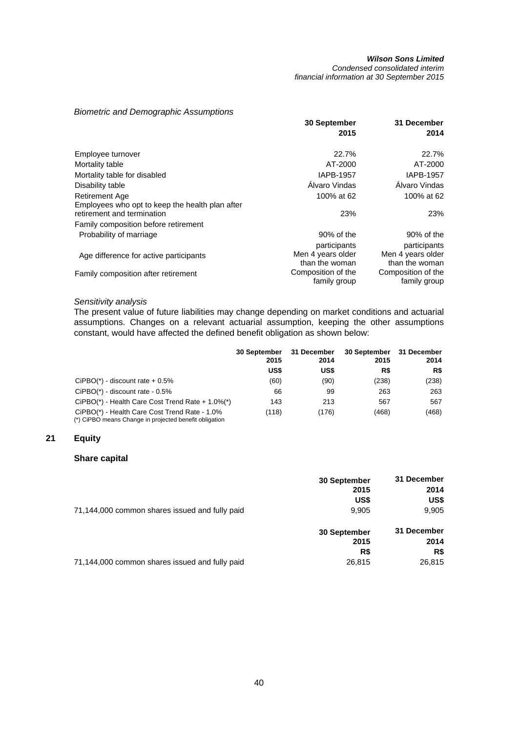*Condensed consolidated interim financial information at 30 September 2015* 

# *Biometric and Demographic Assumptions*

|                                                                               | <b>30 September</b>                | 31 December                        |
|-------------------------------------------------------------------------------|------------------------------------|------------------------------------|
|                                                                               | 2015                               | 2014                               |
| Employee turnover                                                             | 22.7%                              | 22.7%                              |
| Mortality table                                                               | AT-2000                            | AT-2000                            |
| Mortality table for disabled                                                  | IAPB-1957                          | <b>IAPB-1957</b>                   |
| Disability table                                                              | Alvaro Vindas                      | Álvaro Vindas                      |
| Retirement Age                                                                | 100% at 62                         | 100% at 62                         |
| Employees who opt to keep the health plan after<br>retirement and termination | 23%                                | 23%                                |
| Family composition before retirement                                          |                                    |                                    |
| Probability of marriage                                                       | 90% of the                         | 90% of the                         |
|                                                                               | participants<br>Men 4 years older  | participants<br>Men 4 years older  |
| Age difference for active participants                                        | than the woman                     | than the woman                     |
| Family composition after retirement                                           | Composition of the<br>family group | Composition of the<br>family group |

# *Sensitivity analysis*

The present value of future liabilities may change depending on market conditions and actuarial assumptions. Changes on a relevant actuarial assumption, keeping the other assumptions constant, would have affected the defined benefit obligation as shown below:

|                                                                                                         | <b>30 September</b><br>2015 | 31 December<br>2014 | 30 September<br>2015 | 31 December<br>2014 |  |
|---------------------------------------------------------------------------------------------------------|-----------------------------|---------------------|----------------------|---------------------|--|
|                                                                                                         | US\$                        | US\$                | R\$                  | R\$                 |  |
| $CIPBO(*)$ - discount rate $+0.5\%$                                                                     | (60)                        | (90)                | (238)                | (238)               |  |
| $CIPBO(*)$ - discount rate - $0.5\%$                                                                    | 66                          | 99                  | 263                  | 263                 |  |
| CiPBO(*) - Health Care Cost Trend Rate + 1.0%(*)                                                        | 143                         | 213                 | 567                  | 567                 |  |
| CiPBO(*) - Health Care Cost Trend Rate - 1.0%<br>(*) CiPBO means Change in projected benefit obligation | (118)                       | (176)               | (468)                | (468)               |  |

# **21 Equity**

## **Share capital**

|                                                | <b>30 September</b> | 31 December |
|------------------------------------------------|---------------------|-------------|
|                                                | 2015                | 2014        |
|                                                | US\$                | US\$        |
| 71,144,000 common shares issued and fully paid | 9,905               | 9,905       |
|                                                | 30 September        | 31 December |
|                                                | 2015                | 2014        |
|                                                | R\$                 | R\$         |
| 71,144,000 common shares issued and fully paid | 26,815              | 26,815      |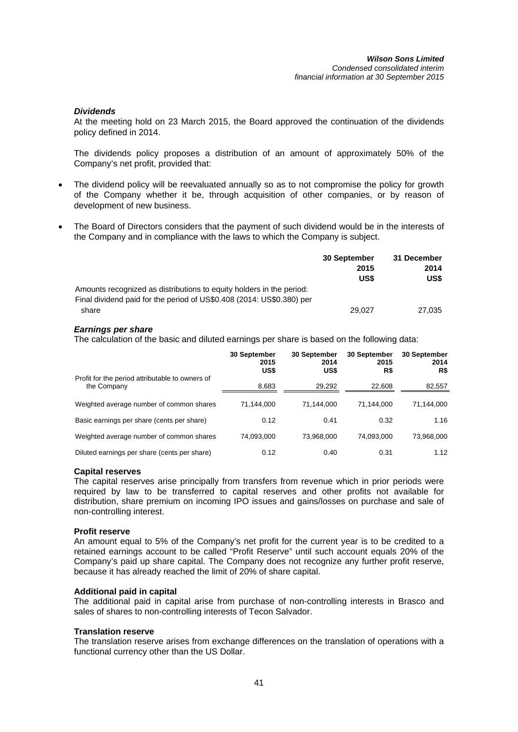# *Dividends*

At the meeting hold on 23 March 2015, the Board approved the continuation of the dividends policy defined in 2014.

The dividends policy proposes a distribution of an amount of approximately 50% of the Company's net profit, provided that:

- The dividend policy will be reevaluated annually so as to not compromise the policy for growth of the Company whether it be, through acquisition of other companies, or by reason of development of new business.
- The Board of Directors considers that the payment of such dividend would be in the interests of the Company and in compliance with the laws to which the Company is subject.

|                                                                       | 30 September | 31 December |
|-----------------------------------------------------------------------|--------------|-------------|
|                                                                       | 2015         | 2014        |
|                                                                       | US\$         | US\$        |
| Amounts recognized as distributions to equity holders in the period:  |              |             |
| Final dividend paid for the period of US\$0.408 (2014: US\$0.380) per |              |             |
| share                                                                 | 29.027       | 27,035      |

# *Earnings per share*

The calculation of the basic and diluted earnings per share is based on the following data:

|                                                                | 30 September<br>2015<br>US\$ | 30 September<br>2014<br>US\$ | 30 September<br>2015<br>R\$ | 30 September<br>2014<br>R\$ |
|----------------------------------------------------------------|------------------------------|------------------------------|-----------------------------|-----------------------------|
| Profit for the period attributable to owners of<br>the Company | 8,683                        | 29,292                       | 22,608                      | 82,557                      |
| Weighted average number of common shares                       | 71,144,000                   | 71.144.000                   | 71.144.000                  | 71,144,000                  |
| Basic earnings per share (cents per share)                     | 0.12                         | 0.41                         | 0.32                        | 1.16                        |
| Weighted average number of common shares                       | 74,093,000                   | 73,968,000                   | 74.093.000                  | 73,968,000                  |
| Diluted earnings per share (cents per share)                   | 0.12                         | 0.40                         | 0.31                        | 1.12                        |

# **Capital reserves**

The capital reserves arise principally from transfers from revenue which in prior periods were required by law to be transferred to capital reserves and other profits not available for distribution, share premium on incoming IPO issues and gains/losses on purchase and sale of non-controlling interest.

# **Profit reserve**

An amount equal to 5% of the Company's net profit for the current year is to be credited to a retained earnings account to be called "Profit Reserve" until such account equals 20% of the Company's paid up share capital. The Company does not recognize any further profit reserve, because it has already reached the limit of 20% of share capital.

# **Additional paid in capital**

The additional paid in capital arise from purchase of non-controlling interests in Brasco and sales of shares to non-controlling interests of Tecon Salvador.

# **Translation reserve**

The translation reserve arises from exchange differences on the translation of operations with a functional currency other than the US Dollar.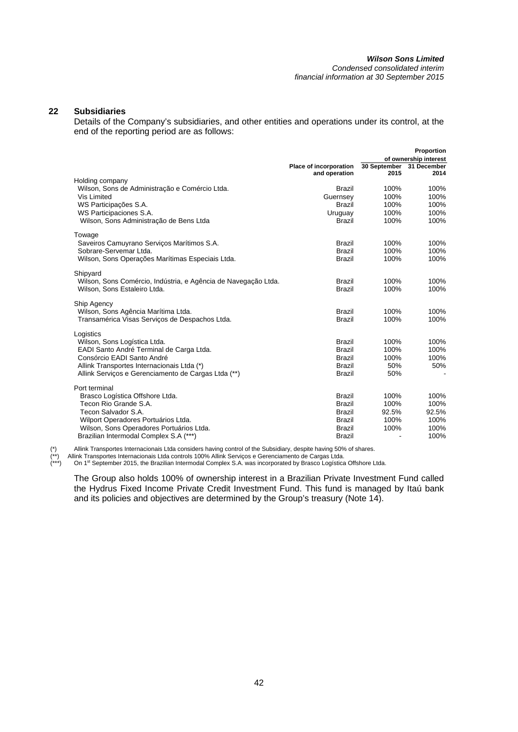#### *Wilson Sons Limited Condensed consolidated interim*

*financial information at 30 September 2015* 

# **22 Subsidiaries**

Details of the Company's subsidiaries, and other entities and operations under its control, at the end of the reporting period are as follows:

|                                                                |                        |              | Proportion            |
|----------------------------------------------------------------|------------------------|--------------|-----------------------|
|                                                                |                        |              | of ownership interest |
|                                                                | Place of incorporation | 30 September | 31 December           |
|                                                                | and operation          | 2015         | 2014                  |
| Holding company                                                |                        |              |                       |
| Wilson, Sons de Administração e Comércio Ltda.                 | <b>Brazil</b>          | 100%         | 100%                  |
| Vis Limited                                                    | Guernsey               | 100%         | 100%                  |
| WS Participações S.A.                                          | <b>Brazil</b>          | 100%         | 100%                  |
| WS Participaciones S.A.                                        | Uruguay                | 100%         | 100%                  |
| Wilson, Sons Administração de Bens Ltda                        | <b>Brazil</b>          | 100%         | 100%                  |
| Towage                                                         |                        |              |                       |
| Saveiros Camuyrano Serviços Marítimos S.A.                     | <b>Brazil</b>          | 100%         | 100%                  |
| Sobrare-Servemar Ltda.                                         | <b>Brazil</b>          | 100%         | 100%                  |
| Wilson, Sons Operações Marítimas Especiais Ltda.               | <b>Brazil</b>          | 100%         | 100%                  |
|                                                                |                        |              |                       |
| Shipyard                                                       |                        |              |                       |
| Wilson, Sons Comércio, Indústria, e Agência de Navegação Ltda. | <b>Brazil</b>          | 100%         | 100%                  |
| Wilson, Sons Estaleiro Ltda.                                   | <b>Brazil</b>          | 100%         | 100%                  |
| Ship Agency                                                    |                        |              |                       |
| Wilson, Sons Agência Marítima Ltda.                            | <b>Brazil</b>          | 100%         | 100%                  |
| Transamérica Visas Servicos de Despachos Ltda.                 | <b>Brazil</b>          | 100%         | 100%                  |
|                                                                |                        |              |                       |
| Logistics                                                      |                        |              |                       |
| Wilson, Sons Logística Ltda.                                   | <b>Brazil</b>          | 100%         | 100%                  |
| EADI Santo André Terminal de Carga Ltda.                       | <b>Brazil</b>          | 100%         | 100%                  |
| Consórcio EADI Santo André                                     | <b>Brazil</b>          | 100%         | 100%                  |
| Allink Transportes Internacionais Ltda (*)                     | <b>Brazil</b>          | 50%          | 50%                   |
| Allink Serviços e Gerenciamento de Cargas Ltda (**)            | <b>Brazil</b>          | 50%          |                       |
| Port terminal                                                  |                        |              |                       |
| Brasco Logística Offshore Ltda.                                | <b>Brazil</b>          | 100%         | 100%                  |
| Tecon Rio Grande S.A.                                          | <b>Brazil</b>          | 100%         | 100%                  |
| Tecon Salvador S.A.                                            | <b>Brazil</b>          | 92.5%        | 92.5%                 |
| Wilport Operadores Portuários Ltda.                            | <b>Brazil</b>          | 100%         | 100%                  |
| Wilson, Sons Operadores Portuários Ltda.                       | <b>Brazil</b>          | 100%         | 100%                  |
| Brazilian Intermodal Complex S.A (***)                         | <b>Brazil</b>          |              | 100%                  |
|                                                                |                        |              |                       |

(\*) Allink Transportes Internacionais Ltda considers having control of the Subsidiary, despite having 50% of shares.<br>(\*\*) Allink Transportes Internacionais Ltda controls 100% Allink Serviços e Gerenciamento de Cargas Ltda.

(\*\*) Allink Transportes Internacionais Ltda controls 100% Allink Serviços e Gerenciamento de Cargas Ltda.<br>(\*\*\*) On 1st September 2015, the Brazilian Intermodal Complex S.A. was incorporated by Brasco Logística Offshore L

The Group also holds 100% of ownership interest in a Brazilian Private Investment Fund called the Hydrus Fixed Income Private Credit Investment Fund. This fund is managed by Itaú bank and its policies and objectives are determined by the Group's treasury (Note 14).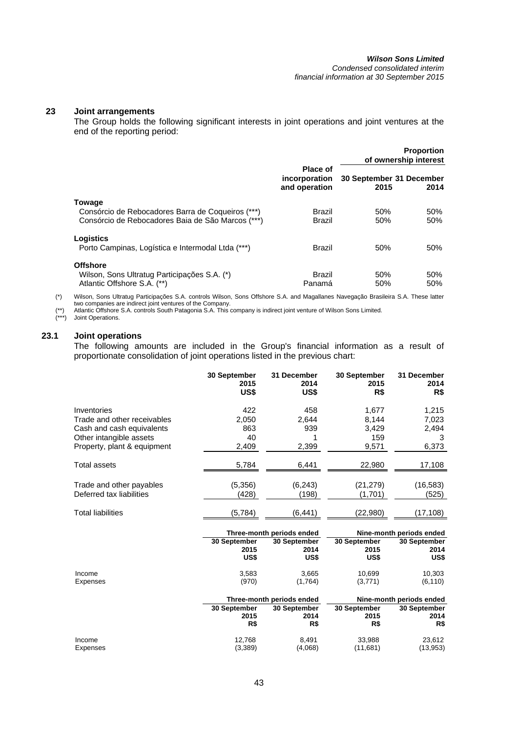# **23 Joint arrangements**

The Group holds the following significant interests in joint operations and joint ventures at the end of the reporting period:

|                                                                                                                  |                                            |                                  | <b>Proportion</b><br>of ownership interest |
|------------------------------------------------------------------------------------------------------------------|--------------------------------------------|----------------------------------|--------------------------------------------|
|                                                                                                                  | Place of<br>incorporation<br>and operation | 30 September 31 December<br>2015 | 2014                                       |
| Towage<br>Consórcio de Rebocadores Barra de Coqueiros (***)<br>Consórcio de Rebocadores Baia de São Marcos (***) | Brazil<br>Brazil                           | 50%<br>50%                       | 50%<br>50%                                 |
| Logistics<br>Porto Campinas, Logística e Intermodal Ltda (***)                                                   | Brazil                                     | 50%                              | 50%                                        |
| <b>Offshore</b><br>Wilson, Sons Ultratug Participações S.A. (*)<br>Atlantic Offshore S.A. (**)                   | Brazil<br>Panamá                           | 50%<br>50%                       | 50%<br>50%                                 |

(\*) Wilson, Sons Ultratug Participações S.A. controls Wilson, Sons Offshore S.A. and Magallanes Navegação Brasileira S.A. These latter two companies are indirect joint ventures of the Company.

(\*\*) Atlantic Offshore S.A. controls South Patagonia S.A. This company is indirect joint venture of Wilson Sons Limited.

(\*\*\*) Joint Operations.

# **23.1 Joint operations**

The following amounts are included in the Group's financial information as a result of proportionate consolidation of joint operations listed in the previous chart:

|                             | 30 September<br>2015<br>US\$ | 31 December<br>2014<br>US\$ | 30 September<br>2015<br>R\$ | 31 December<br>2014<br>R\$ |
|-----------------------------|------------------------------|-----------------------------|-----------------------------|----------------------------|
| Inventories                 | 422                          | 458                         | 1,677                       | 1,215                      |
| Trade and other receivables | 2,050                        | 2,644                       | 8,144                       | 7,023                      |
| Cash and cash equivalents   | 863                          | 939                         | 3,429                       | 2,494                      |
| Other intangible assets     | 40                           |                             | 159                         | 3                          |
| Property, plant & equipment | 2,409                        | 2,399                       | 9,571                       | 6,373                      |
|                             |                              |                             |                             |                            |
| Total assets                | 5,784                        | 6,441                       | 22,980                      | 17,108                     |
| Trade and other payables    | (5,356)                      | (6, 243)                    | (21, 279)                   | (16, 583)                  |
| Deferred tax liabilities    | (428)                        | (198)                       | (1,701)                     | (525)                      |
|                             |                              |                             |                             |                            |
| <b>Total liabilities</b>    | (5,784)                      | (6, 441)                    | (22,980)                    | (17,108)                   |
|                             |                              |                             |                             |                            |
|                             |                              | Three-month periods ended   |                             | Nine-month periods ended   |
|                             | 30 September                 | 30 September                | 30 September                | 30 September               |
|                             | 2015                         | 2014                        | 2015                        | 2014                       |
|                             | US\$                         | US\$                        | US\$                        | US\$                       |
| Income                      | 3,583                        | 3,665                       | 10,699                      | 10,303                     |
| Expenses                    | (970)                        | (1,764)                     | (3,771)                     | (6, 110)                   |
|                             |                              | Three-month periods ended   |                             | Nine-month periods ended   |

|          |              | THE CHILD THE TOUS CHUCU | <u>INIIIC-IIIUIIIII periuus eilueu</u> |              |  |
|----------|--------------|--------------------------|----------------------------------------|--------------|--|
|          | 30 September | <b>30 September</b>      | 30 September                           | 30 September |  |
|          | 2015         | 2014                     | 2015                                   | 2014         |  |
|          | R\$          | R\$                      | R\$                                    | R\$          |  |
| Income   | 12.768       | 8.491                    | 33.988                                 | 23.612       |  |
| Expenses | (3,389)      | (4,068)                  | (11.681)                               | (13,953)     |  |
|          |              |                          |                                        |              |  |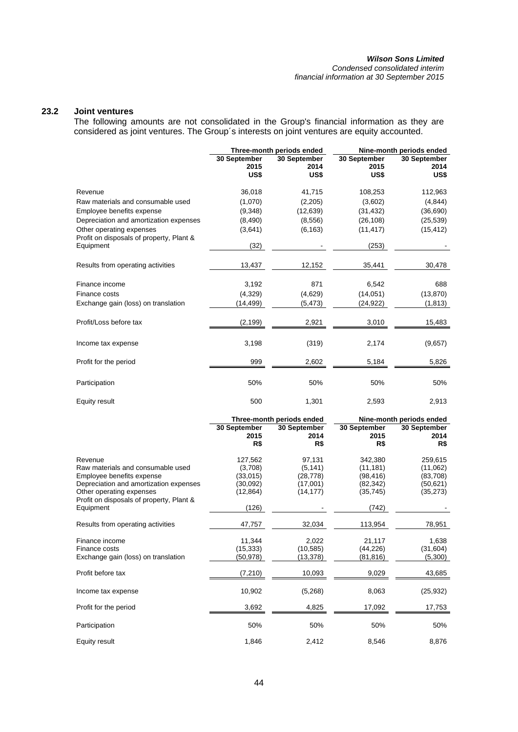*Condensed consolidated interim financial information at 30 September 2015* 

# **23.2 Joint ventures**

The following amounts are not consolidated in the Group's financial information as they are considered as joint ventures. The Group´s interests on joint ventures are equity accounted.

|                                                       | Three-month periods ended    |                              | Nine-month periods ended     |                              |  |
|-------------------------------------------------------|------------------------------|------------------------------|------------------------------|------------------------------|--|
|                                                       | 30 September<br>2015<br>US\$ | 30 September<br>2014<br>US\$ | 30 September<br>2015<br>US\$ | 30 September<br>2014<br>US\$ |  |
| Revenue                                               | 36,018                       | 41,715                       | 108,253                      | 112,963                      |  |
| Raw materials and consumable used                     | (1,070)                      | (2,205)                      | (3,602)                      | (4, 844)                     |  |
| Employee benefits expense                             | (9,348)                      | (12, 639)                    | (31, 432)                    | (36, 690)                    |  |
| Depreciation and amortization expenses                | (8,490)                      | (8,556)                      | (26, 108)                    | (25, 539)                    |  |
| Other operating expenses                              | (3,641)                      | (6, 163)                     | (11, 417)                    | (15, 412)                    |  |
| Profit on disposals of property, Plant &<br>Equipment | (32)                         |                              | (253)                        |                              |  |
| Results from operating activities                     | 13,437                       | 12,152                       | 35,441                       | 30,478                       |  |
| Finance income                                        | 3,192                        | 871                          | 6,542                        | 688                          |  |
| Finance costs                                         | (4,329)                      | (4,629)                      | (14,051)                     | (13, 870)                    |  |
| Exchange gain (loss) on translation                   | (14,499)                     | (5, 473)                     | (24, 922)                    | (1, 813)                     |  |
|                                                       |                              |                              |                              |                              |  |
| Profit/Loss before tax                                | (2,199)                      | 2,921                        | 3,010                        | 15,483                       |  |
| Income tax expense                                    | 3,198                        | (319)                        | 2,174                        | (9,657)                      |  |
| Profit for the period                                 | 999                          | 2,602                        | 5,184                        | 5,826                        |  |
| Participation                                         | 50%                          | 50%                          | 50%                          | 50%                          |  |
| Equity result                                         | 500                          | 1,301                        | 2,593                        | 2,913                        |  |

|                                                                                                                                                                                                          | Three-month periods ended                                        |                                                         | Nine-month periods ended                                             |                                                           |
|----------------------------------------------------------------------------------------------------------------------------------------------------------------------------------------------------------|------------------------------------------------------------------|---------------------------------------------------------|----------------------------------------------------------------------|-----------------------------------------------------------|
|                                                                                                                                                                                                          | 30 September<br>2015<br>R\$                                      | 30 September<br>2014<br>R\$                             | 30 September<br>2015<br>R\$                                          | 30 September<br>2014<br>R\$                               |
| Revenue<br>Raw materials and consumable used<br>Employee benefits expense<br>Depreciation and amortization expenses<br>Other operating expenses<br>Profit on disposals of property, Plant &<br>Equipment | 127,562<br>(3,708)<br>(33,015)<br>(30,092)<br>(12, 864)<br>(126) | 97,131<br>(5, 141)<br>(28,778)<br>(17,001)<br>(14, 177) | 342,380<br>(11, 181)<br>(98, 416)<br>(82, 342)<br>(35, 745)<br>(742) | 259,615<br>(11,062)<br>(83,708)<br>(50, 621)<br>(35, 273) |
| Results from operating activities                                                                                                                                                                        | 47,757                                                           | 32,034                                                  | 113,954                                                              | 78,951                                                    |
| Finance income<br>Finance costs<br>Exchange gain (loss) on translation                                                                                                                                   | 11,344<br>(15, 333)<br>(50,978)                                  | 2,022<br>(10, 585)<br>(13,378)                          | 21,117<br>(44, 226)<br>(81,816)                                      | 1,638<br>(31, 604)<br>(5,300)                             |
| Profit before tax                                                                                                                                                                                        | (7, 210)                                                         | 10,093                                                  | 9,029                                                                | 43,685                                                    |
| Income tax expense                                                                                                                                                                                       | 10,902                                                           | (5,268)                                                 | 8,063                                                                | (25, 932)                                                 |
| Profit for the period                                                                                                                                                                                    | 3,692                                                            | 4,825                                                   | 17,092                                                               | 17,753                                                    |
| Participation                                                                                                                                                                                            | 50%                                                              | 50%                                                     | 50%                                                                  | 50%                                                       |
| Equity result                                                                                                                                                                                            | 1,846                                                            | 2,412                                                   | 8,546                                                                | 8,876                                                     |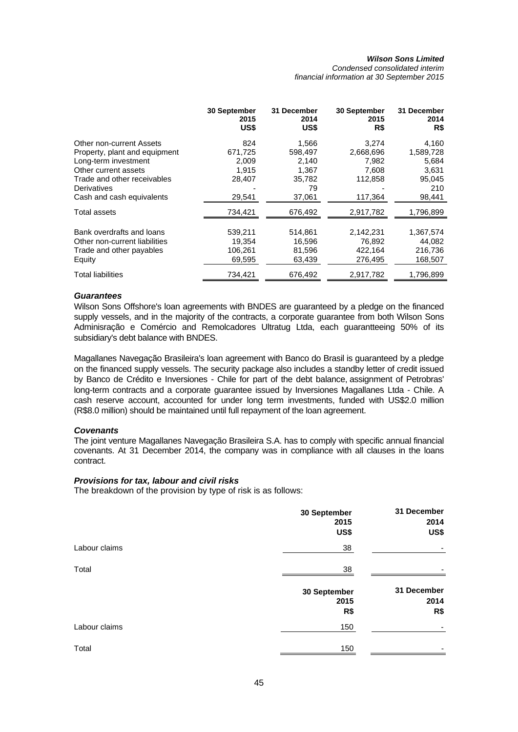*Condensed consolidated interim financial information at 30 September 2015* 

|                               | <b>30 September</b><br>2015<br>US\$ | 31 December<br>2014<br>US\$ | 30 September<br>2015<br>R\$ | 31 December<br>2014<br>R\$ |
|-------------------------------|-------------------------------------|-----------------------------|-----------------------------|----------------------------|
| Other non-current Assets      | 824                                 | 1,566                       | 3,274                       | 4,160                      |
| Property, plant and equipment | 671,725                             | 598,497                     | 2,668,696                   | 1,589,728                  |
| Long-term investment          | 2,009                               | 2,140                       | 7,982                       | 5,684                      |
| Other current assets          | 1,915                               | 1,367                       | 7,608                       | 3,631                      |
| Trade and other receivables   | 28,407                              | 35,782                      | 112,858                     | 95,045                     |
| Derivatives                   |                                     | 79                          |                             | 210                        |
| Cash and cash equivalents     | 29,541                              | 37,061                      | 117,364                     | 98,441                     |
| Total assets                  | 734,421                             | 676,492                     | 2,917,782                   | 1,796,899                  |
|                               |                                     |                             |                             |                            |
| Bank overdrafts and loans     | 539,211                             | 514,861                     | 2,142,231                   | 1,367,574                  |
| Other non-current liabilities | 19,354                              | 16,596                      | 76,892                      | 44,082                     |
| Trade and other payables      | 106,261                             | 81,596                      | 422,164                     | 216,736                    |
| Equity                        | 69,595                              | 63,439                      | 276,495                     | 168.507                    |
| <b>Total liabilities</b>      | 734.421                             | 676.492                     | 2.917.782                   | 1.796.899                  |

### *Guarantees*

Wilson Sons Offshore's loan agreements with BNDES are guaranteed by a pledge on the financed supply vessels, and in the majority of the contracts, a corporate guarantee from both Wilson Sons Adminisração e Comércio and Remolcadores Ultratug Ltda, each guarantteeing 50% of its subsidiary's debt balance with BNDES.

Magallanes Navegação Brasileira's loan agreement with Banco do Brasil is guaranteed by a pledge on the financed supply vessels. The security package also includes a standby letter of credit issued by Banco de Crédito e Inversiones - Chile for part of the debt balance, assignment of Petrobras' long-term contracts and a corporate guarantee issued by Inversiones Magallanes Ltda - Chile. A cash reserve account, accounted for under long term investments, funded with US\$2.0 million (R\$8.0 million) should be maintained until full repayment of the loan agreement.

#### *Covenants*

The joint venture Magallanes Navegação Brasileira S.A. has to comply with specific annual financial covenants. At 31 December 2014, the company was in compliance with all clauses in the loans contract.

#### *Provisions for tax, labour and civil risks*

The breakdown of the provision by type of risk is as follows:

|               | 30 September<br>2015<br>US\$ | 31 December<br>2014<br>US\$ |
|---------------|------------------------------|-----------------------------|
| Labour claims | 38                           |                             |
| Total         | 38                           |                             |
|               | 30 September<br>2015<br>R\$  | 31 December<br>2014<br>R\$  |
| Labour claims | 150                          |                             |
| Total         | 150                          |                             |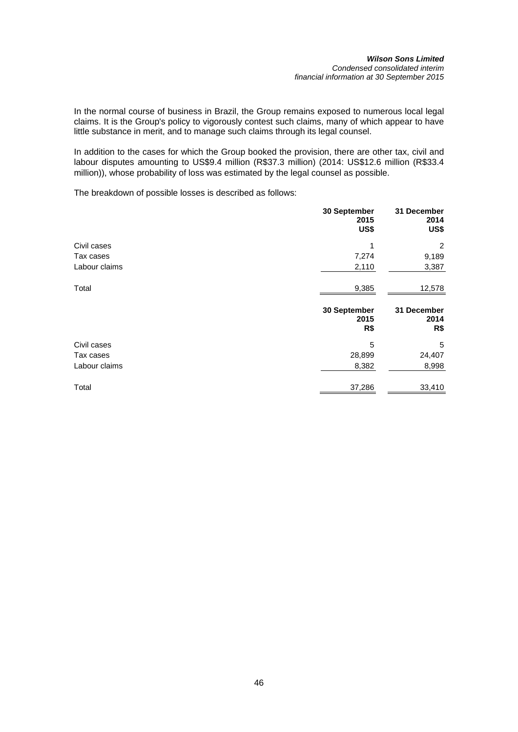In the normal course of business in Brazil, the Group remains exposed to numerous local legal claims. It is the Group's policy to vigorously contest such claims, many of which appear to have little substance in merit, and to manage such claims through its legal counsel.

In addition to the cases for which the Group booked the provision, there are other tax, civil and labour disputes amounting to US\$9.4 million (R\$37.3 million) (2014: US\$12.6 million (R\$33.4 million)), whose probability of loss was estimated by the legal counsel as possible.

The breakdown of possible losses is described as follows:

|               | 30 September<br>2015<br>US\$ | 31 December<br>2014<br>US\$ |
|---------------|------------------------------|-----------------------------|
| Civil cases   | 1                            | 2                           |
| Tax cases     | 7,274                        | 9,189                       |
| Labour claims | 2,110                        | 3,387                       |
| Total         | 9,385                        | 12,578                      |
|               | 30 September<br>2015<br>R\$  | 31 December<br>2014<br>R\$  |
| Civil cases   | 5                            | 5                           |
| Tax cases     | 28,899                       | 24,407                      |
| Labour claims |                              |                             |
|               | 8,382                        | 8,998                       |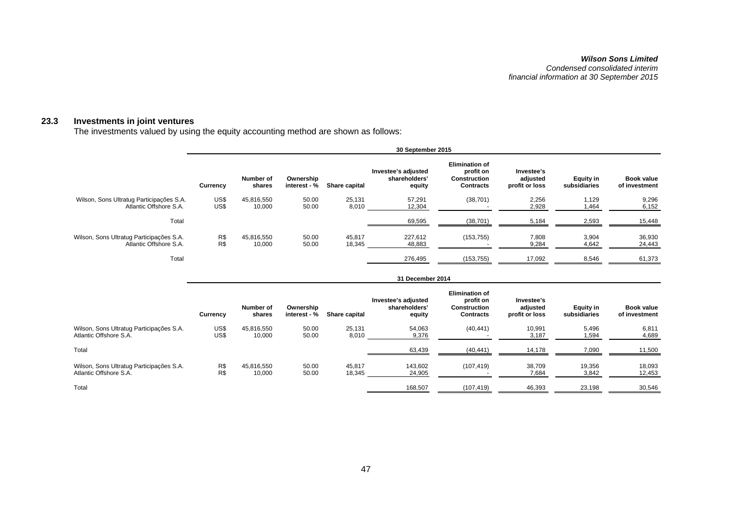#### *Wilson Sons Limited Condensed consolidated interim financial information at 30 September 2015*

#### **23.3 Investments in joint ventures**

The investments valued by using the equity accounting method are shown as follows:

|                                                                    | 30 September 2015 |                      |                           |                  |                                                |                                                                               |                                          |                                  |                                    |
|--------------------------------------------------------------------|-------------------|----------------------|---------------------------|------------------|------------------------------------------------|-------------------------------------------------------------------------------|------------------------------------------|----------------------------------|------------------------------------|
|                                                                    | <b>Currency</b>   | Number of<br>shares  | Ownership<br>interest - % | Share capital    | Investee's adjusted<br>shareholders'<br>equity | <b>Elimination of</b><br>profit on<br><b>Construction</b><br><b>Contracts</b> | Investee's<br>adjusted<br>profit or loss | <b>Equity in</b><br>subsidiaries | <b>Book value</b><br>of investment |
| Wilson, Sons Ultratug Participações S.A.<br>Atlantic Offshore S.A. | US\$<br>US\$      | 45,816,550<br>10,000 | 50.00<br>50.00            | 25,131<br>8,010  | 57,291<br>12,304                               | (38, 701)                                                                     | 2,256<br>2,928                           | 1,129<br>1,464                   | 9,296<br>6,152                     |
| Total                                                              |                   |                      |                           |                  | 69,595                                         | (38, 701)                                                                     | 5,184                                    | 2,593                            | 15,448                             |
| Wilson, Sons Ultratug Participações S.A.<br>Atlantic Offshore S.A. | R\$<br>R\$        | 45,816,550<br>10,000 | 50.00<br>50.00            | 45,817<br>18,345 | 227,612<br>48,883                              | (153, 755)                                                                    | 7,808<br>9,284                           | 3,904<br>4,642                   | 36,930<br>24,443                   |
| Total                                                              |                   |                      |                           |                  | 276,495                                        | (153, 755)                                                                    | 17,092                                   | 8,546                            | 61,373                             |
|                                                                    |                   |                      |                           |                  | 31 December 2014                               |                                                                               |                                          |                                  |                                    |

|                                                                    | Currency     | Number of<br>shares  | Ownership<br>interest - % | Share capital    | Investee's adjusted<br>shareholders'<br>equity | <b>Elimination of</b><br>profit on<br><b>Construction</b><br><b>Contracts</b> | Investee's<br>adjusted<br>profit or loss | <b>Equity in</b><br>subsidiaries | Book value<br>of investment |
|--------------------------------------------------------------------|--------------|----------------------|---------------------------|------------------|------------------------------------------------|-------------------------------------------------------------------------------|------------------------------------------|----------------------------------|-----------------------------|
| Wilson, Sons Ultratug Participações S.A.<br>Atlantic Offshore S.A. | US\$<br>US\$ | 45,816,550<br>10,000 | 50.00<br>50.00            | 25,131<br>8,010  | 54,063<br>9,376                                | (40, 441)                                                                     | 10,991<br>3,187                          | 5.496<br>1,594                   | 6,811<br>4,689              |
| Total                                                              |              |                      |                           |                  | 63,439                                         | (40, 441)                                                                     | 14.178                                   | 7,090                            | 11,500                      |
| Wilson, Sons Ultratug Participações S.A.<br>Atlantic Offshore S.A. | R\$<br>R\$   | 45.816.550<br>10,000 | 50.00<br>50.00            | 45.817<br>18,345 | 143.602<br>24,905                              | (107, 419)                                                                    | 38.709<br>7,684                          | 19,356<br>3,842                  | 18,093<br>12,453            |
| Total                                                              |              |                      |                           |                  | 168,507                                        | (107,419)                                                                     | 46,393                                   | 23,198                           | 30,546                      |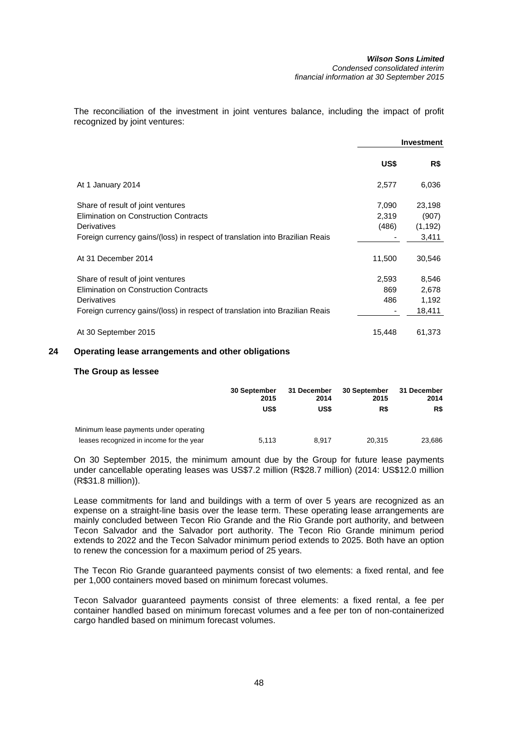The reconciliation of the investment in joint ventures balance, including the impact of profit recognized by joint ventures:

|                                                                              |        | <b>Investment</b> |
|------------------------------------------------------------------------------|--------|-------------------|
|                                                                              | US\$   | R\$               |
| At 1 January 2014                                                            | 2,577  | 6,036             |
| Share of result of joint ventures                                            | 7,090  | 23,198            |
| Elimination on Construction Contracts                                        | 2,319  | (907)             |
| Derivatives                                                                  | (486)  | (1, 192)          |
| Foreign currency gains/(loss) in respect of translation into Brazilian Reais |        | 3,411             |
| At 31 December 2014                                                          | 11,500 | 30,546            |
| Share of result of joint ventures                                            | 2,593  | 8,546             |
| <b>Elimination on Construction Contracts</b>                                 | 869    | 2,678             |
| Derivatives                                                                  | 486    | 1,192             |
| Foreign currency gains/(loss) in respect of translation into Brazilian Reais |        | 18,411            |
| At 30 September 2015                                                         | 15,448 | 61,373            |

# **24 Operating lease arrangements and other obligations**

#### **The Group as lessee**

|                                                                                    | <b>30 September</b><br>2015 | 31 December<br>2014 | 30 September<br>2015 | 31 December<br>2014 |
|------------------------------------------------------------------------------------|-----------------------------|---------------------|----------------------|---------------------|
|                                                                                    | US\$                        | US\$                | R\$                  | R\$                 |
| Minimum lease payments under operating<br>leases recognized in income for the year | 5.113                       | 8.917               | 20.315               | 23.686              |

On 30 September 2015, the minimum amount due by the Group for future lease payments under cancellable operating leases was US\$7.2 million (R\$28.7 million) (2014: US\$12.0 million (R\$31.8 million)).

Lease commitments for land and buildings with a term of over 5 years are recognized as an expense on a straight-line basis over the lease term. These operating lease arrangements are mainly concluded between Tecon Rio Grande and the Rio Grande port authority, and between Tecon Salvador and the Salvador port authority. The Tecon Rio Grande minimum period extends to 2022 and the Tecon Salvador minimum period extends to 2025. Both have an option to renew the concession for a maximum period of 25 years.

The Tecon Rio Grande guaranteed payments consist of two elements: a fixed rental, and fee per 1,000 containers moved based on minimum forecast volumes.

Tecon Salvador guaranteed payments consist of three elements: a fixed rental, a fee per container handled based on minimum forecast volumes and a fee per ton of non-containerized cargo handled based on minimum forecast volumes.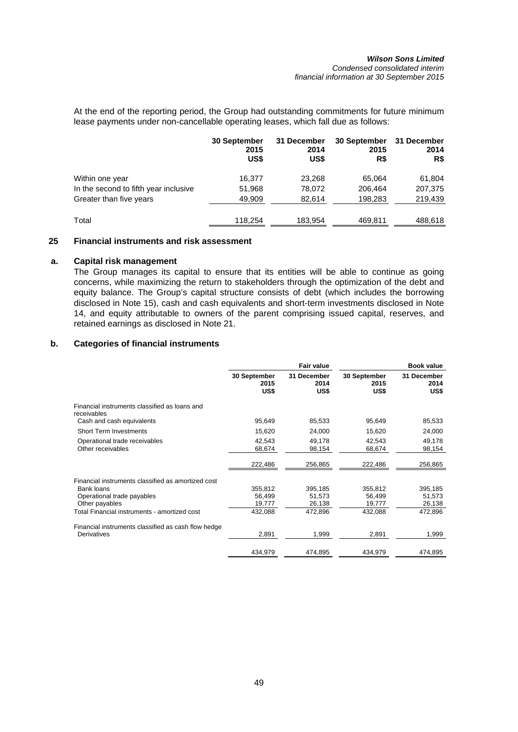At the end of the reporting period, the Group had outstanding commitments for future minimum lease payments under non-cancellable operating leases, which fall due as follows:

|                                       | <b>30 September</b><br>2015<br>US\$ | 31 December<br>2014<br>US\$ | 30 September<br>2015<br>R\$ | 31 December<br>2014<br>R\$ |
|---------------------------------------|-------------------------------------|-----------------------------|-----------------------------|----------------------------|
| Within one year                       | 16.377                              | 23,268                      | 65.064                      | 61,804                     |
| In the second to fifth year inclusive | 51,968                              | 78,072                      | 206,464                     | 207,375                    |
| Greater than five years               | 49,909                              | 82,614                      | 198,283                     | 219,439                    |
| Total                                 | 118,254                             | 183,954                     | 469,811                     | 488,618                    |

# **25 Financial instruments and risk assessment**

# **a. Capital risk management**

The Group manages its capital to ensure that its entities will be able to continue as going concerns, while maximizing the return to stakeholders through the optimization of the debt and equity balance. The Group's capital structure consists of debt (which includes the borrowing disclosed in Note 15), cash and cash equivalents and short-term investments disclosed in Note 14, and equity attributable to owners of the parent comprising issued capital, reserves, and retained earnings as disclosed in Note 21.

# **b. Categories of financial instruments**

|                                                              |                              | Fair value                  | <b>Book value</b>            |                             |  |
|--------------------------------------------------------------|------------------------------|-----------------------------|------------------------------|-----------------------------|--|
|                                                              | 30 September<br>2015<br>US\$ | 31 December<br>2014<br>US\$ | 30 September<br>2015<br>US\$ | 31 December<br>2014<br>US\$ |  |
| Financial instruments classified as loans and<br>receivables |                              |                             |                              |                             |  |
| Cash and cash equivalents                                    | 95,649                       | 85,533                      | 95,649                       | 85,533                      |  |
| <b>Short Term Investments</b>                                | 15,620                       | 24,000                      | 15,620                       | 24,000                      |  |
| Operational trade receivables<br>Other receivables           | 42,543<br>68,674             | 49,178<br>98,154            | 42,543<br>68,674             | 49,178<br>98,154            |  |
|                                                              | 222,486                      | 256,865                     | 222,486                      | 256,865                     |  |
| Financial instruments classified as amortized cost           |                              |                             |                              |                             |  |
| Bank loans                                                   | 355,812                      | 395,185                     | 355,812                      | 395,185                     |  |
| Operational trade payables                                   | 56,499                       | 51,573                      | 56,499                       | 51,573                      |  |
| Other payables                                               | 19,777                       | 26,138                      | 19,777                       | 26,138                      |  |
| Total Financial instruments - amortized cost                 | 432,088                      | 472,896                     | 432,088                      | 472,896                     |  |
| Financial instruments classified as cash flow hedge          |                              |                             |                              |                             |  |
| Derivatives                                                  | 2,891                        | 1,999                       | 2,891                        | 1,999                       |  |
|                                                              | 434,979                      | 474.895                     | 434,979                      | 474,895                     |  |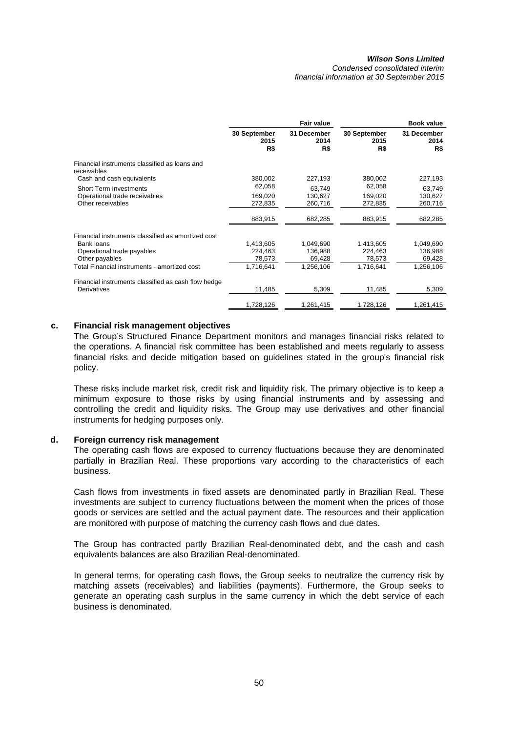*Condensed consolidated interim financial information at 30 September 2015* 

|                                                              |                             | Fair value                 |                             | <b>Book value</b>          |
|--------------------------------------------------------------|-----------------------------|----------------------------|-----------------------------|----------------------------|
|                                                              | 30 September<br>2015<br>R\$ | 31 December<br>2014<br>R\$ | 30 September<br>2015<br>R\$ | 31 December<br>2014<br>R\$ |
| Financial instruments classified as loans and<br>receivables |                             |                            |                             |                            |
| Cash and cash equivalents                                    | 380,002                     | 227,193                    | 380,002                     | 227,193                    |
| <b>Short Term Investments</b>                                | 62,058                      | 63.749                     | 62,058                      | 63,749                     |
| Operational trade receivables                                | 169,020                     | 130,627                    | 169,020                     | 130,627                    |
| Other receivables                                            | 272,835                     | 260,716                    | 272,835                     | 260.716                    |
|                                                              | 883,915                     | 682,285                    | 883,915                     | 682,285                    |
| Financial instruments classified as amortized cost           |                             |                            |                             |                            |
| Bank loans                                                   | 1,413,605                   | 1,049,690                  | 1,413,605                   | 1,049,690                  |
| Operational trade payables                                   | 224,463                     | 136,988                    | 224,463                     | 136,988                    |
| Other payables                                               | 78,573                      | 69,428                     | 78,573                      | 69,428                     |
| Total Financial instruments - amortized cost                 | 1,716,641                   | 1,256,106                  | 1,716,641                   | 1,256,106                  |
| Financial instruments classified as cash flow hedge          |                             |                            |                             |                            |
| Derivatives                                                  | 11,485                      | 5,309                      | 11,485                      | 5,309                      |
|                                                              | 1,728,126                   | 1,261,415                  | 1,728,126                   | 1,261,415                  |

# **c. Financial risk management objectives**

The Group's Structured Finance Department monitors and manages financial risks related to the operations. A financial risk committee has been established and meets regularly to assess financial risks and decide mitigation based on guidelines stated in the group's financial risk policy.

These risks include market risk, credit risk and liquidity risk. The primary objective is to keep a minimum exposure to those risks by using financial instruments and by assessing and controlling the credit and liquidity risks. The Group may use derivatives and other financial instruments for hedging purposes only.

#### **d. Foreign currency risk management**

The operating cash flows are exposed to currency fluctuations because they are denominated partially in Brazilian Real. These proportions vary according to the characteristics of each business.

Cash flows from investments in fixed assets are denominated partly in Brazilian Real. These investments are subject to currency fluctuations between the moment when the prices of those goods or services are settled and the actual payment date. The resources and their application are monitored with purpose of matching the currency cash flows and due dates.

The Group has contracted partly Brazilian Real-denominated debt, and the cash and cash equivalents balances are also Brazilian Real-denominated.

In general terms, for operating cash flows, the Group seeks to neutralize the currency risk by matching assets (receivables) and liabilities (payments). Furthermore, the Group seeks to generate an operating cash surplus in the same currency in which the debt service of each business is denominated.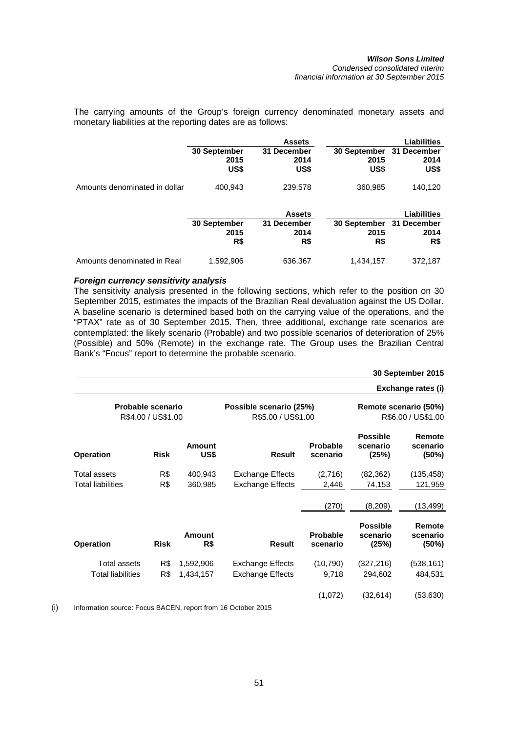The carrying amounts of the Group's foreign currency denominated monetary assets and monetary liabilities at the reporting dates are as follows:

|                               |                                     | <b>Assets</b>               |                                          | Liabilities                |
|-------------------------------|-------------------------------------|-----------------------------|------------------------------------------|----------------------------|
|                               | <b>30 September</b><br>2015<br>US\$ | 31 December<br>2014<br>US\$ | 30 September 31 December<br>2015<br>US\$ | 2014<br>US\$               |
| Amounts denominated in dollar | 400,943                             | 239,578                     | 360,985                                  | 140,120                    |
|                               |                                     | <b>Assets</b>               |                                          | <b>Liabilities</b>         |
|                               | 30 September<br>2015<br>R\$         | 31 December<br>2014<br>R\$  | 30 September<br>2015<br>R\$              | 31 December<br>2014<br>R\$ |
| Amounts denominated in Real   | 1,592,906                           | 636,367                     | 1,434,157                                | 372,187                    |

# *Foreign currency sensitivity analysis*

The sensitivity analysis presented in the following sections, which refer to the position on 30 September 2015, estimates the impacts of the Brazilian Real devaluation against the US Dollar. A baseline scenario is determined based both on the carrying value of the operations, and the "PTAX" rate as of 30 September 2015. Then, three additional, exchange rate scenarios are contemplated: the likely scenario (Probable) and two possible scenarios of deterioration of 25% (Possible) and 50% (Remote) in the exchange rate. The Group uses the Brazilian Central Bank's "Focus" report to determine the probable scenario.

**30 September 2015**

|                                         |             |                                               |                                             |                             |                                      | Exchange rates (i)             |
|-----------------------------------------|-------------|-----------------------------------------------|---------------------------------------------|-----------------------------|--------------------------------------|--------------------------------|
| Probable scenario<br>R\$4.00 / US\$1.00 |             | Possible scenario (25%)<br>R\$5.00 / US\$1.00 | Remote scenario (50%)<br>R\$6.00 / US\$1.00 |                             |                                      |                                |
| <b>Operation</b>                        | <b>Risk</b> | <b>Amount</b><br>US\$                         | <b>Result</b>                               | Probable<br>scenario        | <b>Possible</b><br>scenario<br>(25%) | Remote<br>scenario<br>(50%)    |
| <b>Total assets</b>                     | R\$         | 400,943                                       | <b>Exchange Effects</b>                     | (2,716)                     | (82, 362)                            | (135, 458)                     |
| <b>Total liabilities</b>                | R\$         | 360,985                                       | <b>Exchange Effects</b>                     | 2,446                       | 74,153                               | 121,959                        |
|                                         |             |                                               |                                             | (270)                       | (8, 209)                             | (13, 499)                      |
| <b>Operation</b>                        | <b>Risk</b> | <b>Amount</b><br>R\$                          | <b>Result</b>                               | <b>Probable</b><br>scenario | <b>Possible</b><br>scenario<br>(25%) | Remote<br>scenario<br>$(50\%)$ |
| <b>Total assets</b>                     | R\$         | 1,592,906                                     | Exchange Effects                            | (10, 790)                   | (327, 216)                           | (538, 161)                     |
| <b>Total liabilities</b>                | R\$         | 1,434,157                                     | <b>Exchange Effects</b>                     | 9,718                       | 294,602                              | 484,531                        |
|                                         |             |                                               |                                             | (1,072)                     | (32, 614)                            | (53,630)                       |

(i) Information source: Focus BACEN, report from 16 October 2015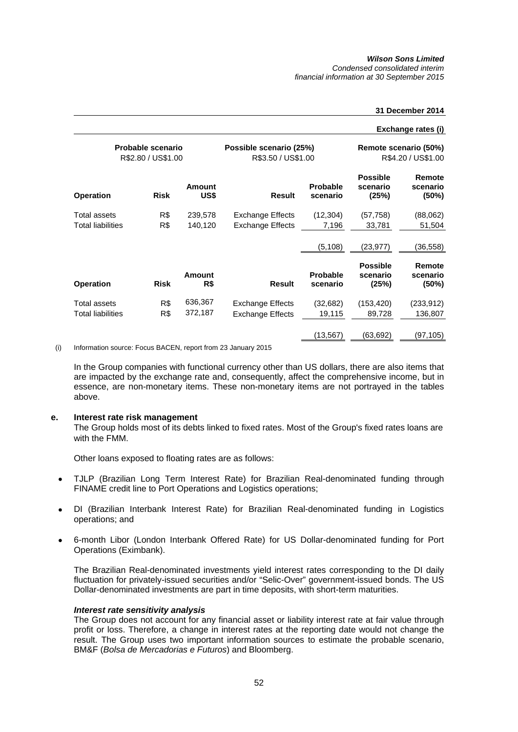*Condensed consolidated interim financial information at 30 September 2015* 

# **31 December 2014**

#### **Exchange rates (i)**

| Probable scenario<br>R\$2.80 / US\$1.00 |             |                       | Possible scenario (25%)<br>R\$3.50 / US\$1.00 | Remote scenario (50%)<br>R\$4.20 / US\$1.00 |                                      |                             |
|-----------------------------------------|-------------|-----------------------|-----------------------------------------------|---------------------------------------------|--------------------------------------|-----------------------------|
| <b>Operation</b>                        | <b>Risk</b> | <b>Amount</b><br>US\$ | <b>Result</b>                                 | <b>Probable</b><br>scenario                 | <b>Possible</b><br>scenario<br>(25%) | Remote<br>scenario<br>(50%) |
| Total assets                            | R\$         | 239,578               | <b>Exchange Effects</b>                       | (12, 304)                                   | (57, 758)                            | (88,062)                    |
| <b>Total liabilities</b>                | R\$         | 140,120               | <b>Exchange Effects</b>                       | 7,196                                       | 33,781                               | 51,504                      |
|                                         |             |                       |                                               | (5, 108)                                    | (23, 977)                            | (36,558)                    |
| <b>Operation</b>                        | <b>Risk</b> | <b>Amount</b><br>R\$  | <b>Result</b>                                 | <b>Probable</b><br>scenario                 | <b>Possible</b><br>scenario<br>(25%) | Remote<br>scenario<br>(50%) |
| Total assets                            | R\$         | 636,367               | <b>Exchange Effects</b>                       | (32,682)                                    | (153, 420)                           | (233,912)                   |
| <b>Total liabilities</b>                | R\$         | 372,187               | <b>Exchange Effects</b>                       | 19,115                                      | 89,728                               | 136,807                     |
|                                         |             |                       |                                               | (13, 567)                                   | (63,692)                             | (97,105)                    |

(i) Information source: Focus BACEN, report from 23 January 2015

In the Group companies with functional currency other than US dollars, there are also items that are impacted by the exchange rate and, consequently, affect the comprehensive income, but in essence, are non-monetary items. These non-monetary items are not portrayed in the tables above.

#### **e. Interest rate risk management**

The Group holds most of its debts linked to fixed rates. Most of the Group's fixed rates loans are with the FMM.

Other loans exposed to floating rates are as follows:

- TJLP (Brazilian Long Term Interest Rate) for Brazilian Real-denominated funding through FINAME credit line to Port Operations and Logistics operations;
- DI (Brazilian Interbank Interest Rate) for Brazilian Real-denominated funding in Logistics operations; and
- 6-month Libor (London Interbank Offered Rate) for US Dollar-denominated funding for Port Operations (Eximbank).

The Brazilian Real-denominated investments yield interest rates corresponding to the DI daily fluctuation for privately-issued securities and/or "Selic-Over" government-issued bonds. The US Dollar-denominated investments are part in time deposits, with short-term maturities.

# *Interest rate sensitivity analysis*

The Group does not account for any financial asset or liability interest rate at fair value through profit or loss. Therefore, a change in interest rates at the reporting date would not change the result. The Group uses two important information sources to estimate the probable scenario, BM&F (*Bolsa de Mercadorias e Futuros*) and Bloomberg.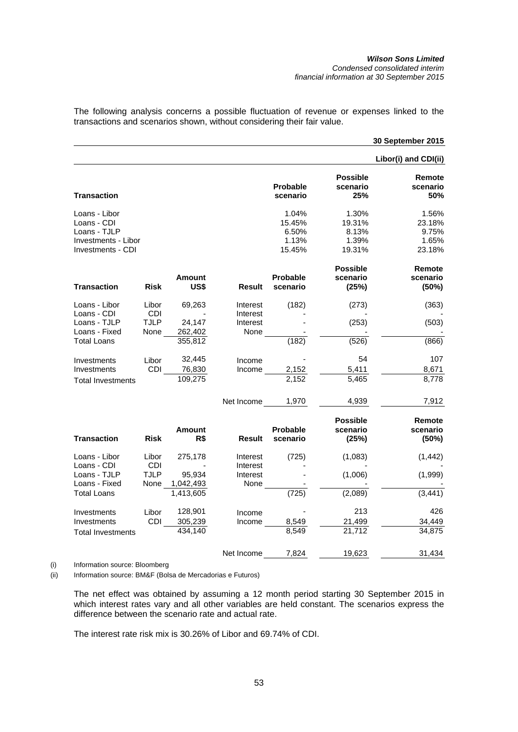#### *Wilson Sons Limited Condensed consolidated interim financial information at 30 September 2015*

**30 September 2015**

The following analysis concerns a possible fluctuation of revenue or expenses linked to the transactions and scenarios shown, without considering their fair value.

|                                                                                          |                             |                                  |                                  |                                             |                                             | Libor(i) and CDI(ii)                        |
|------------------------------------------------------------------------------------------|-----------------------------|----------------------------------|----------------------------------|---------------------------------------------|---------------------------------------------|---------------------------------------------|
| <b>Transaction</b>                                                                       |                             |                                  |                                  | <b>Probable</b><br>scenario                 | <b>Possible</b><br>scenario<br>25%          | Remote<br>scenario<br>50%                   |
| Loans - Libor<br>Loans - CDI<br>Loans - TJLP<br>Investments - Libor<br>Investments - CDI |                             |                                  |                                  | 1.04%<br>15.45%<br>6.50%<br>1.13%<br>15.45% | 1.30%<br>19.31%<br>8.13%<br>1.39%<br>19.31% | 1.56%<br>23.18%<br>9.75%<br>1.65%<br>23.18% |
| Transaction                                                                              | Risk                        | <b>Amount</b><br>US\$            | <b>Result</b>                    | <b>Probable</b><br>scenario                 | <b>Possible</b><br>scenario<br>(25%)        | Remote<br>scenario<br>(50%)                 |
| Loans - Libor<br>Loans - CDI<br>Loans - TJLP                                             | Libor<br>CDI<br><b>TJLP</b> | 69,263<br>24,147                 | Interest<br>Interest<br>Interest | (182)                                       | (273)<br>(253)                              | (363)<br>(503)                              |
| Loans - Fixed<br>Total Loans                                                             | None                        | 262,402<br>355,812               | None                             | (182)                                       | (526)                                       | (866)                                       |
| Investments<br>Investments<br><b>Total Investments</b>                                   | Libor<br><b>CDI</b>         | 32,445<br>76,830<br>109,275      | Income<br>Income                 | 2,152<br>2,152                              | 54<br>5,411<br>5,465                        | 107<br>8,671<br>8,778                       |
|                                                                                          |                             |                                  | Net Income                       | 1,970                                       | 4,939                                       | 7,912                                       |
| Transaction                                                                              | <b>Risk</b>                 | <b>Amount</b><br>R\$             | Result                           | <b>Probable</b><br>scenario                 | <b>Possible</b><br>scenario<br>(25%)        | Remote<br>scenario<br>(50%)                 |
| Loans - Libor<br>Loans - CDI                                                             | Libor<br><b>CDI</b>         | 275,178                          | Interest<br>Interest             | (725)                                       | (1,083)                                     | (1, 442)                                    |
| Loans - TJLP<br>Loans - Fixed<br>Total Loans                                             | <b>TJLP</b><br>None         | 95,934<br>1,042,493<br>1,413,605 | Interest<br>None                 | (725)                                       | (1,006)<br>(2,089)                          | (1,999)<br>(3, 441)                         |
| Investments<br>Investments<br><b>Total Investments</b>                                   | Libor<br>CDI                | 128,901<br>305,239<br>434,140    | Income<br>Income                 | 8,549<br>8,549                              | 213<br>21,499<br>21,712                     | 426<br>34,449<br>34,875                     |
|                                                                                          |                             |                                  | Net Income                       | 7,824                                       | 19,623                                      | 31,434                                      |

(i) Information source: Bloomberg

(ii) Information source: BM&F (Bolsa de Mercadorias e Futuros)

The net effect was obtained by assuming a 12 month period starting 30 September 2015 in which interest rates vary and all other variables are held constant. The scenarios express the difference between the scenario rate and actual rate.

The interest rate risk mix is 30.26% of Libor and 69.74% of CDI.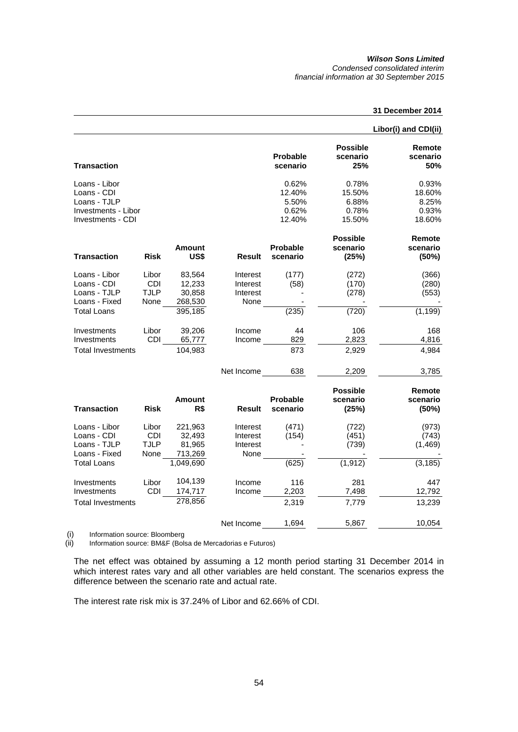*Condensed consolidated interim financial information at 30 September 2015* 

# **31 December 2014**

|                                                                                          |                                            |                                        |                                          |                                             |                                             | Libor(i) and CDI(ii)                        |
|------------------------------------------------------------------------------------------|--------------------------------------------|----------------------------------------|------------------------------------------|---------------------------------------------|---------------------------------------------|---------------------------------------------|
| <b>Transaction</b>                                                                       |                                            |                                        |                                          | Probable<br>scenario                        | <b>Possible</b><br>scenario<br>25%          | Remote<br>scenario<br>50%                   |
| Loans - Libor<br>Loans - CDI<br>Loans - TJLP<br>Investments - Libor<br>Investments - CDI |                                            |                                        |                                          | 0.62%<br>12.40%<br>5.50%<br>0.62%<br>12.40% | 0.78%<br>15.50%<br>6.88%<br>0.78%<br>15.50% | 0.93%<br>18.60%<br>8.25%<br>0.93%<br>18.60% |
| <b>Transaction</b>                                                                       | <b>Risk</b>                                | <b>Amount</b><br>US\$                  | <b>Result</b>                            | <b>Probable</b><br>scenario                 | <b>Possible</b><br>scenario<br>(25%)        | Remote<br>scenario<br>(50%)                 |
| Loans - Libor<br>Loans - CDI<br>Loans - TJLP<br>Loans - Fixed                            | Libor<br>CDI<br><b>TJLP</b><br>None        | 83,564<br>12,233<br>30,858<br>268,530  | Interest<br>Interest<br>Interest<br>None | (177)<br>(58)                               | (272)<br>(170)<br>(278)                     | (366)<br>(280)<br>(553)                     |
| <b>Total Loans</b><br>Investments                                                        | Libor                                      | 395,185<br>39,206                      | Income                                   | (235)<br>44                                 | (720)<br>106                                | (1, 199)<br>168                             |
| Investments<br><b>Total Investments</b>                                                  | CDI                                        | 65,777<br>104,983                      | Income                                   | 829<br>873                                  | 2,823<br>2,929                              | 4,816<br>4,984                              |
|                                                                                          |                                            |                                        | Net Income                               | 638                                         | 2,209                                       | 3,785                                       |
| <b>Transaction</b>                                                                       | <b>Risk</b>                                | Amount<br>R\$                          | <b>Result</b>                            | <b>Probable</b><br>scenario                 | <b>Possible</b><br>scenario<br>(25%)        | Remote<br>scenario<br>(50%)                 |
| Loans - Libor<br>Loans - CDI<br>Loans - TJLP<br>Loans - Fixed                            | Libor<br><b>CDI</b><br><b>TJLP</b><br>None | 221,963<br>32,493<br>81,965<br>713,269 | Interest<br>Interest<br>Interest<br>None | (471)<br>(154)                              | (722)<br>(451)<br>(739)                     | (973)<br>(743)<br>(1, 469)                  |
| Total Loans                                                                              |                                            | 1,049,690                              |                                          | (625)                                       | (1, 912)                                    | (3, 185)                                    |
| Investments<br>Investments                                                               | Libor<br><b>CDI</b>                        | 104,139<br>174,717                     | Income<br>Income                         | 116<br>2,203                                | 281<br>7,498                                | 447<br>12,792                               |
| <b>Total Investments</b>                                                                 |                                            | 278,856                                |                                          | 2,319                                       | 7,779                                       | 13,239                                      |
|                                                                                          |                                            |                                        | Net Income                               | 1,694                                       | 5,867                                       | 10,054                                      |

(i) Information source: Bloomberg<br>(ii) Information source: BM&F (Bols

Information source: BM&F (Bolsa de Mercadorias e Futuros)

The net effect was obtained by assuming a 12 month period starting 31 December 2014 in which interest rates vary and all other variables are held constant. The scenarios express the difference between the scenario rate and actual rate.

The interest rate risk mix is 37.24% of Libor and 62.66% of CDI.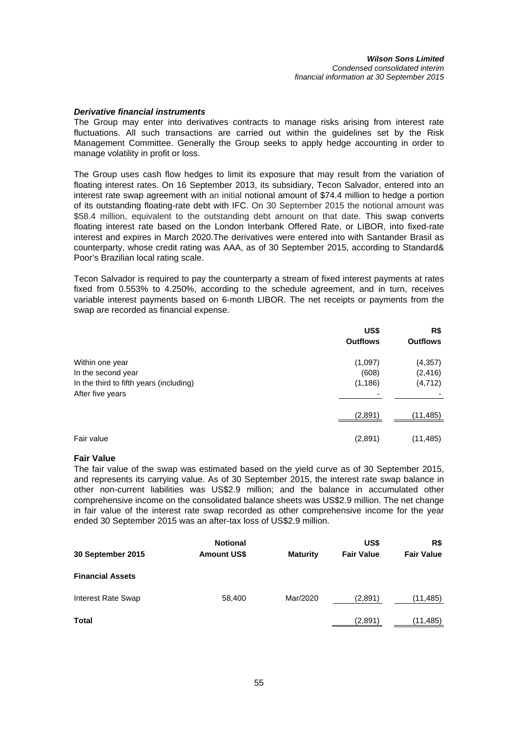#### *Wilson Sons Limited Condensed consolidated interim financial information at 30 September 2015*

## *Derivative financial instruments*

The Group may enter into derivatives contracts to manage risks arising from interest rate fluctuations. All such transactions are carried out within the guidelines set by the Risk Management Committee. Generally the Group seeks to apply hedge accounting in order to manage volatility in profit or loss.

The Group uses cash flow hedges to limit its exposure that may result from the variation of floating interest rates. On 16 September 2013, its subsidiary, Tecon Salvador, entered into an interest rate swap agreement with an initial notional amount of \$74.4 million to hedge a portion of its outstanding floating-rate debt with IFC. On 30 September 2015 the notional amount was \$58.4 million, equivalent to the outstanding debt amount on that date. This swap converts floating interest rate based on the London Interbank Offered Rate, or LIBOR, into fixed-rate interest and expires in March 2020.The derivatives were entered into with Santander Brasil as counterparty, whose credit rating was AAA, as of 30 September 2015, according to Standard& Poor's Brazilian local rating scale.

Tecon Salvador is required to pay the counterparty a stream of fixed interest payments at rates fixed from 0.553% to 4.250%, according to the schedule agreement, and in turn, receives variable interest payments based on 6-month LIBOR. The net receipts or payments from the swap are recorded as financial expense.

|                                                                                                      | US\$<br><b>Outflows</b>                                  | R\$<br><b>Outflows</b>           |
|------------------------------------------------------------------------------------------------------|----------------------------------------------------------|----------------------------------|
| Within one year<br>In the second year<br>In the third to fifth years (including)<br>After five years | (1,097)<br>(608)<br>(1, 186)<br>$\overline{\phantom{0}}$ | (4, 357)<br>(2, 416)<br>(4, 712) |
|                                                                                                      | (2,891)                                                  | (11, 485)                        |
| Fair value                                                                                           | (2,891)                                                  | (11, 485)                        |

#### **Fair Value**

The fair value of the swap was estimated based on the yield curve as of 30 September 2015, and represents its carrying value. As of 30 September 2015, the interest rate swap balance in other non-current liabilities was US\$2.9 million; and the balance in accumulated other comprehensive income on the consolidated balance sheets was US\$2.9 million. The net change in fair value of the interest rate swap recorded as other comprehensive income for the year ended 30 September 2015 was an after-tax loss of US\$2.9 million.

| 30 September 2015         | <b>Notional</b><br><b>Amount US\$</b> | <b>Maturity</b> | US\$<br><b>Fair Value</b> | R\$<br><b>Fair Value</b> |
|---------------------------|---------------------------------------|-----------------|---------------------------|--------------------------|
| <b>Financial Assets</b>   |                                       |                 |                           |                          |
| <b>Interest Rate Swap</b> | 58,400                                | Mar/2020        | (2,891)                   | (11,485)                 |
| Total                     |                                       |                 | (2,891)                   | (11,485)                 |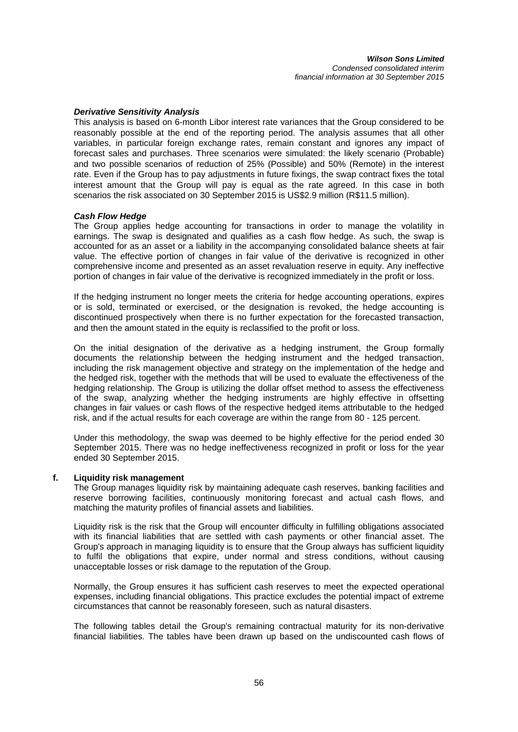# *Derivative Sensitivity Analysis*

This analysis is based on 6-month Libor interest rate variances that the Group considered to be reasonably possible at the end of the reporting period. The analysis assumes that all other variables, in particular foreign exchange rates, remain constant and ignores any impact of forecast sales and purchases. Three scenarios were simulated: the likely scenario (Probable) and two possible scenarios of reduction of 25% (Possible) and 50% (Remote) in the interest rate. Even if the Group has to pay adjustments in future fixings, the swap contract fixes the total interest amount that the Group will pay is equal as the rate agreed. In this case in both scenarios the risk associated on 30 September 2015 is US\$2.9 million (R\$11.5 million).

# *Cash Flow Hedge*

The Group applies hedge accounting for transactions in order to manage the volatility in earnings. The swap is designated and qualifies as a cash flow hedge. As such, the swap is accounted for as an asset or a liability in the accompanying consolidated balance sheets at fair value. The effective portion of changes in fair value of the derivative is recognized in other comprehensive income and presented as an asset revaluation reserve in equity. Any ineffective portion of changes in fair value of the derivative is recognized immediately in the profit or loss.

If the hedging instrument no longer meets the criteria for hedge accounting operations, expires or is sold, terminated or exercised, or the designation is revoked, the hedge accounting is discontinued prospectively when there is no further expectation for the forecasted transaction, and then the amount stated in the equity is reclassified to the profit or loss.

On the initial designation of the derivative as a hedging instrument, the Group formally documents the relationship between the hedging instrument and the hedged transaction, including the risk management objective and strategy on the implementation of the hedge and the hedged risk, together with the methods that will be used to evaluate the effectiveness of the hedging relationship. The Group is utilizing the dollar offset method to assess the effectiveness of the swap, analyzing whether the hedging instruments are highly effective in offsetting changes in fair values or cash flows of the respective hedged items attributable to the hedged risk, and if the actual results for each coverage are within the range from 80 - 125 percent.

Under this methodology, the swap was deemed to be highly effective for the period ended 30 September 2015. There was no hedge ineffectiveness recognized in profit or loss for the year ended 30 September 2015.

# **f. Liquidity risk management**

The Group manages liquidity risk by maintaining adequate cash reserves, banking facilities and reserve borrowing facilities, continuously monitoring forecast and actual cash flows, and matching the maturity profiles of financial assets and liabilities.

Liquidity risk is the risk that the Group will encounter difficulty in fulfilling obligations associated with its financial liabilities that are settled with cash payments or other financial asset. The Group's approach in managing liquidity is to ensure that the Group always has sufficient liquidity to fulfil the obligations that expire, under normal and stress conditions, without causing unacceptable losses or risk damage to the reputation of the Group.

Normally, the Group ensures it has sufficient cash reserves to meet the expected operational expenses, including financial obligations. This practice excludes the potential impact of extreme circumstances that cannot be reasonably foreseen, such as natural disasters.

The following tables detail the Group's remaining contractual maturity for its non-derivative financial liabilities. The tables have been drawn up based on the undiscounted cash flows of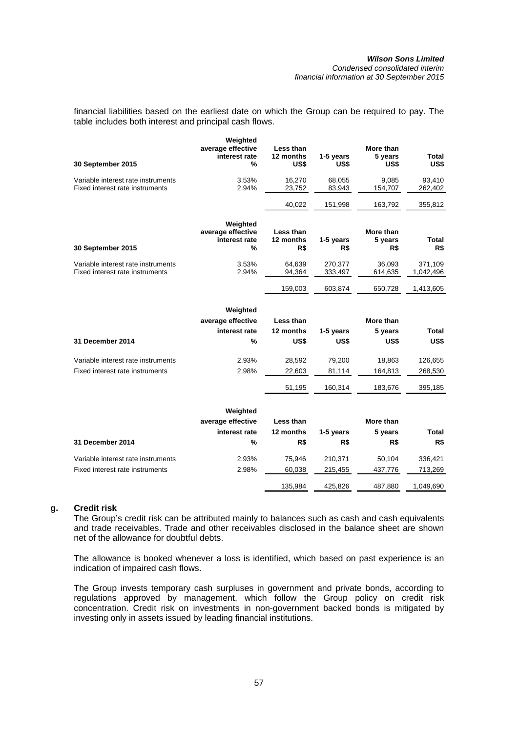### *Wilson Sons Limited Condensed consolidated interim financial information at 30 September 2015*

financial liabilities based on the earliest date on which the Group can be required to pay. The table includes both interest and principal cash flows.

| 30 September 2015                                                     | Weighted<br>average effective<br>interest rate<br>% | Less than<br>12 months<br>US\$ | 1-5 years<br>US\$  | More than<br>5 years<br>US\$ | Total<br>US\$        |
|-----------------------------------------------------------------------|-----------------------------------------------------|--------------------------------|--------------------|------------------------------|----------------------|
| Variable interest rate instruments<br>Fixed interest rate instruments | 3.53%<br>2.94%                                      | 16,270<br>23,752               | 68,055<br>83,943   | 9.085<br>154,707             | 93,410<br>262,402    |
|                                                                       |                                                     | 40,022                         | 151,998            | 163,792                      | 355,812              |
| 30 September 2015                                                     | Weighted<br>average effective<br>interest rate<br>% | Less than<br>12 months<br>R\$  | 1-5 years<br>R\$   | More than<br>5 years<br>R\$  | Total<br>R\$         |
| Variable interest rate instruments<br>Fixed interest rate instruments | 3.53%<br>2.94%                                      | 64,639<br>94,364               | 270,377<br>333,497 | 36,093<br>614,635            | 371,109<br>1,042,496 |
|                                                                       |                                                     | 159,003                        | 603,874            | 650,728                      | 1,413,605            |
|                                                                       | Weighted                                            |                                |                    |                              |                      |
|                                                                       | average effective                                   | Less than                      |                    | More than                    |                      |
|                                                                       | interest rate                                       | 12 months                      | 1-5 years          | 5 years                      | <b>Total</b>         |
| 31 December 2014                                                      | %                                                   | US\$                           | US\$               | US\$                         | US\$                 |
| Variable interest rate instruments                                    | 2.93%                                               | 28,592                         | 79,200             | 18,863                       | 126,655              |
| Fixed interest rate instruments                                       | 2.98%                                               | 22,603                         | 81,114             | 164,813                      | 268,530              |
|                                                                       |                                                     | 51,195                         | 160,314            | 183,676                      | 395,185              |
|                                                                       | Weighted<br>average effective                       | Less than                      |                    | More than                    |                      |
|                                                                       | interest rate                                       | 12 months                      | 1-5 years          | 5 years                      | <b>Total</b>         |
| 31 December 2014                                                      | $\%$                                                | R\$                            | R\$                | R\$                          | R\$                  |
| Variable interest rate instruments                                    | 2.93%                                               | 75,946                         | 210,371            | 50,104                       | 336,421              |
| Fixed interest rate instruments                                       | 2.98%                                               | 60,038                         | 215,455            | 437,776                      | 713,269              |
|                                                                       |                                                     | 135,984                        | 425,826            | 487,880                      | 1,049,690            |

# **g. Credit risk**

The Group's credit risk can be attributed mainly to balances such as cash and cash equivalents and trade receivables. Trade and other receivables disclosed in the balance sheet are shown net of the allowance for doubtful debts.

The allowance is booked whenever a loss is identified, which based on past experience is an indication of impaired cash flows.

The Group invests temporary cash surpluses in government and private bonds, according to regulations approved by management, which follow the Group policy on credit risk concentration. Credit risk on investments in non-government backed bonds is mitigated by investing only in assets issued by leading financial institutions.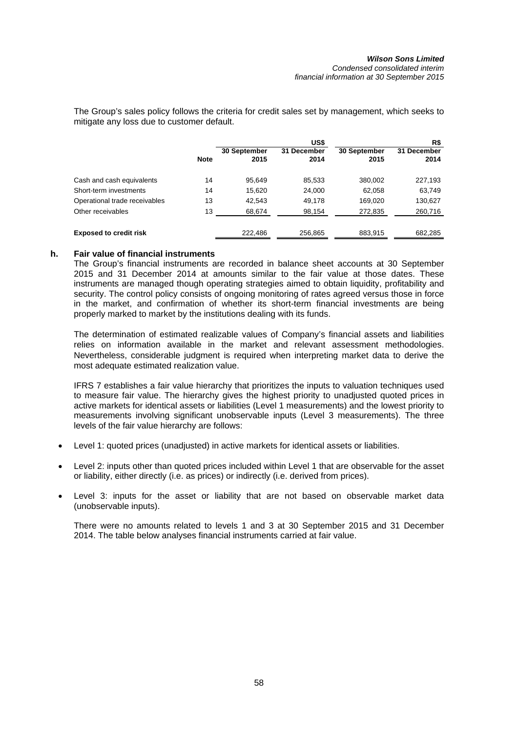The Group's sales policy follows the criteria for credit sales set by management, which seeks to mitigate any loss due to customer default.

|                               |             |                      | US\$                |                      | R\$                 |
|-------------------------------|-------------|----------------------|---------------------|----------------------|---------------------|
|                               | <b>Note</b> | 30 September<br>2015 | 31 December<br>2014 | 30 September<br>2015 | 31 December<br>2014 |
| Cash and cash equivalents     | 14          | 95.649               | 85,533              | 380,002              | 227,193             |
| Short-term investments        | 14          | 15.620               | 24,000              | 62,058               | 63,749              |
| Operational trade receivables | 13          | 42.543               | 49,178              | 169,020              | 130,627             |
| Other receivables             | 13          | 68,674               | 98,154              | 272,835              | 260,716             |
| <b>Exposed to credit risk</b> |             | 222.486              | 256.865             | 883,915              | 682,285             |

# **h. Fair value of financial instruments**

The Group's financial instruments are recorded in balance sheet accounts at 30 September 2015 and 31 December 2014 at amounts similar to the fair value at those dates. These instruments are managed though operating strategies aimed to obtain liquidity, profitability and security. The control policy consists of ongoing monitoring of rates agreed versus those in force in the market, and confirmation of whether its short-term financial investments are being properly marked to market by the institutions dealing with its funds.

The determination of estimated realizable values of Company's financial assets and liabilities relies on information available in the market and relevant assessment methodologies. Nevertheless, considerable judgment is required when interpreting market data to derive the most adequate estimated realization value.

IFRS 7 establishes a fair value hierarchy that prioritizes the inputs to valuation techniques used to measure fair value. The hierarchy gives the highest priority to unadjusted quoted prices in active markets for identical assets or liabilities (Level 1 measurements) and the lowest priority to measurements involving significant unobservable inputs (Level 3 measurements). The three levels of the fair value hierarchy are follows:

- Level 1: quoted prices (unadjusted) in active markets for identical assets or liabilities.
- Level 2: inputs other than quoted prices included within Level 1 that are observable for the asset or liability, either directly (i.e. as prices) or indirectly (i.e. derived from prices).
- Level 3: inputs for the asset or liability that are not based on observable market data (unobservable inputs).

There were no amounts related to levels 1 and 3 at 30 September 2015 and 31 December 2014. The table below analyses financial instruments carried at fair value.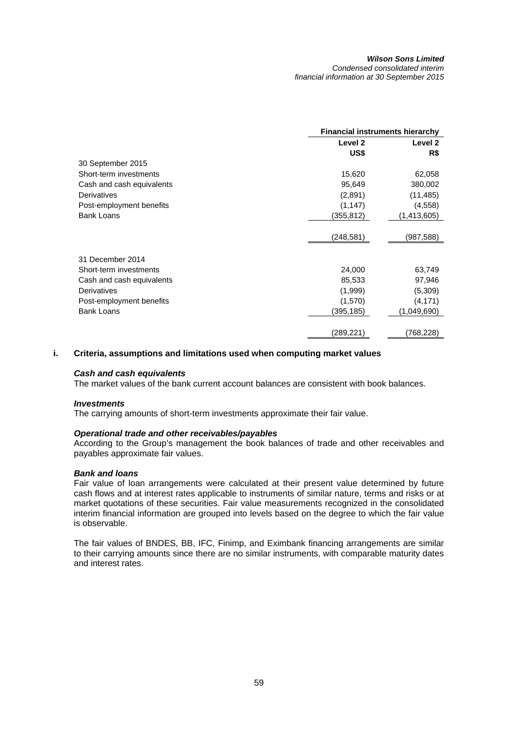#### *Wilson Sons Limited Condensed consolidated interim financial information at 30 September 2015*

| Level 2<br>Level 2<br>US\$<br>R\$<br>30 September 2015<br>Short-term investments<br>15,620<br>62,058<br>95,649<br>Cash and cash equivalents<br>380,002<br>Derivatives<br>(2,891)<br>(11, 485)<br>Post-employment benefits<br>(1, 147)<br>(4,558)<br><b>Bank Loans</b><br>(355,812)<br>(1,413,605)<br>(248, 581)<br>(987,588)<br>31 December 2014<br>Short-term investments<br>24,000<br>63,749<br>85,533<br>97,946<br>Cash and cash equivalents<br>Derivatives<br>(1,999)<br>(5,309) |                          | <b>Financial instruments hierarchy</b> |          |  |
|--------------------------------------------------------------------------------------------------------------------------------------------------------------------------------------------------------------------------------------------------------------------------------------------------------------------------------------------------------------------------------------------------------------------------------------------------------------------------------------|--------------------------|----------------------------------------|----------|--|
|                                                                                                                                                                                                                                                                                                                                                                                                                                                                                      |                          |                                        |          |  |
|                                                                                                                                                                                                                                                                                                                                                                                                                                                                                      |                          |                                        |          |  |
|                                                                                                                                                                                                                                                                                                                                                                                                                                                                                      |                          |                                        |          |  |
|                                                                                                                                                                                                                                                                                                                                                                                                                                                                                      |                          |                                        |          |  |
|                                                                                                                                                                                                                                                                                                                                                                                                                                                                                      |                          |                                        |          |  |
|                                                                                                                                                                                                                                                                                                                                                                                                                                                                                      |                          |                                        |          |  |
|                                                                                                                                                                                                                                                                                                                                                                                                                                                                                      |                          |                                        |          |  |
|                                                                                                                                                                                                                                                                                                                                                                                                                                                                                      |                          |                                        |          |  |
|                                                                                                                                                                                                                                                                                                                                                                                                                                                                                      |                          |                                        |          |  |
|                                                                                                                                                                                                                                                                                                                                                                                                                                                                                      |                          |                                        |          |  |
|                                                                                                                                                                                                                                                                                                                                                                                                                                                                                      |                          |                                        |          |  |
|                                                                                                                                                                                                                                                                                                                                                                                                                                                                                      |                          |                                        |          |  |
|                                                                                                                                                                                                                                                                                                                                                                                                                                                                                      |                          |                                        |          |  |
|                                                                                                                                                                                                                                                                                                                                                                                                                                                                                      |                          |                                        |          |  |
|                                                                                                                                                                                                                                                                                                                                                                                                                                                                                      |                          |                                        |          |  |
|                                                                                                                                                                                                                                                                                                                                                                                                                                                                                      | Post-employment benefits | (1,570)                                | (4, 171) |  |
| <b>Bank Loans</b><br>(1,049,690)<br>(395,185)                                                                                                                                                                                                                                                                                                                                                                                                                                        |                          |                                        |          |  |
|                                                                                                                                                                                                                                                                                                                                                                                                                                                                                      |                          |                                        |          |  |
| (289, 221)<br>(768,228)                                                                                                                                                                                                                                                                                                                                                                                                                                                              |                          |                                        |          |  |

# **i. Criteria, assumptions and limitations used when computing market values**

# *Cash and cash equivalents*

The market values of the bank current account balances are consistent with book balances.

# *Investments*

The carrying amounts of short-term investments approximate their fair value.

# *Operational trade and other receivables/payables*

According to the Group's management the book balances of trade and other receivables and payables approximate fair values.

# *Bank and loans*

Fair value of loan arrangements were calculated at their present value determined by future cash flows and at interest rates applicable to instruments of similar nature, terms and risks or at market quotations of these securities. Fair value measurements recognized in the consolidated interim financial information are grouped into levels based on the degree to which the fair value is observable.

The fair values of BNDES, BB, IFC, Finimp, and Eximbank financing arrangements are similar to their carrying amounts since there are no similar instruments, with comparable maturity dates and interest rates.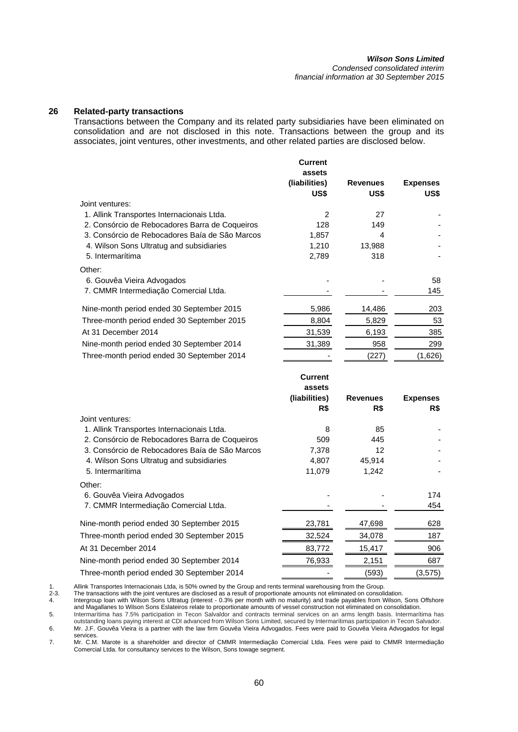*Condensed consolidated interim financial information at 30 September 2015* 

# **26 Related-party transactions**

Transactions between the Company and its related party subsidiaries have been eliminated on consolidation and are not disclosed in this note. Transactions between the group and its associates, joint ventures, other investments, and other related parties are disclosed below.

|                                                | <b>Current</b><br>assets<br>(liabilities)<br>US\$ | <b>Revenues</b><br>US\$ | <b>Expenses</b><br>US\$ |
|------------------------------------------------|---------------------------------------------------|-------------------------|-------------------------|
| Joint ventures:                                |                                                   |                         |                         |
| 1. Allink Transportes Internacionais Ltda.     | 2                                                 | 27                      |                         |
| 2. Consórcio de Rebocadores Barra de Coqueiros | 128                                               | 149                     |                         |
| 3. Consórcio de Rebocadores Baía de São Marcos | 1,857                                             | 4                       |                         |
| 4. Wilson Sons Ultratug and subsidiaries       | 1,210                                             | 13,988                  |                         |
| 5. Intermarítima                               | 2,789                                             | 318                     |                         |
| Other:                                         |                                                   |                         |                         |
| 6. Gouvêa Vieira Advogados                     |                                                   |                         | 58                      |
| 7. CMMR Intermediação Comercial Ltda.          |                                                   |                         | 145                     |
| Nine-month period ended 30 September 2015      | 5,986                                             | 14,486                  | 203                     |
| Three-month period ended 30 September 2015     | 8,804                                             | 5,829                   | 53                      |
| At 31 December 2014                            | 31,539                                            | 6,193                   | 385                     |
| Nine-month period ended 30 September 2014      | 31,389                                            | 958                     | 299                     |
| Three-month period ended 30 September 2014     |                                                   | (227)                   | (1,626)                 |
|                                                | <b>Current</b>                                    |                         |                         |
|                                                | assets                                            |                         |                         |
|                                                | (liabilities)                                     | <b>Revenues</b>         | <b>Expenses</b>         |
|                                                | R\$                                               | R\$                     | R\$                     |
| Joint ventures:                                |                                                   |                         |                         |
| 1. Allink Transportes Internacionais Ltda.     | 8                                                 | 85                      |                         |

| 1. Allink Transportes Internacionais Ltda.     | 8      | 85     |         |
|------------------------------------------------|--------|--------|---------|
| 2. Consórcio de Rebocadores Barra de Coqueiros | 509    | 445    |         |
| 3. Consórcio de Rebocadores Baía de São Marcos | 7,378  | 12     |         |
| 4. Wilson Sons Ultratug and subsidiaries       | 4,807  | 45.914 |         |
| 5. Intermarítima                               | 11,079 | 1,242  |         |
| Other:                                         |        |        |         |
| 6. Gouvêa Vieira Advogados                     |        |        | 174     |
| 7. CMMR Intermediação Comercial Ltda.          |        |        | 454     |
| Nine-month period ended 30 September 2015      | 23,781 | 47,698 | 628     |
| Three-month period ended 30 September 2015     | 32,524 | 34,078 | 187     |
| At 31 December 2014                            | 83,772 | 15,417 | 906     |
| Nine-month period ended 30 September 2014      | 76,933 | 2,151  | 687     |
| Three-month period ended 30 September 2014     |        | (593)  | (3,575) |

1. Allink Transportes Internacionais Ltda, is 50% owned by the Group and rents terminal warehousing from the Group.<br>2-3. The transactions with the joint ventures are disclosed as a result of proportionate amounts not elimi 2-3. The transactions with the joint ventures are disclosed as a result of proportionate amounts not eliminated on consolidation.

4. Intergroup loan with Wilson Sons Ultratug (interest - 0.3% per month with no maturity) and trade payables from Wilson, Sons Offshore and Magallanes to Wilson Sons Eslateiros relate to proportionate amounts of vessel construction not eliminated on consolidation.

5. Intermarítima has 7.5% participation in Tecon Salvaldor and contracts terminal services on an arms length basis. Intermarítima has outstanding loans paying interest at CDI advanced from Wilson Sons Limited, secured by Intermarítimas participation in Tecon Salvador.

6. Mr. J.F. Gouvêa Vieira is a partner with the law firm Gouvêa Vieira Advogados. Fees were paid to Gouvêa Vieira Advogados for legal services.

7. Mr. C.M. Marote is a shareholder and director of CMMR Intermediação Comercial Ltda. Fees were paid to CMMR Intermediação Comercial Ltda. for consultancy services to the Wilson, Sons towage segment.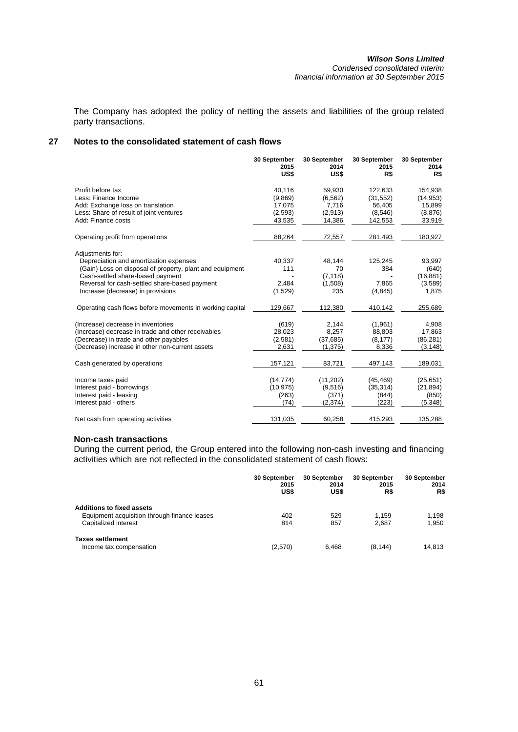The Company has adopted the policy of netting the assets and liabilities of the group related party transactions.

# **27 Notes to the consolidated statement of cash flows**

|                                                          | 30 September<br>2015<br>US\$ | 30 September<br>2014<br>US\$ | 30 September<br>2015<br>R\$ | 30 September<br>2014<br>R\$ |
|----------------------------------------------------------|------------------------------|------------------------------|-----------------------------|-----------------------------|
| Profit before tax                                        | 40,116                       | 59,930                       | 122,633                     | 154,938                     |
| Less: Finance Income                                     | (9,869)                      | (6, 562)                     | (31, 552)                   | (14, 953)                   |
| Add: Exchange loss on translation                        | 17,075                       | 7,716                        | 56,405                      | 15,899                      |
| Less: Share of result of joint ventures                  | (2,593)                      | (2,913)                      | (8, 546)                    | (8, 876)                    |
| Add: Finance costs                                       | 43,535                       | 14,386                       | 142,553                     | 33,919                      |
| Operating profit from operations                         | 88,264                       | 72,557                       | 281,493                     | 180,927                     |
| Adjustments for:                                         |                              |                              |                             |                             |
| Depreciation and amortization expenses                   | 40,337                       | 48,144                       | 125,245                     | 93,997                      |
| (Gain) Loss on disposal of property, plant and equipment | 111                          | 70                           | 384                         | (640)                       |
| Cash-settled share-based payment                         |                              | (7, 118)                     |                             | (16, 881)                   |
| Reversal for cash-settled share-based payment            | 2,484                        | (1,508)                      | 7,865                       | (3,589)                     |
| Increase (decrease) in provisions                        | (1,529)                      | 235                          | (4, 845)                    | 1,875                       |
| Operating cash flows before movements in working capital | 129,667                      | 112,380                      | 410,142                     | 255,689                     |
| (Increase) decrease in inventories                       | (619)                        | 2,144                        | (1,961)                     | 4,908                       |
| (Increase) decrease in trade and other receivables       | 28,023                       | 8,257                        | 88,803                      | 17,863                      |
| (Decrease) in trade and other payables                   | (2,581)                      | (37, 685)                    | (8, 177)                    | (86, 281)                   |
| (Decrease) increase in other non-current assets          | 2,631                        | (1, 375)                     | 8,336                       | (3, 148)                    |
| Cash generated by operations                             | 157,121                      | 83,721                       | 497,143                     | 189,031                     |
| Income taxes paid                                        | (14, 774)                    | (11,202)                     | (45, 469)                   | (25, 651)                   |
| Interest paid - borrowings                               | (10, 975)                    | (9,516)                      | (35, 314)                   | (21, 894)                   |
| Interest paid - leasing                                  | (263)                        | (371)                        | (844)                       | (850)                       |
| Interest paid - others                                   | (74)                         | (2,374)                      | (223)                       | (5,348)                     |
| Net cash from operating activities                       | 131,035                      | 60,258                       | 415,293                     | 135,288                     |

# **Non-cash transactions**

During the current period, the Group entered into the following non-cash investing and financing activities which are not reflected in the consolidated statement of cash flows:

|                                              | 30 September<br>2015<br>US\$ | <b>30 September</b><br>2014<br>US\$ | 30 September<br>2015<br>R\$ | <b>30 September</b><br>2014<br>R\$ |
|----------------------------------------------|------------------------------|-------------------------------------|-----------------------------|------------------------------------|
| <b>Additions to fixed assets</b>             |                              |                                     |                             |                                    |
| Equipment acquisition through finance leases | 402                          | 529                                 | 1.159                       | 1.198                              |
| Capitalized interest                         | 814                          | 857                                 | 2,687                       | 1.950                              |
| <b>Taxes settlement</b>                      |                              |                                     |                             |                                    |
| Income tax compensation                      | (2,570)                      | 6.468                               | (8, 144)                    | 14.813                             |